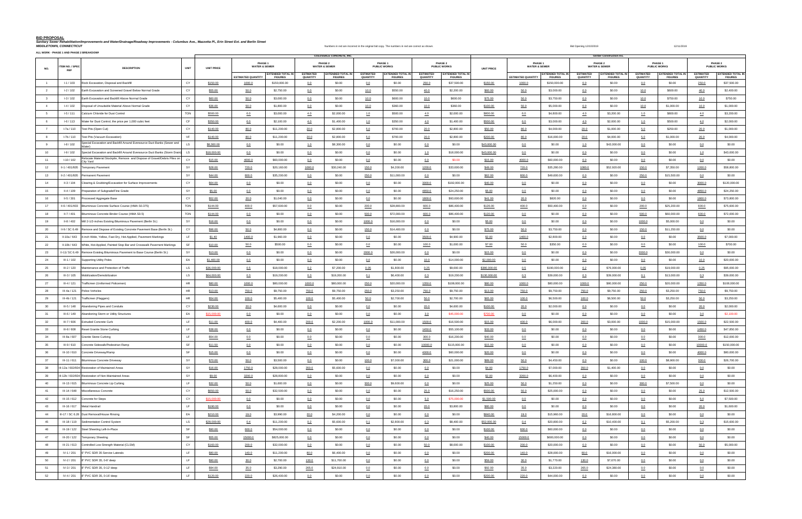# **BID PROPOSAL**

Sanitary Sewer Rehabilitation/Improvements and Water/Drainage/Roadway Improvements - Columbus Ave., Mazzotta Pl., Erin Street Ext. and Berlin Street ext. and Berlin Street ext. and Berlin Street ext. and Berlin Street ext.

|                | <b>ALL WORK - PHASE 1 AND PHASE 2 BREAKDOW</b> |                                                                                        |             |                   |                           |                                            | <b>COLOSSALE CONCRETE, INC.</b> |                                                |                              |                                            |                              |                                            |                   |                                     |                                     | <b>Gerber Construction Inc.</b> |                                            |                              |                                            |                                     |                                           |
|----------------|------------------------------------------------|----------------------------------------------------------------------------------------|-------------|-------------------|---------------------------|--------------------------------------------|---------------------------------|------------------------------------------------|------------------------------|--------------------------------------------|------------------------------|--------------------------------------------|-------------------|-------------------------------------|-------------------------------------|---------------------------------|--------------------------------------------|------------------------------|--------------------------------------------|-------------------------------------|-------------------------------------------|
| NO.            | ITEM NO. / SPEC<br><b>REF</b>                  | <b>DESCRIPTION</b>                                                                     | <b>UNIT</b> | <b>UNIT PRICE</b> | PHASE 1                   | <b>WATER &amp; SEWER</b>                   |                                 | PHASE <sub>2</sub><br><b>WATER &amp; SEWER</b> |                              | PHASE 1<br><b>PUBLIC WORKS</b>             |                              | PHASE <sub>2</sub><br><b>PUBLIC WORKS</b>  | <b>UNIT PRICE</b> | PHASE 1<br><b>WATER &amp; SEWER</b> |                                     |                                 | PHASE 2<br><b>WATER &amp; SEWER</b>        |                              | PHASE 1<br><b>PUBLIC WORKS</b>             |                                     | PHASE 2<br><b>PUBLIC WORKS</b>            |
|                |                                                |                                                                                        |             |                   | <b>ESTIMATED QUANTITY</b> | <b>EXTENDED TOTAL IN</b><br><b>FIGURES</b> | <b>ESTIMATED</b><br>QUANTITY    | <b>EXTENDED TOTAL IN</b><br><b>FIGURES</b>     | <b>ESTIMATED</b><br>QUANTITY | <b>EXTENDED TOTAL IN</b><br><b>FIGURES</b> | <b>ESTIMATED</b><br>QUANTITY | <b>EXTENDED TOTAL IN</b><br><b>FIGURES</b> |                   | <b>ESTIMATED QUANTITY</b>           | EXTENDED TOTAL IN<br><b>FIGURES</b> | <b>ESTIMATED</b><br>QUANTITY    | <b>EXTENDED TOTAL IN</b><br><b>FIGURES</b> | <b>ESTIMATED</b><br>QUANTITY | <b>EXTENDED TOTAL IN</b><br><b>FIGURES</b> | <b>ESTIMATED</b><br><b>QUANTITY</b> | <b>EXTENDED TOTAL I</b><br><b>FIGURES</b> |
|                | $I-1/103$                                      | Rock Excavation, Disposal and Backfill                                                 | CY          | \$150.00          | 1000.0                    | \$150,000.00                               | 0.0                             | \$0.00                                         | 0.0                          | \$0.00                                     | 250.0                        | \$37,500.00                                | \$150.00          | 1000.0                              | \$150,000.00                        | 0.0                             | \$0.00                                     | 0.0                          | \$0.00                                     | 250.0                               | \$37,500.00                               |
|                | $1-2/102$                                      | Earth Excavation and Screened Gravel Below Normal Grade                                | CY          | \$55.00           | 50.0                      | \$2,750.00                                 | 0.0                             | \$0.00                                         | 10.0                         | \$550.00                                   | 40.0                         | \$2,200.00                                 | \$60.00           | 50.0                                | \$3,000.00                          | 0.0                             | \$0.00                                     | 10.0                         | \$600.00                                   | 40.0                                | \$2,400.00                                |
|                | $1-3/102$                                      | Earth Excavation and Backfill Above Normal Grade                                       | CY          | \$60.00           | 50.0                      | \$3,000.00                                 | 0.0                             | \$0.00                                         | 10.0                         | \$600.00                                   | 10.0                         | \$600.00                                   | \$75.00           | 50.0                                | \$3,750.00                          | 0.0                             | \$0.00                                     | 10.0                         | \$750.00                                   | 10.0                                | \$750.00                                  |
| $\overline{4}$ | $I - 4 / 102$                                  | Disposal of Unsuitable Material Above Normal Grade                                     | CY          | \$36.00           | 50.0                      | \$1,800.00                                 | 0.0                             | \$0.00                                         | 10.0                         | \$360.00                                   | 10.0                         | \$360.00                                   | \$100.00          | 50.0                                | \$5,000.00                          | 0.0                             | \$0.00                                     | 10.0                         | \$1,000.00                                 | 10.0                                | \$1,000.00                                |
| $-5$           | $1-5/111$                                      | Calcium Chloride for Dust Control                                                      | <b>TON</b>  | \$500.00          | 6.0                       | \$3,000.00                                 | 4.0                             | \$2,000.00                                     | 1.0                          | \$500.00                                   | 4.0                          | \$2,000.00                                 | \$800.00          | 6.0                                 | \$4,800.00                          | 4.0                             | \$3,200.00                                 | 1.0                          | \$800.00                                   | 4.0                                 | \$3,200.00                                |
| 6              | $I - 6/113$                                    | Water for Dust Control, the price per 1,000 cubic feet                                 | CF          | \$350.00          | 6.0                       | \$2,100.00                                 | 4.0                             | \$1,400.00                                     | 1.0                          | \$350.00                                   | 4.0                          | \$1,400.00                                 | \$500.00          | 6.0                                 | \$3,000.00                          | 4.0                             | \$2,000.00                                 | 1.0                          | \$500.00                                   | 4.0                                 | \$2,000.00                                |
|                | $I-7a/110$                                     | Test Pits (Open Cut)                                                                   | CY          | \$140.00          | 80.0                      | \$11,200.00                                | 20.0                            | \$2,800.00                                     | 5.0                          | \$700.00                                   | 20.0                         | \$2,800.00                                 | \$50.00           | 80.0                                | \$4,000.00                          | 20.0                            | \$1,000.00                                 | 5.0                          | \$250.00                                   | 20.0                                | \$1,000.00                                |
| 8              | $I-7b/110$                                     | Test Pits (Vacuum Excavation)                                                          | VF          | \$140.00          | 80.0                      | \$11,200.00                                | 20.0                            | \$2,800.00                                     | 5.0                          | \$700.00                                   | 20.0                         | \$2,800.00                                 | \$200.00          | 80.0                                | \$16,000.00                         | 20.0                            | \$4,000.00                                 | 5.0                          | \$1,000.00                                 | 20.0                                | \$4,000.00                                |
| 9              | $I-8/102$                                      | Special Excavation and Backfill Around Eversource Duct Banks (Sewer and<br>Water)      | <b>LS</b>   | \$8,300.00        | $0.0$                     | \$0.00                                     | 1.0                             | \$8,300.00                                     | 0.0                          | \$0.00                                     | 0.0                          | \$0.00                                     | \$43,000.00       | 0.0                                 | \$0.00                              | 1.0                             | \$43,000.00                                | 0.0                          | \$0.00                                     | 0.0                                 | \$0.00                                    |
| 10             | $I-9/102$                                      | Special Excavation and Backfill Around Eversource Duct Banks (Storm Drain) LS          |             | \$18,000.00       | 0.0                       | \$0.00                                     | 0.0                             | \$0.00                                         | 0.0                          | \$0.00                                     | 1.0                          | \$18,000.00                                | \$43,000.00       | 0.0                                 | \$0.00                              | 0.0                             | \$0.00                                     | 0.0                          | \$0.00                                     | 1.0                                 | \$43,000.00                               |
| 11             | $1-10/102$                                     | Relocate Material Stockpile, Remove and Dispose of Gravel/Debris Piles on<br>City Yard | CY          | \$15.00           | 4000.0                    | \$60,000.00                                | 0.0                             | \$0.00                                         | 0.0                          | \$0.00                                     | 0.0                          | \$0.00                                     | \$15.00           | 4000.0                              | \$60,000.00                         | 0.0                             | \$0.00                                     | 0.0                          | \$0.00                                     | 0.0                                 | \$0.00                                    |
| 12             | II-1 / 401/605                                 | <b>Temporary Pavement</b>                                                              | SY          | \$28.00           | 720.0                     | \$20,160.00                                | 1080.0                          | \$30,240.00                                    | 150.0                        | \$4,200.00                                 | 1200.0                       | \$33,600.00                                | \$49.00           | 720.0                               | \$35,280.00                         | 1080.0                          | \$52,920.00                                | 150.0                        | \$7,350.00                                 | 1200.0                              | \$58,800.00                               |
| 13             | II-2 / 401/605                                 | Permanent Pavement                                                                     | SY          | \$44.00           | 800.0                     | \$35,200.00                                | 0.0                             | \$0.00                                         | 250.0                        | \$11,000.00                                | 0.0                          | \$0.00                                     | \$62.00           | 800.0                               | \$49,600.00                         | 0.0                             | \$0.00                                     | 250.0                        | \$15,500.00                                | 0.0                                 | \$0.00                                    |
| 14             | $II-3/104$                                     | Clearing & Grubbing/Excavation for Surface Improvements                                | CY          | \$64.00           | 0.0                       | \$0.00                                     | 0.0                             | \$0.00                                         | 0.0                          | \$0.00                                     | 3000.0                       | \$192,000.00                               | \$40.00           | 0.0                                 | \$0.00                              | 0.0                             | \$0.00                                     | 0.0                          | \$0.00                                     | 3000.0                              | \$120,000.00                              |
| 15             | $II - 4 / 109$                                 | Preparation of Subgrade/Fine Grade                                                     | SY          | \$5.00            | 0.0                       | \$0.00                                     | 0.0                             | \$0.00                                         | 0.0                          | \$0.00                                     | 4850.0                       | \$24,250.00                                | \$5.00            | 0.0                                 | \$0.00                              | 0.0                             | \$0.00                                     | 0.0                          | \$0.00                                     | 4850.0                              | \$24,250.00                               |
| 16             | $II-5/301$                                     | Processed Aggregate Base                                                               | CY          | \$52.00           | 20.0                      | \$1,040.00                                 | 0.0                             | \$0.00                                         | 0.0                          | \$0.00                                     | 1800.0                       | \$93,600.00                                | \$41.00           | 20.0                                | \$820.00                            | 0.0                             | \$0.00                                     | 0.0                          | \$0.00                                     | 1800.0                              | \$73,800.00                               |
| 17             | II-6 / 401/403                                 | Bituminous Concrete Surface Course (HMA S0.375)                                        | <b>TON</b>  | \$144.00          | 400.0                     | \$57,600.00                                | 0.0                             | \$0.00                                         | 200.0                        | \$28,800.00                                | 600.0                        | \$86,400.00                                | \$126.00          | 400.0                               | \$50,400.00                         | 0.0                             | \$0.00                                     | 200.0                        | \$25,200.00                                | 600.0                               | \$75,600.00                               |
| 18             | $II - 7 / 401$                                 | Bituminous Concrete Binder Course (HMA S0.5)                                           | <b>TON</b>  | \$144.00          | 0.0                       | \$0.00                                     | 0.0                             | \$0.00                                         | 500.0                        | \$72,000.00                                | 600.0                        | \$86,400.00                                | \$120.00          | 0.0                                 | \$0.00                              | 0.0                             | \$0.00                                     | 500.0                        | \$60,000.00                                | 600.0                               | \$72,000.00                               |
| 19             | II-8 / 402                                     | Mill 2-1/2-inches Existing Bituminous Pavement (Berlin St.)                            | SY          | \$16.00           | 0.0                       | \$0.00                                     | 0.0                             | \$0.00                                         | 1000.0                       | \$16,000.00                                | 0.0                          | \$0.00                                     | \$5.00            | 0.0                                 | \$0.00                              | 0.0                             | \$0.00                                     | 1000.0                       | \$5,000.00                                 | 0.0                                 | \$0.00                                    |
| 20             |                                                | II-9 / SC 6.49 Remove and Dispose of Existing Concrete Pavement Base (Berlin St.)      | CY          | \$96.00           | 50.0                      | \$4,800.00                                 | 0.0                             | \$0.00                                         | 150.0                        | \$14,400.00                                | 0.0                          | \$0.00                                     | \$75.00           | 50.0                                | \$3,750.00                          | 0.0                             | \$0.00                                     | 150.0                        | \$11,250.00                                | 0.0                                 | \$0.00                                    |
| 21             | II-10a / 643                                   | 4-inch Wide, Yellow, Fast Dry, Hot-Applied, Pavement Markings                          | LF.         | \$1.40            | 1400.0                    | \$1,960.00                                 | 0.0                             | \$0.00                                         | 0.0                          | \$0.00                                     | 3500.0                       | \$4,900.00                                 | \$2.00            | 1400.0                              | \$2,800.00                          | 0.0                             | \$0.00                                     | 0.0                          | \$0.00                                     | 3500.0                              | \$7,000.00                                |
| 22             | II-10b / 643                                   | White, Hot-Applied, Painted Stop Bar and Crosswalk Pavement Markings                   | SF          | \$10.00           | 50.0                      | \$500.00                                   | 0.0                             | \$0.00                                         | 0.0                          | \$0.00                                     | 100.0                        | \$1,000.00                                 | \$7.00            | 50.0                                | \$350.00                            | 0.0                             | \$0.00                                     | 0.0                          | \$0.00                                     | 100.0                               | \$700.00                                  |
| 23             |                                                | II-11/ SC 6.49 Remove Existing Bituminous Pavement to Base Course (Berlin St.)         | SY          | \$13.00           | 0.0                       | \$0.00                                     | 0.0                             | \$0.00                                         | 2000.0                       | \$26,000.00                                | 0.0                          | \$0.00                                     | \$15.00           | 0.0                                 | \$0.00                              | 0.0                             | \$0.00                                     | 2000.0                       | \$30,000.00                                | 0.0                                 | \$0.00                                    |
| 24             | III-1 / 102                                    | <b>Supporting Utility Poles</b>                                                        | EA          | \$1,400.00        | 0.0                       | \$0.00                                     | 0.0                             | \$0.00                                         | 0.0                          | \$0.00                                     | 10.0                         | \$14,000.00                                | \$2,000.00        | 0.0                                 | \$0.00                              | 0.0                             | \$0.00                                     | 0.0                          | \$0.00                                     | 10.0                                | \$20,000.00                               |
| 25             | $III-2/120$                                    | Maintenance and Protection of Traffic                                                  | LS          | \$36,000.00       | 0.5                       | \$18,000.00                                | 0.2                             | \$7,200.00                                     | 0.05                         | \$1,800.00                                 | 0.25                         | \$9,000.00                                 | \$380,000.00      | 0.5                                 | \$190,000.00                        | 0.2                             | \$76,000.00                                | 0.05                         | \$19,000.00                                | 0.25                                | \$95,000.00                               |
| 26             | III-3/105                                      | Mobilization/Demobilization                                                            | LS          | \$64,000.00       | 0.3                       | \$19,200.00                                | 0.3                             | \$19,200.00                                    | 0.1                          | \$6,400.00                                 | 0.3                          | \$19,200.00                                | \$130,000.00      | 0.3                                 | \$39,000.00                         | 0.3                             | \$39,000.00                                | 0.1                          | \$13,000.00                                | 0.3                                 | \$39,000.00                               |
| 27             | III-4 / 121                                    | Trafficmen (Uniformed Policemen)                                                       | HR          | \$80.00           | 1000.0                    | \$80,000.00                                | 1000.0                          | \$80,000.00                                    | 250.0                        | \$20,000.00                                | 1350.0                       | \$108,000.00                               | \$80.00           | 1000.0                              | \$80,000.00                         | 1000.0                          | \$80,000.00                                | 250.0                        | \$20,000.00                                | 1350.0                              | \$108,000.00                              |
| 28             | III-4a / 121                                   | Police Vehicles                                                                        | HR          | \$13.00           | 750.0                     | \$9,750.00                                 | 750.0                           | \$9,750.00                                     | 250.0                        | \$3,250.00                                 | 750.0                        | \$9,750.00                                 | \$13.00           | 750.0                               | \$9,750.00                          | 750.0                           | \$9,750.00                                 | 250.0                        | \$3,250.00                                 | 750.0                               | \$9,750.00                                |
| 29             | III-4b / 121                                   | Trafficmen (Flaggers)                                                                  | <b>HR</b>   | \$54.00           | 100.0                     | \$5,400.00                                 | 100.0                           | \$5,400.00                                     | 50.0                         | \$2,700.00                                 | 50.0                         | \$2,700.00                                 | \$65.00           | 100.0                               | \$6,500.00                          | 100.0                           | \$6,500.00                                 | 50.0                         | \$3,250.00                                 | 50.0                                | \$3,250.00                                |
| 30             | III-5 / 148                                    | Abandoning Pipes and Conduits                                                          | CY          | \$230.00          | 20.0                      | \$4,600.00                                 | 0.0                             | \$0.00                                         | 0.0                          | \$0.00                                     | 20.0                         | \$4,600.00                                 | \$100.00          | 20.0                                | \$2,000.00                          | 0.0                             | \$0.00                                     | 0.0                          | \$0.00                                     | 20.0                                | \$2,000.00                                |
| 31             | III-6 / 149                                    | Abandoning Storm or Utility Structures                                                 | EA          | \$15,000.00       | 0.0                       | \$0.00                                     | 0.0                             | \$0.00                                         | 0.0                          | \$0.00                                     | 3.0                          | \$45,000.00                                | \$700.00          | 0.0                                 | \$0.00                              | 0.0                             | \$0.00                                     | 0.0                          | \$0.00                                     | 3.0                                 | \$2,100.00                                |
| 32             | III-7 / 606                                    | <b>Extruded Concrete Curb</b>                                                          | LF.         | \$11.00           | 400.0                     | \$4,400.00                                 | 200.0                           | \$2,200.00                                     | 1000.0                       | \$11,000.00                                | 1500.0                       | \$16,500.00                                | \$15.00           | 400.0                               | \$6,000.00                          | 200.0                           | \$3,000.00                                 | 1000.0                       | \$15,000.00                                | 1500.0                              | \$22,500.00                               |
| 33             | III-8 / 608                                    | Reset Granite Stone Curbing                                                            | LF.         | \$38.00           | 0.0                       | \$0.00                                     | 0.0                             | \$0.00                                         | 0.0                          | \$0.00                                     | 1450.0                       | \$55,100.00                                | \$33.00           | 0.0                                 | \$0.00                              | 0.0                             | \$0.00                                     | 0.0                          | \$0.00                                     | 1450.0                              | \$47,850.00                               |
| 34             | III-8a / 607                                   | <b>Granite Stone Curbing</b>                                                           | LF          | \$54.00           | $0.0$                     | \$0.00                                     | 0.0                             | \$0.00                                         | 0.0                          | \$0.00                                     | 300.0                        | \$16,200.00                                | \$40.00           | 0.0                                 | \$0.00                              | 0.0                             | \$0.00                                     | 0.0                          | \$0.00                                     | 300.0                               | \$12,000.00                               |
| 35             | III-9/610                                      | Concrete Sidewalk/Pedestrian Ramp                                                      | SF          | \$11.50           | 0.0                       | \$0.00                                     | 0.0                             | \$0.00                                         | 0.0                          | \$0.00                                     | 10000.0                      | \$115,000.00                               | \$15.00           | 0.0                                 | \$0.00                              | 0.0                             | \$0.00                                     | 0.0                          | \$0.00                                     | 10000.0                             | \$150,000.00                              |
| 36             |                                                | III-10 / 610 Concrete Driveway/Ramp                                                    | SF          | \$15.00           | 0.0                       | \$0.00                                     | 0.0                             | \$0.00                                         | 0.0                          | \$0.00                                     | 4000.0                       | \$60,000.00                                | \$20.00           | 0.0                                 | \$0.00                              | 0.0                             | \$0.00                                     | 0.0                          | \$0.00                                     | 4000.0                              | \$80,000.00                               |
| 37             |                                                | III-11 / 611 Bituminous Concrete Driveway                                              | SY          | \$70.00           | 50.0                      | \$3,500.00                                 | 0.0                             | \$0.00                                         | 100.0                        | \$7,000.00                                 | 300.0                        | \$21,000.00                                | \$89.00           | 50.0                                | \$4,450.00                          | 0.0                             | \$0.00                                     | 100.0                        | \$8,900.00                                 | 300.0                               | \$26,700.00                               |
| 38             |                                                | III-12a / 602/604 Restoration of Maintained Areas                                      | SY          | \$16.00           | 1750.0                    | \$28,000.00                                | 350.0                           | \$5,600.00                                     | 0.0                          | \$0.00                                     | 0.0                          | \$0.00                                     | \$4.00            | 1750.0                              | \$7,000.00                          | 350.0                           | \$1,400.00                                 | 0.0                          | \$0.00                                     | 0.0                                 | \$0.00                                    |
| 39             |                                                | III-12b / 602/604 Restoration of Non-Maintained Areas                                  | SY          | \$9.00            | 3200.0                    | \$28,800.00                                | 0.0                             | \$0.00                                         | 0.0                          | \$0.00                                     | 0.0                          | \$0.00                                     | \$2.00            | 3200.0                              | \$6,400.00                          | 0.0                             | \$0.00                                     | 0.0                          | \$0.00                                     | 0.0                                 | \$0.00                                    |
| 40             |                                                | III-13 / 615   Bituminous Concrete Lip Curbing                                         | LF.         | \$32.00           | 50.0                      | \$1,600.00                                 | 0.0                             | \$0.00                                         | 300.0                        | \$9,600.00                                 | 0.0                          | \$0.00                                     | \$25.00           | 50.0                                | \$1,250.00                          | 0.0                             | \$0.00                                     | 300.0                        | \$7,500.00                                 | 0.0                                 | \$0.00                                    |
| 41             | III-14 / 648                                   | Miscellaneous Concrete                                                                 | CY          | \$650.00          | 50.0                      | \$32,500.00                                | 0.0                             | \$0.00                                         | 0.0                          | \$0.00                                     | 25.0                         | \$16,250.00                                | \$500.00          | 50.0                                | \$25,000.00                         | 0.0                             | \$0.00                                     | 0.0                          | \$0.00                                     | 25.0                                | \$12,500.00                               |
| 42             | III-15 / 612                                   | Concrete for Steps                                                                     | CY          | \$15,000.00       | 0.0                       | \$0.00                                     | 0.0                             | \$0.00                                         | 0.0                          | \$0.00                                     | 5.0                          | \$75,000.00                                | \$1,500.00        | 0.0                                 | \$0.00                              | 0.0                             | \$0.00                                     | 0.0                          | \$0.00                                     | 5.0                                 | \$7,500.00                                |
| 43             | III-16 / 617                                   | Metal Handrail                                                                         | LF          | \$190.00          | 0.0                       | \$0.00                                     | 0.0                             | \$0.00                                         | 0.0                          | \$0.00                                     | 20.0                         | \$3,800.00                                 | \$80.00           | 0.0                                 | \$0.00                              | 0.0                             | \$0.00                                     | 0.0                          | \$0.00                                     | 20.0                                | \$1,600.00                                |
| 44             |                                                | III-17 / SC 6.28 Dust Removal/House Rinsing                                            | EA          | \$210.00          | 19.0                      | \$3,990.00                                 | 20.0                            | \$4,200.00                                     | 0.0                          | \$0.00                                     | 0.0                          | \$0.00                                     | \$840.00          | 19.0                                | \$15,960.00                         | 20.0                            | \$16,800.00                                | 0.0                          | \$0.00                                     | 0.0                                 | \$0.00                                    |
| 45             |                                                | III-18 / 119   Sedimentation Control System                                            | <b>LS</b>   | \$28,000.00       | 0.4                       | \$11,200.00                                | 0.2                             | \$5,600.00                                     | 0.1                          | \$2,800.00                                 | 0.3                          | \$8,400.00                                 | \$52,000.00       | 0.4                                 | \$20,800.00                         | 0.2                             | \$10,400.00                                | 0.1                          | \$5,200.00                                 | 0.3                                 | \$15,600.00                               |
| 46             |                                                | III-19 / 122 Steel Sheeting Left-In-Place                                              | SF          | \$90.00           | 600.0                     | \$54,000.00                                | 0.0                             | \$0.00                                         | 0.0                          | \$0.00                                     | 0.0                          | \$0.00                                     | \$100.00          | 600.0                               | \$60,000.00                         | 0.0                             | \$0.00                                     | 0.0                          | \$0.00                                     | 0.0                                 | \$0.00                                    |
| 47             | III-20 / 122                                   | <b>Temporary Sheeting</b>                                                              | SF          | \$55.00           | 15000.0                   | \$825,000.00                               | 0.0                             | \$0.00                                         | 0.0                          | \$0.00                                     | 0.0                          | \$0.00                                     | \$40.00           | 15000.0                             | \$600,000.00                        | 0.0                             | \$0.00                                     | 0.0                          | \$0.00                                     | 0.0                                 | \$0.00                                    |
| 48             |                                                | III-21 / 613 Controlled Low Strength Material (CLSM)                                   | CY          | \$160.00          | 200.0                     | \$32,000.00                                | 0.0                             | \$0.00                                         | 0.0                          | \$0.00                                     | 50.0                         | \$8,000.00                                 | \$100.00          | 200.0                               | \$20,000.00                         | 0.0                             | \$0.00                                     | 0.0                          | \$0.00                                     | 50.0                                | \$5,000.00                                |
| 49             | IV-1/201                                       | 6" PVC SDR 35 Service Laterals                                                         | LF.         | \$80.00           | 140.0                     | \$11,200.00                                | 80.0                            | \$6,400.00                                     | 0.0                          | \$0.00                                     | 0.0                          | \$0.00                                     | \$200.00          | 140.0                               | \$28,000.00                         | 80.0                            | \$16,000.00                                | 0.0                          | \$0.00                                     | 0.0                                 | \$0.00                                    |
| 50             | IV-2 / 201                                     | 8" PVC SDR 35, 0-8' deep                                                               | LF          | \$90.00           | 30.0                      | \$2,700.00                                 | 130.0                           | \$11,700.00                                    | 0.0                          | \$0.00                                     | 0.0                          | \$0.00                                     | \$59.00           | 30.0                                | \$1,770.00                          | 130.0                           | \$7,670.00                                 | 0.0                          | \$0.00                                     | 0.0                                 | \$0.00                                    |
| 51             | IV-3/201                                       | 8" PVC SDR 35, 0-12' deep                                                              | LF.         | \$94.00           | 35.0                      | \$3,290.00                                 | 265.0                           | \$24,910.00                                    | 0.0                          | \$0.00                                     | 0.0                          | \$0.00                                     | \$92.00           | 35.0                                | \$3,220.00                          | 265.0                           | \$24,380.00                                | 0.0                          | \$0.00                                     | 0.0                                 | \$0.00                                    |
| 52             | IV-4 / 201                                     | 8" PVC SDR 35, 0-16' deep                                                              | LF.         | \$120.00          | 220.0                     | \$26,400.00                                | 0.0                             | \$0.00                                         | 0.0                          | \$0.00                                     | 0.0                          | \$0.00                                     | \$200.00          | 220.0                               | \$44,000.00                         | 0.0                             | \$0.00                                     | 0.0                          | \$0.00                                     | 0.0                                 | \$0.00                                    |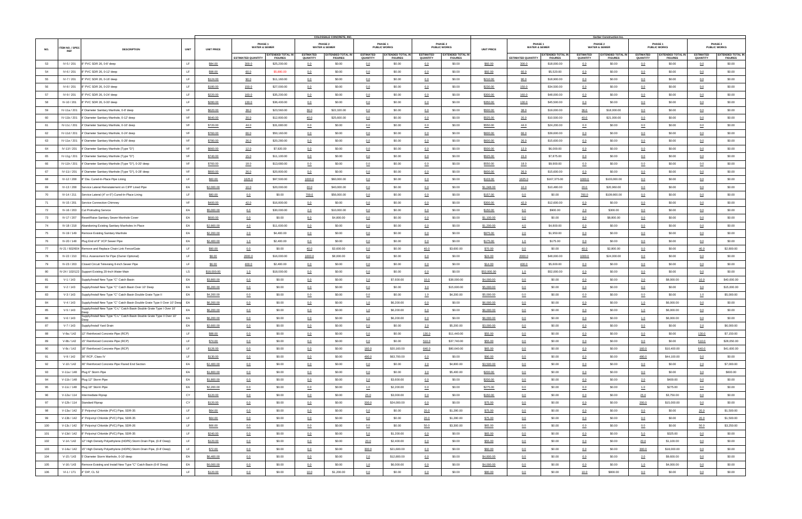|     |                        |                                                                                  |             |                   |                           |                                            |                                     | <b>COLOSSALE CONCRETE, INC.</b>            |                                     |                                            |                                     |                                            |                   |                                     |                                            |                                     | Gerber Construction Inc.            |                                     |                                            |                                     |                                            |
|-----|------------------------|----------------------------------------------------------------------------------|-------------|-------------------|---------------------------|--------------------------------------------|-------------------------------------|--------------------------------------------|-------------------------------------|--------------------------------------------|-------------------------------------|--------------------------------------------|-------------------|-------------------------------------|--------------------------------------------|-------------------------------------|-------------------------------------|-------------------------------------|--------------------------------------------|-------------------------------------|--------------------------------------------|
|     | <b>ITEM NO. / SPEC</b> |                                                                                  |             |                   |                           | PHASE 1<br><b>WATER &amp; SEWER</b>        |                                     | PHASE 2<br><b>WATER &amp; SEWER</b>        |                                     | PHASE 1<br><b>PUBLIC WORKS</b>             |                                     | PHASE 2<br><b>PUBLIC WORKS</b>             |                   | PHASE 1<br><b>WATER &amp; SEWER</b> |                                            |                                     | PHASE 2<br><b>WATER &amp; SEWER</b> |                                     | PHASE 1<br><b>PUBLIC WORKS</b>             |                                     | <b>PHASE 2</b><br><b>PUBLIC WORKS</b>      |
| NO. | <b>REF</b>             | <b>DESCRIPTION</b>                                                               | <b>UNIT</b> | <b>UNIT PRICE</b> |                           |                                            |                                     |                                            |                                     |                                            |                                     |                                            | <b>UNIT PRICE</b> |                                     |                                            |                                     | <b>EXTENDED TOTAL IN</b>            |                                     |                                            |                                     |                                            |
|     |                        |                                                                                  |             |                   | <b>ESTIMATED QUANTITY</b> | <b>EXTENDED TOTAL IN</b><br><b>FIGURES</b> | <b>ESTIMATED</b><br><b>QUANTITY</b> | <b>EXTENDED TOTAL IN</b><br><b>FIGURES</b> | <b>ESTIMATED</b><br><b>QUANTITY</b> | <b>EXTENDED TOTAL IN</b><br><b>FIGURES</b> | <b>ESTIMATED</b><br><b>QUANTITY</b> | <b>EXTENDED TOTAL IN</b><br><b>FIGURES</b> |                   | <b>ESTIMATED QUANTITY</b>           | <b>EXTENDED TOTAL IN</b><br><b>FIGURES</b> | <b>ESTIMATED</b><br><b>QUANTITY</b> | <b>FIGURES</b>                      | <b>ESTIMATED</b><br><b>QUANTITY</b> | <b>EXTENDED TOTAL IN</b><br><b>FIGURES</b> | <b>ESTIMATED</b><br><b>QUANTITY</b> | <b>EXTENDED TOTAL IN</b><br><b>FIGURES</b> |
| 53  | IV-5 / 201             | 8" PVC SDR 26, 0-8' deep                                                         | LF          | \$84.00           | 300.0                     | \$25,200.00                                | 0.0                                 | \$0.00                                     | 0.0                                 | \$0.00                                     | 0.0                                 | \$0.00                                     | \$60.00           | 300.0                               | \$18,000.00                                | 0.0                                 | \$0.00                              | 0.0                                 | \$0.00                                     | 0.0                                 | \$0.00                                     |
| 54  | IV-6 / 201             | 8" PVC SDR 26, 0-12' deep                                                        | LF.         | \$98.00           | 60.0                      | \$5,880.00                                 | 0.0                                 | \$0.00                                     | 0.0                                 | \$0.00                                     | 0.0                                 | \$0.00                                     | \$92.00           | 60.0                                | \$5,520.00                                 | 0.0                                 | \$0.00                              | 0.0                                 | \$0.00                                     | 0.0                                 | \$0.00                                     |
| 55  | IV-7 / 201             | 8" PVC SDR 26, 0-16' deep                                                        | LF          | \$124.00          | 90.0                      | \$11,160.00                                | 0.0                                 | \$0.00                                     | 0.0                                 | \$0.00                                     | 0.0                                 | \$0.00                                     | \$210.00          | 90.0                                | \$18,900.00                                | 0.0                                 | \$0.00                              | 0.0                                 | \$0.00                                     | 0.0                                 | \$0.00                                     |
| 56  | IV-8 / 201             | 8" PVC SDR 26, 0-20' deep                                                        | LF          | \$180.00          | 150.0                     | \$27,000.00                                | 0.0                                 | \$0.00                                     | 0.0                                 | \$0.00                                     | 0.0                                 | \$0.00                                     | \$230.00          | 150.0                               | \$34,500.00                                | 0.0                                 | \$0.00                              | 0.0                                 | \$0.00                                     | 0.0                                 | \$0.00                                     |
| 57  | IV-9 / 201             | 8" PVC SDR 26, 0-24' deep                                                        | LF          | \$220.00          | 160.0                     | \$35,200.00                                | 0.0                                 | \$0.00                                     | 0.0                                 | \$0.00                                     | 0.0                                 | \$0.00                                     | \$300.00          | 160.0                               | \$48,000.00                                | 0.0                                 | \$0.00                              | 0.0                                 | \$0.00                                     | 0.0                                 | \$0.00                                     |
| 58  | IV-10 / 201            | 8" PVC SDR 26, 0-30' deep                                                        | LF          | \$280.00          | 130.0                     | \$36,400.00                                | 0.0                                 | \$0.00                                     | 0.0                                 | \$0.00                                     | 0.0                                 | \$0.00                                     | \$350.00          | 130.0                               | \$45,500.00                                | 0.0                                 | \$0.00                              | 0.0                                 | \$0.00                                     | 0.0                                 | \$0.00                                     |
| 59  | IV-11a / 201           | 4' Diameter Sanitary Manhole, 0-8' deep                                          | VF          | \$620.00          | 38.0                      | \$23,560.00                                | 36.0                                | \$22,320.00                                | 0.0                                 | \$0.00                                     | 0.0                                 | \$0.00                                     | \$500.00          | 38.0                                | \$19,000.00                                | 36.0                                | \$18,000.00                         | 0.0                                 | \$0.00                                     | 0.0                                 | \$0.00                                     |
| 60  | IV-11b / 201           | 4' Diameter Sanitary Manhole, 0-12' deep                                         | VF          | \$640.00          | 20.0                      | \$12,800.00                                | 40.0                                | \$25,600.00                                | 0.0                                 | \$0.00                                     | 0.0                                 | \$0.00                                     | \$525.00          | 20.0                                | \$10,500.00                                | 40.0                                | \$21,000.00                         | 0.0                                 | \$0.00                                     | 0.0                                 | \$0.00                                     |
| 61  | IV-11c / 201           | 4' Diameter Sanitary Manhole, 0-16' deep                                         | VF          | \$720.00          | 44.0                      | \$31,680.00                                | 0.0                                 | \$0.00                                     | 0.0                                 | \$0.00                                     | 0.0                                 | \$0.00                                     | \$550.00          | 44.0                                | \$24,200.00                                | 0.0                                 | \$0.00                              | 0.0                                 | \$0.00                                     | 0.0                                 | \$0.00                                     |
| 62  | IV-11d / 201           | 4' Diameter Sanitary Manhole, 0-24' deep                                         | VF          | \$760.00          | 66.0                      | \$50,160.00                                | 0.0                                 | \$0.00                                     | 0.0                                 | \$0.00                                     | 0.0                                 | \$0.00                                     | \$600.00          | 66.0                                | \$39,600.00                                | 0.0                                 | \$0.00                              | 0.0                                 | \$0.00                                     | 0.0                                 | \$0.00                                     |
| 63  | IV-11e / 201           | 4' Diameter Sanitary Manhole, 0-28' deep                                         | VF          | \$780.00          | 26.0                      | \$20,280.00                                | 0.0                                 | \$0.00                                     | 0.0                                 | \$0.00                                     | 0.0                                 | \$0.00                                     | \$600.00          | 26.0                                | \$15,600.00                                | 0.0                                 | \$0.00                              | 0.0                                 | \$0.00                                     | 0.0                                 | \$0.00                                     |
|     |                        |                                                                                  | VF          |                   |                           |                                            |                                     |                                            |                                     |                                            |                                     |                                            |                   |                                     |                                            |                                     |                                     |                                     |                                            |                                     |                                            |
| 64  | IV-11f / 201           | 4' Diameter Sanitary Manhole (Type "D")                                          |             | \$660.00          | 12.0                      | \$7,920.00                                 | 0.0                                 | \$0.00                                     | 0.0                                 | \$0.00                                     | 0.0                                 | \$0.00                                     | \$500.00          | 12.0                                | \$6,000.00                                 | 0.0                                 | \$0.00                              | 0.0                                 | \$0.00                                     | 0.0                                 | \$0.00                                     |
| 65  | IV-11g / 201           | 4' Diameter Sanitary Manhole (Type "D")                                          | VF          | \$740.00          | 15.0                      | \$11,100.00                                | 0.0                                 | \$0.00                                     | 0.0                                 | \$0.00                                     | 0.0                                 | \$0.00                                     | \$525.00          | 15.0                                | \$7,875.00                                 | 0.0                                 | \$0.00                              | 0.0                                 | \$0.00                                     | 0.0                                 | \$0.00                                     |
| 66  | IV-11h / 201           | 4' Diameter Sanitary Manhole (Type "D"), 0-20' deep                              | VF          | \$760.00          | 18.0                      | \$13,680.00                                | 0.0                                 | \$0.00                                     | 0.0                                 | \$0.00                                     | 0.0                                 | \$0.00                                     | \$550.00          | 18.0                                | \$9,900.00                                 | 0.0                                 | \$0.00                              | 0.0                                 | \$0.00                                     | 0.0                                 | \$0.00                                     |
| 67  | IV-11i / 201           | 4' Diameter Sanitary Manhole (Type "D"), 0-28' deep                              | VF          | \$800.00          | 26.0                      | \$20,800.00                                | 0.0                                 | \$0.00                                     | 0.0                                 | \$0.00                                     | 0.0                                 | \$0.00                                     | \$600.00          | 26.0                                | \$15,600.00                                | 0.0                                 | \$0.00                              | 0.0                                 | \$0.00                                     | 0.0                                 | \$0.00                                     |
| 68  | IV-12 / 208            | 8" Dia. Cured-In-Place Pipe Lining                                               | LF          | \$60.00           | 1625.0                    | \$97,500.00                                | 1000.0                              | \$60,000.00                                | 0.0                                 | \$0.00                                     | 0.0                                 | \$0.00                                     | \$103.00          | 1625.0                              | \$167,375.00                               | 1000.0                              | \$103,000.00                        | 0.0                                 | \$0.00                                     | 0.0                                 | \$0.00                                     |
| 69  | IV-13 / 208            | Service Lateral Reinstatement on CIPP Lined Pipe                                 | EA          | \$2,000.00        | 10.0                      | \$20,000.00                                | 20.0                                | \$40,000.00                                | 0.0                                 | \$0.00                                     | 0.0                                 | \$0.00                                     | \$1,048.00        | 10.0                                | \$10,480.00                                | 20.0                                | \$20,960.00                         | 0.0                                 | \$0.00                                     | 0.0                                 | \$0.00                                     |
| 70  | IV-14 / 211            | Service Lateral (4" or 6") Cured-In-Place Lining                                 | LF.         | \$80.00           | 0.0                       | \$0.00                                     | 700.0                               | \$56,000.00                                | 0.0                                 | \$0.00                                     | 0.0                                 | \$0.00                                     | \$157.00          | 0.0                                 | \$0.00                                     | 700.0                               | \$109,900.00                        | 0.0                                 | \$0.00                                     | 0.0                                 | \$0.00                                     |
| 71  | IV-15 / 201            | Service Connection Chimney                                                       | VF          | \$400.00          | 42.0                      | \$16,800.00                                | 0.0                                 | \$0.00                                     | 0.0                                 | \$0.00                                     | 0.0                                 | \$0.00                                     | \$300.00          | 42.0                                | \$12,600.00                                | 0.0                                 | \$0.00                              | 0.0                                 | \$0.00                                     | 0.0                                 | \$0.00                                     |
| 72  |                        | IV-16 / 203 Cut Protruding Service                                               | EA          | \$5,000.00        | 6.0                       | \$30,000.00                                | 2.0                                 | \$10,000.00                                | 0.0                                 | \$0.00                                     | 0.0                                 | \$0.00                                     | \$150.00          | 6.0                                 | \$900.00                                   | 2.0                                 | \$300.00                            | 0.0                                 | \$0.00                                     | 0.0                                 | \$0.00                                     |
| 73  |                        | IV-17 / 207 Reset/Raise Sanitary Sewer Manhole Cover                             | EA          | \$600.00          | 0.0                       | \$0.00                                     | 8.0                                 | \$4,800.00                                 | 0.0                                 | \$0.00                                     | 0.0                                 | \$0.00                                     | \$1,100.00        | 0.0                                 | \$0.00                                     | 8.0                                 | \$8,800.00                          | 0.0                                 | \$0.00                                     | 0.0                                 | \$0.00                                     |
| 74  |                        | IV-18 / 218 Abandoning Existing Sanitary Manholes In Place                       | EA          | \$2,900.00        | 4.0                       | \$11,600.00                                | 0.0                                 | \$0.00                                     | 0.0                                 | \$0.00                                     | 0.0                                 | \$0.00                                     | \$1,200.00        | 4.0                                 | \$4,800.00                                 | 0.0                                 | \$0.00                              | 0.0                                 | \$0.00                                     | 0.0                                 | \$0.00                                     |
| 75  |                        | IV-19 / 149 Remove Existing Sanitary Manhole                                     | EA          | \$2,200.00        | 2.0                       | \$4,400.00                                 | 0.0                                 | \$0.00                                     | 0.0                                 | \$0.00                                     | 0.0                                 | \$0.00                                     | \$975.00          | 2.0                                 | \$1,950.00                                 | 0.0                                 | \$0.00                              | 0.0                                 | \$0.00                                     | 0.0                                 | \$0.00                                     |
| 76  |                        | IV-20 / 148 Plug End of 8" VCP Sewer Pipe                                        | EA          | \$2,400.00        | 1.0                       | \$2,400.00                                 | 0.0                                 | \$0.00                                     | 0.0                                 | \$0.00                                     | 0.0                                 | \$0.00                                     | \$175.00          | 1.0                                 | \$175.00                                   | 0.0                                 | \$0.00                              | 0.0                                 | \$0.00                                     | 0.0                                 | \$0.00                                     |
| 77  |                        | IV-21 / 602/604 Remove and Replace Chain Link Fence/Gate                         | LF          | \$90.00           | 0.0                       | \$0.00                                     | 40.0                                | \$3,600.00                                 | 0.0                                 | \$0.00                                     | 40.0                                | \$3,600.00                                 | \$70.00           | 0.0                                 | \$0.00                                     | 40.0                                | \$2,800.00                          | 0.0                                 | \$0.00                                     | 40.0                                | \$2,800.00                                 |
| 78  |                        | IV-22 / 210 FELL Assessment for Pipe (Owner Optional)                            | LF          | \$8.00            | 2000.0                    | \$16,000.00                                | 1000.0                              | \$8,000.00                                 | 0.0                                 | \$0.00                                     | 0.0                                 | \$0.00                                     | \$24.00           | 2000.0                              | \$48,000.00                                | 1000.0                              | \$24,000.00                         | 0.0                                 | \$0.00                                     | 0.0                                 | \$0.00                                     |
| 79  | IV-23 / 203            | Closed Circuit Televising 8-inch Sewer Pipe                                      | LF          | \$6.00            |                           | \$2,400.00                                 |                                     | \$0.00                                     |                                     | \$0.00                                     | 0.0                                 | \$0.00                                     | \$14.00           | 400.0                               | \$5,600.00                                 |                                     | \$0.00                              |                                     | \$0.00                                     |                                     | \$0.00                                     |
|     |                        |                                                                                  |             |                   | 400.0                     |                                            | 0.0                                 |                                            | 0.0                                 |                                            |                                     |                                            |                   |                                     |                                            | 0.0                                 |                                     | 0.0                                 |                                            | 0.0                                 |                                            |
| 80  |                        | V-24 / 102/122 Support Existing 20-Inch Water Main                               | LS          | \$18,000.00       | 1.0                       | \$18,000.00                                | 0.0                                 | \$0.00                                     | 0.0                                 | \$0.00                                     | 0.0                                 | \$0.00                                     | \$52,000.00       | 1.0                                 | \$52,000.00                                | 0.0                                 | \$0.00                              | 0.0                                 | \$0.00                                     | 0.0                                 | \$0.00                                     |
| 81  | $V - 1 / 143$          | Supply/Install New Type "C" Catch Basin                                          | EA          | \$3,800.00        | 0.0                       | \$0.00                                     | 0.0                                 | \$0.00                                     | 2.0                                 | \$7,600.00                                 | 10.0                                | \$38,000.00                                | \$4,000.00        | 0.0                                 | \$0.00                                     | 0.0                                 | \$0.00                              | 2.0                                 | \$8,000.00                                 | 10.0                                | \$40,000.00                                |
| 82  | $V - 2 / 143$          | Supply/Install New Type "C" Catch Basin Over 10' Deep                            | EA          | \$5,200.00        | 0.0                       | \$0.00                                     | 0.0                                 | \$0.00                                     | 0.0                                 | \$0.00                                     | 3.0                                 | \$15,600.00                                | \$5,000.00        | 0.0                                 | \$0.00                                     | 0.0                                 | \$0.00                              | 0.0                                 | \$0.00                                     | 3.0                                 | \$15,000.00                                |
| 83  | $V-3/143$              | Supply/Install New Type "C" Catch Basin Double Grate Type II                     | EA          | \$4,200.00        | 0.0                       | \$0.00                                     | 0.0                                 | \$0.00                                     | 0.0                                 | \$0.00                                     | 1.0                                 | \$4,200.00                                 | \$5,000.00        | 0.0                                 | \$0.00                                     | 0.0                                 | \$0.00                              | 0.0                                 | \$0.00                                     | 1.0                                 | \$5,000.00                                 |
| 84  | $V-4/143$              | Supply/Install New Type "C" Catch Basin Double Grate Type II Over 10' Deep EA    |             | \$6,200.00        | 0.0                       | \$0.00                                     | 0.0                                 | \$0.00                                     | 1.0                                 | \$6,200.00                                 | 0.0                                 | \$0.00                                     | \$6,000.00        | 0.0                                 | \$0.00                                     | 0.0                                 | \$0.00                              | 1.0                                 | \$6,000.00                                 | 0.0                                 | \$0.00                                     |
| 85  | $V-5/143$              | Supply/Install New Type "C-L" Catch Basin Double Grate Type I Over 10'           | EA          | \$6,200.00        | 0.0                       | \$0.00                                     | 0.0                                 | \$0.00                                     | 1.0                                 | \$6,200.00                                 | 0.0                                 | \$0.00                                     | \$6,000.00        | 0.0                                 | \$0.00                                     | 0.0                                 | \$0.00                              | 1.0                                 | \$6,000.00                                 | 0.0                                 | \$0.00                                     |
| 86  | $V - 6 / 143$          | Supply/Install New Type "C-L" Catch Basin Double Grate Type II Over 10'          | EA          | \$6,200.00        | 0.0                       | \$0.00                                     | 0.0                                 | \$0.00                                     | 1.0                                 | \$6,200.00                                 | 0.0                                 | \$0.00                                     | \$6,000.00        | 0.0                                 | \$0.00                                     | 0.0                                 | \$0.00                              | 1.0                                 | \$6,000.00                                 | 0.0                                 | \$0.00                                     |
| 87  | V-7 / 143              | Supply/Install Yard Drain                                                        | EA          | \$2,600.00        | 0.0                       | \$0.00                                     | 0.0                                 | \$0.00                                     | 0.0                                 | \$0.00                                     | 2.0                                 | \$5,200.00                                 | \$3,000.00        | 0.0                                 | \$0.00                                     | 0.0                                 | \$0.00                              | 0.0                                 | \$0.00                                     | 2.0                                 | \$6,000.00                                 |
| 88  | V-8a / 142             | 12" Reinforced Concrete Pipe (RCP)                                               | LF.         | \$88.00           | 0.0                       | \$0.00                                     | 0.0                                 | \$0.00                                     | 0.0                                 | \$0.00                                     | 130.0                               | \$11,440.00                                | \$55.00           | 0.0                                 | \$0.00                                     | 0.0                                 | \$0.00                              | 0.0                                 | \$0.00                                     | 130.0                               | \$7,150.00                                 |
| 89  | V-8b / 142             | 15" Reinforced Concrete Pipe (RCP)                                               | LF          | \$74.00           | 0.0                       | \$0.00                                     | 0.0                                 | \$0.00                                     | 0.0                                 | \$0.00                                     | 510.0                               | \$37,740.00                                | \$55.00           | 0.0                                 | \$0.00                                     | 0.0                                 | \$0.00                              | 0.0                                 | \$0.00                                     | 510.0                               | \$28,050.00                                |
| 90  |                        | V-8c / 142   18" Reinforced Concrete Pipe (RCP)                                  | LF.         | \$126.00          | 0.0                       | \$0.00                                     | 0.0                                 | \$0.00                                     | 160.0                               | \$20,160.00                                | 640.0                               | \$80,640.00                                | \$65.00           | 0.0                                 | \$0.00                                     | 0.0                                 | \$0.00                              | 160.0                               | \$10,400.00                                | 640.0                               | \$41,600.00                                |
| 91  | $V-9/142$              | 36" RCP, Class IV                                                                | LF          | \$130.00          | 0.0                       | \$0.00                                     | 0.0                                 | \$0.00                                     | 490.0                               | \$63,700.00                                | 0.0                                 | \$0.00                                     | \$90.00           | 0.0                                 | \$0.00                                     | 0.0                                 | \$0.00                              | 490.0                               | \$44,100.00                                | 0.0                                 | \$0.00                                     |
| 92  |                        | V-10 / 142 36" Reinforced Concrete Pipe Flared End Section                       | EA          | \$2,400.00        | 0.0                       | \$0.00                                     | 0.0                                 | \$0.00                                     | 0.0                                 | \$0.00                                     | 2.0                                 | \$4,800.00                                 | \$3,500.00        | 0.0                                 | \$0.00                                     | 0.0                                 | \$0.00                              | 0.0                                 | \$0.00                                     | 2.0                                 | \$7,000.00                                 |
| 93  |                        | V-11a / 148 Plug 6" Storm Pipe                                                   | EA          | \$1,800.00        | 0.0                       | \$0.00                                     | 0.0                                 | \$0.00                                     | 0.0                                 | \$0.00                                     | 3.0                                 | \$5,400.00                                 | \$200.00          | 0.0                                 | \$0.00                                     | 0.0                                 | \$0.00                              | 0.0                                 | \$0.00                                     | 3.0                                 | \$600.00                                   |
| 94  |                        | V-11b / 148 Plug 12" Storm Pipe                                                  | EA          | \$1,800.00        | 0.0                       | \$0.00                                     | 0.0                                 | \$0.00                                     | 2.0                                 | \$3,600.00                                 | 0.0                                 | \$0.00                                     | \$200.00          | 0.0                                 | \$0.00                                     | 0.0                                 | \$0.00                              | 2.0                                 | \$400.00                                   | 0.0                                 | \$0.00                                     |
| 95  |                        | V-11c / 148 Plug 18" Storm Pipe                                                  | EA          | \$2,200.00        | 0.0                       | \$0.00                                     | 0.0                                 | \$0.00                                     | 1.0                                 | \$2,200.00                                 | 0.0                                 | \$0.00                                     | \$275.00          | 0.0                                 | \$0.00                                     | 0.0                                 | \$0.00                              | 1.0                                 | \$275.00                                   | 0.0                                 | \$0.00                                     |
| 96  |                        | V-12a / 114 Intermediate Riprap                                                  | CY          | \$120.00          | 0.0                       | \$0.00                                     | 0.0                                 | \$0.00                                     | 25.0                                | \$3,000.00                                 | 0.0                                 | \$0.00                                     | \$150.00          | 0.0                                 | \$0.00                                     | 0.0                                 | \$0.00                              | 25.0                                | \$3,750.00                                 | 0.0                                 | \$0.00                                     |
| 97  |                        | V-12b / 114 Standard Riprap                                                      | CY          |                   |                           | \$0.00                                     |                                     | \$0.00                                     |                                     | \$24,000.00                                |                                     | \$0.00                                     |                   |                                     | \$0.00                                     |                                     | \$0.00                              |                                     | \$15,000.00                                |                                     | \$0.00                                     |
|     |                        |                                                                                  |             | \$120.00          | 0.0                       |                                            | 0.0                                 |                                            | 200.0                               |                                            | 0.0                                 |                                            | \$75.00           | 0.0                                 |                                            | 0.0                                 |                                     | 200.0                               |                                            | 0.0                                 |                                            |
| 98  |                        | V-13a / 142 3" Polyvinyl Chloride (PVC) Pipe, SDR-35                             | LF          | \$64.00           | 0.0                       | \$0.00                                     | 0.0                                 | \$0.00                                     | 0.0                                 | \$0.00                                     | 20.0                                | \$1,280.00                                 | \$75.00           | 0.0                                 | \$0.00                                     | 0.0                                 | \$0.00                              | 0.0                                 | \$0.00                                     | 20.0                                | \$1,500.00                                 |
| 99  |                        | V-13b / 142 4" Polyvinyl Chloride (PVC) Pipe, SDR-35                             | LF          | \$64.00           | 0.0                       | \$0.00                                     | 0.0                                 | \$0.00                                     | 0.0                                 | \$0.00                                     | 20.0                                | \$1,280.00                                 | \$75.00           | 0.0                                 | \$0.00                                     | 0.0                                 | \$0.00                              | 0.0                                 | \$0.00                                     | 20.0                                | \$1,500.00                                 |
| 100 |                        | V-13c / 142 6" Polyvinyl Chloride (PVC) Pipe, SDR-26                             | LF          | \$66.00           | 0.0                       | \$0.00                                     | 0.0                                 | \$0.00                                     | 0.0                                 | \$0.00                                     | 50.0                                | \$3,300.00                                 | \$65.00           | 0.0                                 | \$0.00                                     | 0.0                                 | \$0.00                              | 0.0                                 | \$0.00                                     | 50.0                                | \$3,250.00                                 |
| 101 |                        | V-13d / 142 8" Polyvinyl Chloride (PVC) Pipe, SDR-35                             | LF          | \$240.00          | 0.0                       | \$0.00                                     | 0.0                                 | \$0.00                                     | 5.0                                 | \$1,200.00                                 | 0.0                                 | \$0.00                                     | \$65.00           | 0.0                                 | \$0.00                                     | 0.0                                 | \$0.00                              | 5.0                                 | \$325.00                                   | 0.0                                 | \$0.00                                     |
| 102 |                        | V-14 / 142   12" High Density Polyethylene (HDPE) Storm Drain Pipe, (0-8' Deep)  | LF          | \$120.00          | 0.0                       | \$0.00                                     | 0.0                                 | \$0.00                                     | 20.0                                | \$2,400.00                                 | 0.0                                 | \$0.00                                     | \$55.00           | 0.0                                 | \$0.00                                     | 0.0                                 | \$0.00                              | 20.0                                | \$1,100.00                                 | 0.0                                 | \$0.00                                     |
| 103 |                        | V-14a / 142   15" High Density Polyethylene (HDPE) Storm Drain Pipe, (0-8' Deep) | LF.         | \$72.00           | 0.0                       | \$0.00                                     | 0.0                                 | \$0.00                                     | 300.0                               | \$21,600.00                                | 0.0                                 | \$0.00                                     | \$60.00           | 0.0                                 | \$0.00                                     | 0.0                                 | \$0.00                              | 300.0                               | \$18,000.00                                | 0.0                                 | \$0.00                                     |
| 104 |                        | V-15 / 143 5' Diameter Storm Manhole, 0-10' deep                                 | EA          | \$6,400.00        | 0.0                       | \$0.00                                     | 0.0                                 | \$0.00                                     | 2.0                                 | \$12,800.00                                | 0.0                                 | \$0.00                                     | \$4,800.00        | 0.0                                 | \$0.00                                     | 0.0                                 | \$0.00                              | 2.0                                 | \$9,600.00                                 | 0.0                                 | \$0.00                                     |
| 105 | V-16 / 143             | Remove Existing and Install New Type "C" Catch Basin (0-8' Deep)                 | EA          | \$6,000.00        | 0.0                       | \$0.00                                     | 0.0                                 | \$0.00                                     | 1.0                                 | \$6,000.00                                 | 0.0                                 | \$0.00                                     | \$4,000.00        | 0.0                                 | \$0.00                                     | 0.0                                 | \$0.00                              | 1.0                                 | \$4,000.00                                 | 0.0                                 | \$0.00                                     |
| 106 | VI-1 / 171             | 4" DIP, CL 52                                                                    | LF.         | \$120.00          | 0.0                       | \$0.00                                     | 10.0                                | \$1,200.00                                 | 0.0                                 | \$0.00                                     | 0.0                                 | \$0.00                                     | \$80.00           | 0.0                                 | \$0.00                                     | 10.0                                | \$800.00                            | 0.0                                 | \$0.00                                     | 0.0                                 | \$0.00                                     |
|     |                        |                                                                                  |             |                   |                           |                                            |                                     |                                            |                                     |                                            |                                     |                                            |                   |                                     |                                            |                                     |                                     |                                     |                                            |                                     |                                            |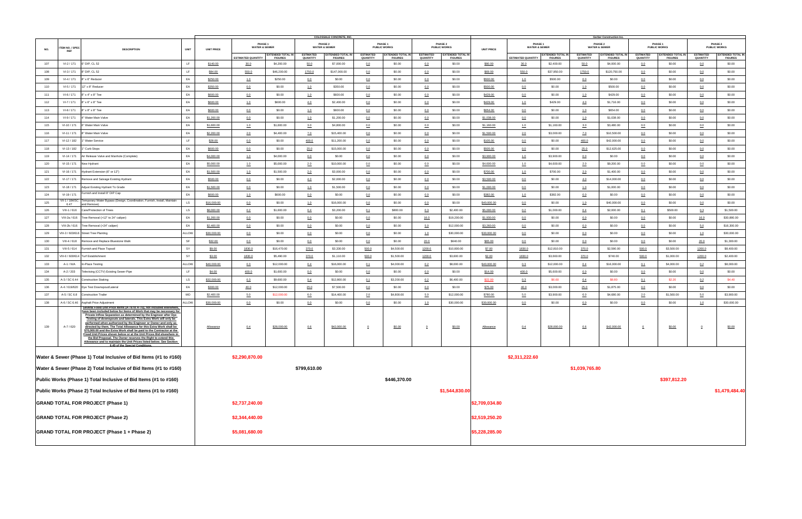|            |                               |                                                                                                                                                                                                                                                                                                                                                                                                                                                                                                                                                                                                                                                                                                                                                                                                      |                    |                          |                                     |                                            |                              | <b>COLOSSALE CONCRETE, INC.</b>            |                              |                                            |                              |                                            |                          |                                     |                                            |                                     | Gerber Construction Inc.                   |                              |                                            |                                     |                                            |
|------------|-------------------------------|------------------------------------------------------------------------------------------------------------------------------------------------------------------------------------------------------------------------------------------------------------------------------------------------------------------------------------------------------------------------------------------------------------------------------------------------------------------------------------------------------------------------------------------------------------------------------------------------------------------------------------------------------------------------------------------------------------------------------------------------------------------------------------------------------|--------------------|--------------------------|-------------------------------------|--------------------------------------------|------------------------------|--------------------------------------------|------------------------------|--------------------------------------------|------------------------------|--------------------------------------------|--------------------------|-------------------------------------|--------------------------------------------|-------------------------------------|--------------------------------------------|------------------------------|--------------------------------------------|-------------------------------------|--------------------------------------------|
| NO.        | TEM NO. / SPEC<br><b>REF</b>  | <b>DESCRIPTION</b>                                                                                                                                                                                                                                                                                                                                                                                                                                                                                                                                                                                                                                                                                                                                                                                   | <b>UNIT</b>        | <b>UNIT PRICE</b>        | PHASE 1<br><b>WATER &amp; SEWER</b> |                                            |                              | <b>PHASE 2</b><br><b>WATER &amp; SEWER</b> |                              | PHASE 1<br><b>PUBLIC WORKS</b>             |                              | PHASE 2<br><b>PUBLIC WORKS</b>             | <b>UNIT PRICE</b>        | PHASE 1<br><b>WATER &amp; SEWER</b> |                                            |                                     | <b>PHASE 2</b><br><b>WATER &amp; SEWER</b> |                              | PHASE 1<br><b>PUBLIC WORKS</b>             |                                     | PHASE 2<br><b>PUBLIC WORKS</b>             |
|            |                               |                                                                                                                                                                                                                                                                                                                                                                                                                                                                                                                                                                                                                                                                                                                                                                                                      |                    |                          | <b>ESTIMATED QUANTITY</b>           | <b>EXTENDED TOTAL IN</b><br><b>FIGURES</b> | <b>ESTIMATED</b><br>QUANTITY | <b>EXTENDED TOTAL IN</b><br><b>FIGURES</b> | <b>ESTIMATED</b><br>QUANTITY | <b>EXTENDED TOTAL IN</b><br><b>FIGURES</b> | <b>ESTIMATED</b><br>QUANTITY | <b>EXTENDED TOTAL IN</b><br><b>FIGURES</b> |                          | <b>ESTIMATED QUANTITY</b>           | <b>EXTENDED TOTAL IN</b><br><b>FIGURES</b> | <b>ESTIMATED</b><br><b>QUANTITY</b> | <b>EXTENDED TOTAL IN</b><br><b>FIGURES</b> | <b>ESTIMATED</b><br>QUANTITY | <b>EXTENDED TOTAL IN</b><br><b>FIGURES</b> | <b>ESTIMATED</b><br><b>QUANTITY</b> | <b>EXTENDED TOTAL IN</b><br><b>FIGURES</b> |
| 107        | VI-2 / 171                    | 6" DIP, CL 52                                                                                                                                                                                                                                                                                                                                                                                                                                                                                                                                                                                                                                                                                                                                                                                        | LF.                | \$140.00                 | 30.0                                | \$4,200.00                                 | 50.0                         | \$7,000.00                                 | 0.0                          | \$0.00                                     | 0.0                          | \$0.00                                     | \$80.00                  | 30.0                                | \$2,400.00                                 | 50.0                                | \$4,000.00                                 | 0.0                          | \$0.00                                     | 0.0                                 | \$0.00                                     |
| 108        | VI-3 / 171                    | 8" DIP, CL 52                                                                                                                                                                                                                                                                                                                                                                                                                                                                                                                                                                                                                                                                                                                                                                                        | LF.                | \$84.00                  | 550.0                               | \$46,200.00                                | 1750.0                       | \$147,000.00                               | 0.0                          | \$0.00                                     | 0.0                          | \$0.00                                     | \$69.00                  | 550.0                               | \$37,950.00                                | 1750.0                              | \$120,750.00                               | 0.0                          | \$0.00                                     | 0.0                                 | \$0.00                                     |
| 109        | VI-4 / 171                    | 8" x 6" Reducer                                                                                                                                                                                                                                                                                                                                                                                                                                                                                                                                                                                                                                                                                                                                                                                      | EA                 | \$250.00                 | 1.0                                 | \$250.00                                   | 0.0                          | \$0.00                                     | 0.0                          | \$0.00                                     | 0.0                          | \$0.00                                     | \$500.00                 | 1.0                                 | \$500.00                                   | 0.0                                 | \$0.00                                     | 0.0                          | \$0.00                                     | 0.0                                 | \$0.00                                     |
| 110        | VI-5 / 171                    | 12" x 8" Reducer                                                                                                                                                                                                                                                                                                                                                                                                                                                                                                                                                                                                                                                                                                                                                                                     | EA                 | \$350.00                 | 0.0                                 | \$0.00                                     | 1.0                          | \$350.00                                   | 0.0                          | \$0.00                                     | 0.0                          | \$0.00                                     | \$500.00                 | 0.0                                 | \$0.00                                     | 1.0                                 | \$500.00                                   | 0.0                          | \$0.00                                     | 0.0                                 | \$0.00                                     |
| 111        | VI-6 / 171                    | 8" x 4" x 8" Tee                                                                                                                                                                                                                                                                                                                                                                                                                                                                                                                                                                                                                                                                                                                                                                                     | EA                 | \$600.00                 | 0.0                                 | \$0.00                                     | 1.0                          | \$600.00                                   | 0.0                          | \$0.00                                     | 0.0                          | \$0.00                                     | \$429.00                 | 0.0                                 | \$0.00                                     | 1.0                                 | \$429.00                                   | 0.0                          | \$0.00                                     | 0.0                                 | \$0.00                                     |
| 112        | VI-7 / 171                    | 8" x 6" x 8" Tee                                                                                                                                                                                                                                                                                                                                                                                                                                                                                                                                                                                                                                                                                                                                                                                     | EA                 | \$600.00                 | 1.0                                 | \$600.00                                   | 4.0                          | \$2,400.00                                 | 0.0                          | \$0.00                                     | 0.0                          | \$0.00                                     | \$429.00                 | 1.0                                 | \$429.00                                   | 4.0                                 | \$1,716.00                                 | 0.0                          | \$0.00                                     | 0.0                                 | \$0.00                                     |
| 113        | VI-8 / 171                    | 8" x 8" x 8" Tee                                                                                                                                                                                                                                                                                                                                                                                                                                                                                                                                                                                                                                                                                                                                                                                     | EA                 | \$600.00                 | 0.0                                 | \$0.00                                     | 1.0                          | \$600.00                                   | 0.0                          | \$0.00                                     | 0.0                          | \$0.00                                     | \$654.00                 | 0.0                                 | \$0.00                                     | 1.0                                 | \$654.00                                   | 0.0                          | \$0.00                                     | 0.0                                 | \$0.00                                     |
| 114        | VI-9 / 171                    | 4" Water Main Valve                                                                                                                                                                                                                                                                                                                                                                                                                                                                                                                                                                                                                                                                                                                                                                                  | EA                 | \$1,200.00               | 0.0                                 | \$0.00                                     | 1.0                          | \$1,200.00                                 | 0.0                          | \$0.00                                     | 0.0                          | \$0.00                                     | \$1,038.00               | 0.0                                 | \$0.00                                     | 1.0                                 | \$1,038.00                                 | 0.0                          | \$0.00                                     | 0.0                                 | \$0.00                                     |
| 115        | VI-10 / 171                   | 6" Water Main Valve                                                                                                                                                                                                                                                                                                                                                                                                                                                                                                                                                                                                                                                                                                                                                                                  | EA                 | \$1,600.00               | 1.0                                 | \$1,600.00                                 | 3.0                          | \$4,800.00                                 | 0.0                          | \$0.00                                     | 0.0                          | \$0.00                                     | \$1,160.00               | 1.0                                 | \$1,160.00                                 | 3.0                                 | \$3,480.00                                 | 0.0                          | \$0.00                                     | 0.0                                 | \$0.00                                     |
| 116        | VI-11 / 171                   | 8" Water Main Valve                                                                                                                                                                                                                                                                                                                                                                                                                                                                                                                                                                                                                                                                                                                                                                                  | EA                 | \$2,200.00               | 2.0                                 | \$4,400.00                                 | Z.0                          | \$15,400.00                                | 0.0                          | \$0.00                                     | 0.0                          | \$0.00                                     | \$1,500.00               | 2.0                                 | \$3,000.00                                 | <u>7.0</u>                          | \$10,500.00                                | 0.0                          | \$0.00                                     | 0.0                                 | \$0.00                                     |
| 117        | VI-12 / 182                   | " Water Service                                                                                                                                                                                                                                                                                                                                                                                                                                                                                                                                                                                                                                                                                                                                                                                      | LF                 | \$28.00                  | 0.0                                 | \$0.00                                     | 400.0                        | \$11,200.00                                | 0.0                          | \$0.00                                     | 0.0                          | \$0.00                                     | \$105.00                 | 0.0                                 | \$0.00                                     | 400.0                               | \$42,000.00                                | 0.0                          | \$0.00                                     | 0.0                                 | \$0.00                                     |
| 118        | VI-13 / 182                   | I" Curb Stops                                                                                                                                                                                                                                                                                                                                                                                                                                                                                                                                                                                                                                                                                                                                                                                        | EA                 | \$600.00                 | 0.0                                 | \$0.00                                     | 25.0                         | \$15,000.00                                | 0.0                          | \$0.00                                     | 0.0                          | \$0.00                                     | \$505.00                 | 0.0                                 | \$0.00                                     | 25.0                                | \$12,625.00                                | 0.0                          | \$0.00                                     | 0.0                                 | \$0.00                                     |
| 119        | $VI-14/171$                   | Air Release Valve and Manhole (Complete)                                                                                                                                                                                                                                                                                                                                                                                                                                                                                                                                                                                                                                                                                                                                                             | EA                 | \$4,000.00               | 1.0                                 | \$4,000.00                                 | 0.0                          | \$0.00                                     | 0.0                          | \$0.00                                     | 0.0                          | \$0.00                                     | \$3,900.00               | 1.0                                 | \$3,900.00                                 | 0.0                                 | \$0.00                                     | 0.0                          | \$0.00                                     | 0.0                                 | \$0.00                                     |
| 120        | VI-15 / 171                   | New Hydrant                                                                                                                                                                                                                                                                                                                                                                                                                                                                                                                                                                                                                                                                                                                                                                                          | EA                 | \$5,000.00               | 1.0                                 | \$5,000.00                                 | 2.0                          | \$10,000.00                                | 0.0                          | \$0.00                                     | 0.0                          | \$0.00                                     | \$4,600.00               | 1.0                                 | \$4,600.00                                 | 2.0                                 | \$9,200.00                                 | 0.0                          | \$0.00                                     | 0.0                                 | \$0.00                                     |
| 121        | VI-16 / 171                   |                                                                                                                                                                                                                                                                                                                                                                                                                                                                                                                                                                                                                                                                                                                                                                                                      | EA                 | \$1,500.00               | 1.0                                 | \$1,500.00                                 | 2.0                          | \$3,000.00                                 | 0.0                          | \$0.00                                     | 0.0                          | \$0.00                                     |                          | 1.0                                 | \$700.00                                   | 2.0                                 | \$1,400.00                                 | 0.0                          | \$0.00                                     | 0.0                                 | \$0.00                                     |
| 122        |                               | Hydrant Extension (6" or 12")                                                                                                                                                                                                                                                                                                                                                                                                                                                                                                                                                                                                                                                                                                                                                                        | EA                 |                          | 0.0                                 | \$0.00                                     |                              | \$2,000.00                                 |                              | \$0.00                                     |                              | \$0.00                                     | \$700.00                 |                                     |                                            |                                     | \$14,000.00                                |                              | \$0.00                                     |                                     | \$0.00                                     |
| 123        |                               | VI-17 / 171 Remove and Salvage Existing Hydrant                                                                                                                                                                                                                                                                                                                                                                                                                                                                                                                                                                                                                                                                                                                                                      | EA                 | \$500.00                 |                                     | \$0.00                                     | 4.0                          | \$1,500.00                                 | 0.0                          |                                            | 0.0                          | \$0.00                                     | \$3,500.00               | 0.0                                 | \$0.00                                     | 4.0                                 | \$1,000.00                                 | 0.0                          | \$0.00                                     | 0.0                                 | \$0.00                                     |
|            |                               | VI-18 / 171 Adjust Existing Hydrant To Grade<br>Furnish and Install 8" DIP Cap                                                                                                                                                                                                                                                                                                                                                                                                                                                                                                                                                                                                                                                                                                                       | EA                 | \$1,500.00               | 0.0                                 |                                            | 1.0                          |                                            | 0.0                          | \$0.00                                     | 0.0                          |                                            | \$1,000.00               | 0.0                                 | \$0.00                                     | 1.0                                 |                                            | 0.0                          |                                            | 0.0                                 |                                            |
| 124        | $VI-19/171$<br>VII-1 / 184/SC | Temporary Water Bypass (Design, Coordination, Furnish, Install, Maintain                                                                                                                                                                                                                                                                                                                                                                                                                                                                                                                                                                                                                                                                                                                             |                    | \$600.00                 | 1.0                                 | \$600.00                                   | 0.0                          | \$0.00                                     | 0.0                          | \$0.00                                     | 0.0                          | \$0.00                                     | \$382.00                 | 1.0                                 | \$382.00                                   | 0.0                                 | \$0.00                                     | 0.0                          | \$0.00                                     | 0.0                                 | \$0.00                                     |
| 125        | 6.47                          | and Remove)                                                                                                                                                                                                                                                                                                                                                                                                                                                                                                                                                                                                                                                                                                                                                                                          | LS                 | \$16,000.00              | 0.0                                 | \$0.00                                     | 1.0                          | \$16,000.00                                | 0.0                          | \$0.00                                     | 0.0                          | \$0.00                                     | \$40,000.00              | 0.0                                 | \$0.00                                     | 1.0                                 | \$40,000.00                                | 0.0                          | \$0.00                                     | 0.0                                 | \$0.00                                     |
| 126        | VIII-1 / 616                  | Care/Protection of Trees                                                                                                                                                                                                                                                                                                                                                                                                                                                                                                                                                                                                                                                                                                                                                                             | LS                 | \$8,000.00               | 0.2                                 | \$1,600.00                                 | 0.4                          | \$3,200.00                                 | 0.1                          | \$800.00                                   | 0.3                          | \$2,400.00                                 | \$5,000.00               | 0.2                                 | \$1,000.00                                 | 0.4                                 | \$2,000.00                                 | 0.1                          | \$500.00                                   | 0.3                                 | \$1,500.00                                 |
| 127        | VIII-2a / 616                 | Tree Removal (>12" to 24" caliper)                                                                                                                                                                                                                                                                                                                                                                                                                                                                                                                                                                                                                                                                                                                                                                   | EA                 | \$1,200.00               | 0.0                                 | \$0.00                                     | 0.0                          | \$0.00                                     | 0.0                          | \$0.00                                     | 16.0                         | \$19,200.00                                | \$1,930.00               | 0.0                                 | \$0.00                                     | 0.0                                 | \$0.00                                     | 0.0                          | \$0.00                                     | 16.0                                | \$30,880.00                                |
| 128        | VIII-2b / 616                 | Tree Removal (>24" caliper)                                                                                                                                                                                                                                                                                                                                                                                                                                                                                                                                                                                                                                                                                                                                                                          | EA                 | \$2,400.00               | 0.0                                 | \$0.00                                     | 0.0                          | \$0.00                                     | 0.0                          | \$0.00                                     | 5.0                          | \$12,000.00                                | \$3,260.00               | 0.0                                 | \$0.00                                     | 0.0                                 | \$0.00                                     | 0.0                          | \$0.00                                     | 5.0                                 | \$16,300.00                                |
| 129        |                               | VIII-3 / 603/616 Street Tree Planting                                                                                                                                                                                                                                                                                                                                                                                                                                                                                                                                                                                                                                                                                                                                                                | <b>ALLOW</b>       | \$30,000.00              | 0.0                                 | \$0.00                                     | 0.0                          | \$0.00                                     | 0.0                          | \$0.00                                     | 1.0                          | \$30,000.00                                | \$30,000.00              | 0.0                                 | \$0.00                                     | 0.0                                 | \$0.00                                     | 0.0                          | \$0.00                                     | 1.0                                 | \$30,000.00                                |
| 130        | VIII-4 / 618                  | Remove and Replace Bluestone Walk                                                                                                                                                                                                                                                                                                                                                                                                                                                                                                                                                                                                                                                                                                                                                                    | SF                 | \$32.00                  | 0.0                                 | \$0.00                                     | 0.0                          | \$0.00                                     | 0.0                          | \$0.00                                     | 20.0                         | \$640.00                                   | \$65.00                  | 0.0                                 | \$0.00                                     | 0.0                                 | \$0.00                                     | 0.0                          | \$0.00                                     | 20.0                                | \$1,300.00                                 |
| 131        | VIII-5 / 614                  | Furnish and Place Topsoil                                                                                                                                                                                                                                                                                                                                                                                                                                                                                                                                                                                                                                                                                                                                                                            | SY                 | \$9.00                   | 1830.0                              | \$16,470.00                                | 370.0                        | \$3,330.00                                 | 500.0                        | \$4,500.00                                 | 1200.0                       | \$10,800.00                                | \$7.00                   | 1830.0                              | \$12,810.00                                | 370.0                               | \$2,590.00                                 | 500.0                        | \$3,500.00                                 | 1200.0                              | \$8,400.00                                 |
| 132        | /III-6 / 600/614              | <b>Turf Establishment</b>                                                                                                                                                                                                                                                                                                                                                                                                                                                                                                                                                                                                                                                                                                                                                                            | SY                 | \$3.00                   | 1830.0                              | \$5,490.00                                 | 370.0                        | \$1,110.00                                 | 500.0                        | \$1,500.00                                 | 1200.0                       | \$3,600.00                                 | \$2.00                   | 1830.0                              | \$3,660.00                                 | 370.0                               | \$740.00                                   | 500.0                        | \$1,000.00                                 | 1200.0                              | \$2,400.00                                 |
| 133        | A-1 / N/A                     | In-Place Testing                                                                                                                                                                                                                                                                                                                                                                                                                                                                                                                                                                                                                                                                                                                                                                                     | <b>ALLOW</b>       | \$40,000.00              | 0.3                                 | \$12,000.00                                | 0.4                          | \$16,000.00                                | 0.1                          | \$4,000.00                                 | 0.2                          | \$8,000.00                                 | \$40,000.00              | 0.3                                 | \$12,000.00                                | 0.4                                 | \$16,000.00                                | 0.1                          | \$4,000.00                                 | 0.2                                 | \$8,000.00                                 |
| 134        | A-2 / 203                     | Televising (CCTV) Existing Sewer Pipe                                                                                                                                                                                                                                                                                                                                                                                                                                                                                                                                                                                                                                                                                                                                                                | LF                 | \$4.00                   | 400.0                               | \$1,600.00                                 | 0.0                          | \$0.00                                     | 0.0                          | \$0.00                                     | 0.0                          | \$0.00                                     | \$14.00                  | 400.0                               | \$5,600.00                                 | 0.0                                 | \$0.00                                     | 0.0                          | \$0.00                                     | 0.0                                 | \$0.00                                     |
| 135        | A-3 / SC 6.44                 | <b>Construction Staking</b>                                                                                                                                                                                                                                                                                                                                                                                                                                                                                                                                                                                                                                                                                                                                                                          | LS                 | \$32,000.00              | 0.3                                 | \$9,600.00                                 | 0.4                          | \$12,800.00                                | 0.1                          | \$3,200.00                                 | 0.2                          | \$6,400.00                                 | \$22.00                  | 0.3                                 | \$6.60                                     | 0.4                                 | \$8.80                                     | 0.1                          | \$2.20                                     | 0.2                                 | \$4.40                                     |
| 136        | A-4 / 619/620                 | Dye Test Downspout/Lateral                                                                                                                                                                                                                                                                                                                                                                                                                                                                                                                                                                                                                                                                                                                                                                           | EA                 | \$300.00                 | 40.0                                | \$12,000.00                                | 25.0                         | \$7,500.00                                 | 0.0                          | \$0.00                                     | 0.0                          | \$0.00                                     | \$75.00                  | 40.0                                | \$3,000.00                                 | 25.0                                | \$1,875.00                                 | 0.0                          | \$0.00                                     | 0.0                                 | \$0.00                                     |
| 137        | A-5 / SC 6.8                  | <b>Construction Trailer</b>                                                                                                                                                                                                                                                                                                                                                                                                                                                                                                                                                                                                                                                                                                                                                                          | MO<br><b>ALLOW</b> | \$2,400.00               | 5.0                                 | \$12,000.00                                | 6.0                          | \$14,400.00                                | 2.0                          | \$4,800.00                                 | 5.0                          | \$12,000.00                                | \$780.00                 | 5.0                                 | \$3,900.00                                 | 6.0                                 | \$4,680.00                                 | 2.0                          | \$1,560.00                                 | 5.0                                 | \$3,900.00<br>\$30,000.00                  |
| 138<br>139 | A-7 / 620                     | A-6 / SC 6.46 Asphalt Price Adjustment<br>Several Fixed Unit Price Items (A-7a to A-7u), not included elsewhere,<br>have been included below for Items of Work that may be necessary for<br>Private Inflow Separation as determined by the Engineer after Dye<br>Testing of downspouts and laterals. This Extra Work will only be<br>performed when authorized by the Engineer or Owner and only as<br>directed by them. The Total Allowance for this Extra Work shall be<br>\$70,000.00 and the Extra Work shall be paid to the Contractor at the<br>Fixed Unit Prices shown below or at the Unit Prices Bid elsewhere in<br>the Bid Proposal. The Owner reserves the Right to extend this<br>Allowance and to maintain the Unit Prices listed below. See Section<br>6.45 of the Special Conditions |                    | \$30,000.00<br>Allowance | 0.0<br>0.4                          | \$0.00<br>\$28,000.00                      | 0.0<br>0.6                   | \$0.00<br>\$42,000.00                      | 0.0<br>$\overline{0}$        | \$0.00<br>\$0.00                           | 1.0<br>$\circ$               | \$30,000.00<br>\$0.00                      | \$30,000.00<br>Allowance | 0.0<br>0.4                          | \$0.00<br>\$28,000.00                      | 0.0<br>0.6                          | \$0.00<br>\$42,000.00                      | 0.0<br>$\overline{0}$        | \$0.00<br>\$0.00                           | 1.0<br>$\circ$                      | \$0.00                                     |
|            |                               | Water & Sewer (Phase 1) Total Inclusive of Bid Items (#1 to #160)                                                                                                                                                                                                                                                                                                                                                                                                                                                                                                                                                                                                                                                                                                                                    |                    |                          | \$2,290,870.00                      |                                            |                              |                                            |                              |                                            |                              |                                            |                          | \$2,311,222.60                      |                                            |                                     |                                            |                              |                                            |                                     |                                            |
|            |                               | Water & Sewer (Phase 2) Total Inclusive of Bid Items (#1 to #160)                                                                                                                                                                                                                                                                                                                                                                                                                                                                                                                                                                                                                                                                                                                                    |                    |                          |                                     |                                            | \$799,610.00                 |                                            |                              |                                            |                              |                                            |                          |                                     |                                            | \$1,039,765.80                      |                                            |                              |                                            |                                     |                                            |
|            |                               | Public Works (Phase 1) Total Inclusive of Bid Items (#1 to #160)                                                                                                                                                                                                                                                                                                                                                                                                                                                                                                                                                                                                                                                                                                                                     |                    |                          |                                     |                                            |                              |                                            |                              | \$446,370.00                               |                              |                                            |                          |                                     |                                            |                                     |                                            |                              | \$397,812.20                               |                                     |                                            |
|            |                               | Public Works (Phase 2) Total Inclusive of Bid Items (#1 to #160)                                                                                                                                                                                                                                                                                                                                                                                                                                                                                                                                                                                                                                                                                                                                     |                    |                          |                                     |                                            |                              |                                            |                              |                                            |                              | \$1,544,830.00                             |                          |                                     |                                            |                                     |                                            |                              |                                            |                                     | \$1,479,484.40                             |
|            |                               | <b>GRAND TOTAL FOR PROJECT (Phase 1)</b>                                                                                                                                                                                                                                                                                                                                                                                                                                                                                                                                                                                                                                                                                                                                                             |                    |                          | \$2,737,240.00                      |                                            |                              |                                            |                              |                                            |                              |                                            | \$2,709,034.80           |                                     |                                            |                                     |                                            |                              |                                            |                                     |                                            |
|            |                               | <b>GRAND TOTAL FOR PROJECT (Phase 2)</b>                                                                                                                                                                                                                                                                                                                                                                                                                                                                                                                                                                                                                                                                                                                                                             |                    |                          | \$2,344,440.00                      |                                            |                              |                                            |                              |                                            |                              |                                            | \$2,519,250.20           |                                     |                                            |                                     |                                            |                              |                                            |                                     |                                            |
|            |                               | <b>GRAND TOTAL FOR PROJECT (Phase 1 + Phase 2)</b>                                                                                                                                                                                                                                                                                                                                                                                                                                                                                                                                                                                                                                                                                                                                                   |                    |                          | \$5,081,680.00                      |                                            |                              |                                            |                              |                                            |                              |                                            | \$5,228,285.00           |                                     |                                            |                                     |                                            |                              |                                            |                                     |                                            |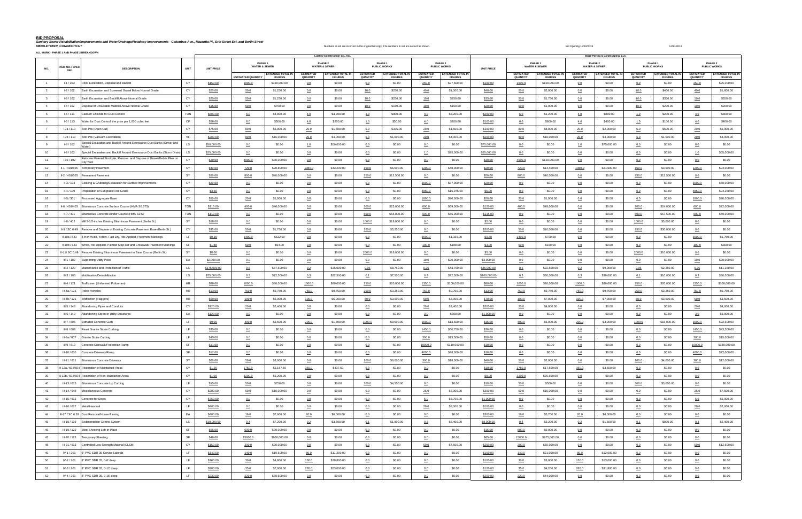**BID PROPOSAL**

|                         |                                      | ALL WORK - PHASE 1 AND PHASE 2 BREAKDOWN                                               |             |                   |                           |                                            |                                     | Ludlow Construction Co., Inc.              |                              |                                            |                              |                                            |                   |                              |                                            |                              | <b>B&amp;W Paving &amp; Landscaping, LLC</b> |                              |                                            |                              |                                            |
|-------------------------|--------------------------------------|----------------------------------------------------------------------------------------|-------------|-------------------|---------------------------|--------------------------------------------|-------------------------------------|--------------------------------------------|------------------------------|--------------------------------------------|------------------------------|--------------------------------------------|-------------------|------------------------------|--------------------------------------------|------------------------------|----------------------------------------------|------------------------------|--------------------------------------------|------------------------------|--------------------------------------------|
| NO.                     | <b>ITEM NO. / SPEC</b><br><b>REF</b> | <b>DESCRIPTION</b>                                                                     | <b>UNIT</b> | <b>UNIT PRICE</b> |                           | PHASE 1<br><b>WATER &amp; SEWER</b>        |                                     | PHASE 2<br><b>WATER &amp; SEWER</b>        |                              | PHASE 1<br><b>PUBLIC WORKS</b>             |                              | PHASE 2<br><b>PUBLIC WORKS</b>             | <b>UNIT PRICE</b> |                              | PHASE 1<br><b>WATER &amp; SEWER</b>        |                              | PHASE 2<br><b>WATER &amp; SEWER</b>          |                              | PHASE 1<br><b>PUBLIC WORKS</b>             |                              | PHASE 2<br><b>PUBLIC WORKS</b>             |
|                         |                                      |                                                                                        |             |                   | <b>ESTIMATED QUANTITY</b> | <b>EXTENDED TOTAL IN</b><br><b>FIGURES</b> | <b>ESTIMATED</b><br><b>QUANTITY</b> | <b>EXTENDED TOTAL IN</b><br><b>FIGURES</b> | <b>ESTIMATED</b><br>QUANTITY | <b>EXTENDED TOTAL IN</b><br><b>FIGURES</b> | <b>ESTIMATED</b><br>QUANTITY | <b>EXTENDED TOTAL II</b><br><b>FIGURES</b> |                   | <b>ESTIMATED</b><br>QUANTITY | <b>EXTENDED TOTAL IN</b><br><b>FIGURES</b> | <b>ESTIMATED</b><br>QUANTITY | <b>EXTENDED TOTAL IN</b><br><b>FIGURES</b>   | <b>ESTIMATED</b><br>QUANTITY | <b>EXTENDED TOTAL IN</b><br><b>FIGURES</b> | <b>ESTIMATED</b><br>QUANTITY | <b>EXTENDED TOTAL IN</b><br><b>FIGURES</b> |
| $\overline{1}$          | $I - 1/103$                          | Rock Excavation, Disposal and Backfill                                                 | CY          | \$150.00          | 1000.0                    | \$150,000.00                               | 0.0                                 | \$0.00                                     | 0.0                          | \$0.00                                     | 250.0                        | \$37,500.00                                | \$100.00          | 1000.0                       | \$100,000.00                               | $0.0$                        | \$0.00                                       | 0.0                          | \$0.00                                     | 250.0                        | \$25,000.00                                |
| $\overline{2}$          | $1-2/102$                            | Earth Excavation and Screened Gravel Below Normal Grade                                | CY          | \$25.00           | 50.0                      | \$1,250.00                                 | 0.0                                 | \$0.00                                     | 10.0                         | \$250.00                                   | 40.0                         | \$1,000.00                                 | \$40.00           | 50.0                         | \$2,000.00                                 | 0.0                          | \$0.00                                       | 10.0                         | \$400.00                                   | 40.0                         | \$1,600.00                                 |
| $\overline{\mathbf{3}}$ | $1-3/102$                            | Earth Excavation and Backfill Above Normal Grade                                       | CY          | \$25.00           | 50.0                      | \$1,250.00                                 | 0.0                                 | \$0.00                                     | 10.0                         | \$250.00                                   | 10.0                         | \$250.00                                   | \$35.00           | 50.0                         | \$1,750.00                                 | 0.0                          | \$0.00                                       | 10.0                         | \$350.00                                   | 10.0                         | \$350.00                                   |
| $\overline{4}$          | $I-4/102$                            | Disposal of Unsuitable Material Above Normal Grade                                     | CY          | \$15.00           | 50.0                      | \$750.00                                   | 0.0                                 | \$0.00                                     | 10.0                         | \$150.00                                   | 10.0                         | \$150.00                                   | \$20.00           | 50.0                         | \$1,000.00                                 | 0.0                          | \$0.00                                       | 10.0                         | \$200.00                                   | 10.0                         | \$200.00                                   |
| - 5                     | $1 - 5 / 111$                        | Calcium Chloride for Dust Control                                                      | <b>TON</b>  | \$800.00          | 6.0                       | \$4,800.00                                 | 4.0                                 | \$3,200.00                                 | 1.0                          | \$800.00                                   | 4.0                          | \$3,200.00                                 | \$200.00          | 6.0                          | \$1,200.00                                 | 4.0                          | \$800.00                                     | 1.0                          | \$200.00                                   | 4.0                          | \$800.00                                   |
|                         | $1-6/113$                            | Water for Dust Control, the price per 1,000 cubic feet                                 | CF          | \$50.00           | 6.0                       | \$300.00                                   | 4.0                                 | \$200.00                                   | 1.0                          | \$50.00                                    | 4.0                          | \$200.00                                   | \$100.00          | 6.0                          | \$600.00                                   | 4.0                          | \$400.00                                     | 1.0                          | \$100.00                                   | 4.0                          | \$400.00                                   |
|                         | l-7a/110                             | Test Pits (Open Cut)                                                                   | CY          | \$75.00           | 80.0                      | \$6,000.00                                 | 20.0                                | \$1,500.00                                 | 5.0                          | \$375.00                                   | 20.0                         | \$1,500.00                                 | \$100.00          | 80.0                         | \$8,000.00                                 | 20.0                         | \$2,000.00                                   | 5.0                          | \$500.00                                   | 20.0                         | \$2,000.00                                 |
|                         | l-7b / 110                           | Test Pits (Vacuum Excavation)                                                          | VF          | \$200.00          | 80.0                      | \$16,000.00                                | 20.0                                | \$4,000.00                                 | 5.0                          | \$1,000.00                                 | 20.0                         | \$4,000.00                                 | \$200.00          | 80.0                         | \$16,000.00                                | 20.0                         | \$4,000.00                                   | 5.0                          | \$1,000.00                                 | 20.0                         | \$4,000.00                                 |
|                         | $1-8/102$                            | Special Excavation and Backfill Around Eversource Duct Banks (Sewer and<br>Mater)      | LS          | \$50,000.00       | 0.0                       | \$0.00                                     | 1.0                                 | \$50,000.00                                | 0.0                          | \$0.00                                     | 0.0                          | \$0.00                                     | \$75,000.00       | 0.0                          | \$0.00                                     | 1.0                          | \$75,000.00                                  | 0.0                          | \$0.00                                     | 0.0                          | \$0.00                                     |
| 10                      | $1-9/102$                            | Special Excavation and Backfill Around Eversource Duct Banks (Storm Drain)             | LS          | \$25,000.00       | 0.0                       | \$0.00                                     | 0.0                                 | \$0.00                                     | 0.0                          | \$0.00                                     | 1.0                          | \$25,000.00                                | \$55,000.00       | 0.0                          | \$0.00                                     | 0.0                          | \$0.00                                       | 0.0                          | \$0.00                                     | 1.0                          | \$55,000.00                                |
| 11                      | $1-10/102$                           | Relocate Material Stockpile, Remove and Dispose of Gravel/Debris Piles on<br>City Yard | CY          | \$20.00           | 4000.0                    | \$80,000.00                                | 0.0                                 | \$0.00                                     | 0.0                          | \$0.00                                     | 0.0                          | \$0.00                                     | \$30.00           | 4000.0                       | \$120,000.00                               | 0.0                          | \$0.00                                       | 0.0                          | \$0.00                                     | 0.0                          | \$0.00                                     |
| 12                      | II-1 / 401/605                       | <b>Temporary Pavement</b>                                                              | SY          | \$40.00           | 720.0                     | \$28,800.00                                | 1080.0                              | \$43,200.00                                | 150.0                        | \$6,000.00                                 | 1200.0                       | \$48,000.00                                | \$20.00           | 720.0                        | \$14,400.00                                | 1080.0                       | \$21,600.00                                  | 150.0                        | \$3,000.00                                 | 1200.0                       | \$24,000.00                                |
| 13                      | II-2 / 401/605                       | Permanent Pavement                                                                     | SY          | \$50.00           | 800.0                     | \$40,000.00                                | 0.0                                 | \$0.00                                     | 250.0                        | \$12,500.00                                | 0.0                          | \$0.00                                     | \$50.00           | 800.0                        | \$40,000.00                                | 0.0                          | \$0.00                                       | 250.0                        | \$12,500.00                                | 0.0                          | \$0.00                                     |
| 14                      | II-3 / 104                           | Clearing & Grubbing/Excavation for Surface Improvements                                | CY          | \$29.00           | 0.0                       | \$0.00                                     | 0.0                                 | \$0.00                                     | 0.0                          | \$0.00                                     | 3000.0                       | \$87,000.00                                | \$20.00           | 0.0                          | \$0.00                                     | 0.0                          | \$0.00                                       | 0.0                          | \$0.00                                     | 3000.0                       | \$60,000.00                                |
| 15                      | $II - 4 / 109$                       | Preparation of Subgrade/Fine Grade                                                     | SY          | \$3.50            | 0.0                       | \$0.00                                     | 0.0                                 | \$0.00                                     | 0.0                          | \$0.00                                     | 4850.0                       | \$16,975.00                                | \$5.00            | 0.0                          | \$0.00                                     | 0.0                          | \$0.00                                       | 0.0                          | \$0.00                                     | 4850.0                       | \$24,250.00                                |
| 16                      | II-5 / 301                           | rocessed Aggregate Base                                                                | CY          | \$50.00           | 20.0                      | \$1,000.00                                 | 0.0                                 | \$0.00                                     | 0.0                          | \$0.00                                     | 1800.0                       | \$90,000.00                                | \$50.00           | 20.0                         | \$1,000.00                                 | 0.0                          | \$0.00                                       | 0.0                          | \$0.00                                     | 1800.0                       | \$90,000.00                                |
| 17                      | II-6 / 401/403                       | Bituminous Concrete Surface Course (HMA S0.375)                                        | <b>TON</b>  | \$115.00          | 400.0                     | \$46,000.00                                | 0.0                                 | \$0.00                                     | 200.0                        | \$23,000.00                                | 600.0                        | \$69,000.00                                | \$120.00          | 400.0                        | \$48,000.00                                | 0.0                          | \$0.00                                       | 200.0                        | \$24,000.00                                | 600.0                        | \$72,000.00                                |
| 18                      | II-7 / 401                           | Bituminous Concrete Binder Course (HMA S0.5)                                           | <b>TON</b>  | \$110.00          | 0.0                       | \$0.00                                     | 0.0                                 | \$0.00                                     | 500.0                        | \$55,000.00                                | 600.0                        | \$66,000.00                                | \$115.00          | 0.0                          | \$0.00                                     | 0.0                          | \$0.00                                       | 500.0                        | \$57,500.00                                | 600.0                        | \$69,000.00                                |
| 19                      | II-8 / 402                           | Mill 2-1/2-inches Existing Bituminous Pavement (Berlin St.)                            | SY          | \$18.00           | 0.0                       | \$0.00                                     | 0.0                                 | \$0.00                                     | 1000.0                       | \$18,000.00                                | 0.0                          | \$0.00                                     | \$5.00            | 0.0                          | \$0.00                                     | 0.0                          | \$0.00                                       | 1000.0                       | \$5,000.00                                 | 0.0                          | \$0.00                                     |
| 20                      | II-9 / SC 6.49                       | Remove and Dispose of Existing Concrete Pavement Base (Berlin St.)                     | CY          | \$35.00           | 50.0                      | \$1,750.00                                 | 0.0                                 | \$0.00                                     | 150.0                        | \$5,250.00                                 | 0.0                          | \$0.00                                     | \$200.00          | 50.0                         | \$10,000.00                                | 0.0                          | \$0.00                                       | 150.0                        | \$30,000.00                                | 0.0                          | \$0.00                                     |
| 21                      | II-10a / 643                         | 4-inch Wide, Yellow, Fast Dry, Hot-Applied, Pavement Markings                          | LF.         | \$0.38            | 1400.0                    | \$532.00                                   | 0.0                                 | \$0.00                                     | 0.0                          | \$0.00                                     | 3500.0                       | \$1,330.00                                 | \$0.50            | 1400.0                       | \$700.00                                   | $0.0$                        | \$0.00                                       | 0.0                          | \$0.00                                     | 3500.0                       | \$1,750.00                                 |
| 22                      | II-10b / 643                         | White, Hot-Applied, Painted Stop Bar and Crosswalk Pavement Markings                   | SF          | \$1.88            | 50.0                      | \$94.00                                    | 0.0                                 | \$0.00                                     | 0.0                          | \$0.00                                     | 100.0                        | \$188.00                                   | \$3.00            | 50.0                         | \$150.00                                   | 0.0                          | \$0.00                                       | 0.0                          | \$0.00                                     | 100.0                        | \$300.00                                   |
| 23                      | II-11/SC 6.49                        | Remove Existing Bituminous Pavement to Base Course (Berlin St.)                        | SY          | \$8.00            | 0.0                       | \$0.00                                     | 0.0                                 | \$0.00                                     | 2000.0                       | \$16,000.00                                | 0.0                          | \$0.00                                     | \$5.00            | 0.0                          | \$0.00                                     | 0.0                          | \$0.00                                       | 2000.0                       | \$10,000.00                                | 0.0                          | \$0.00                                     |
| 24                      | $III-1/102$                          | Supporting Utility Poles                                                               | EA          | \$2,000.00        | 0.0                       | \$0.00                                     | 0.0                                 | \$0.00                                     | 0.0                          | \$0.00                                     | 10.0                         | \$20,000.00                                | \$2,000.00        | 0.0                          | \$0.00                                     | 0.0                          | \$0.00                                       | 0.0                          | \$0.00                                     | 10.0                         | \$20,000.00                                |
| 25                      | $III-2/120$                          | Maintenance and Protection of Traffic                                                  | LS          | \$175,000.00      | 0.5                       | \$87,500.00                                | 0.2                                 | \$35,000.00                                | 0.05                         | \$8,750.00                                 | 0.25                         | \$43,750.00                                | \$45,000.00       | 0.5                          | \$22,500.00                                | 0.2                          | \$9,000.00                                   | 0.05                         | \$2,250.00                                 | 0.25                         | \$11,250.00                                |
| 26                      | III-3 / 105                          | Mobilization/Demobilization                                                            | <b>LS</b>   | \$75,000.00       | 0.3                       | \$22,500.00                                | 0.3                                 | \$22,500.00                                | 0.1                          | \$7,500.00                                 | 0.3                          | \$22,500.00                                | \$100,000.00      | 0.3                          | \$30,000.00                                | 0.3                          | \$30,000.00                                  | 0.1                          | \$10,000.00                                | 0.3                          | \$30,000.00                                |
| 27                      | $III-4/121$                          | Trafficmen (Uniformed Policemen)                                                       | HR          | \$80.00           | 1000.0                    | \$80,000.00                                | 1000.0                              | \$80,000.00                                | 250.0                        | \$20,000.00                                | 1350.0                       | \$108,000.00                               | \$80.00           | 1000.0                       | \$80,000.00                                | 1000.0                       | \$80,000.00                                  | 250.0                        | \$20,000.00                                | 1350.0                       | \$108,000.00                               |
| 28                      | III-4a / 121                         | Police Vehicles                                                                        | HR          | \$13.00           | 750.0                     | \$9,750.00                                 | 750.0                               | \$9,750.00                                 | 250.0                        | \$3,250.00                                 | 750.0                        | \$9,750.00                                 | \$13.00           | 750.0                        | \$9,750.00                                 | 750.0                        | \$9,750.00                                   | 250.0                        | \$3,250.00                                 | 750.0                        | \$9,750.00                                 |
| 29                      | III-4b / 121                         | Trafficmen (Flaggers)                                                                  | HR          | \$60.00           | 100.0                     | \$6,000.00                                 | 100.0                               | \$6,000.00                                 | 50.0                         | \$3,000.00                                 | 50.0                         | \$3,000.00                                 | \$70.00           | 100.0                        | \$7,000.00                                 | 100.0                        | \$7,000.00                                   | 50.0                         | \$3,500.00                                 | 50.0                         | \$3,500.00                                 |
| 30                      | $III-5/148$                          | Abandoning Pipes and Conduits                                                          | CY          | \$120.00          | 20.0                      | \$2,400.00                                 | 0.0                                 | \$0.00                                     | 0.0                          | \$0.00                                     | 20.0                         | \$2,400.00                                 | \$200.00          | 20.0                         | \$4,000.00                                 | 0.0                          | \$0.00                                       | 0.0                          | \$0.00                                     | 20.0                         | \$4,000.00                                 |
| 31                      | III-6 / 149                          | Abandoning Storm or Utility Structures                                                 | EA          | \$120.00          | 0.0                       | \$0.00                                     | 0.0                                 | \$0.00                                     | 0.0                          | \$0.00                                     | 3.0                          | \$360.00                                   | \$1,000.00        | 0.0                          | \$0.00                                     | 0.0                          | \$0.00                                       | 0.0                          | \$0.00                                     | 3.0                          | \$3,000.00                                 |
| 32                      | $III-7/606$                          | <b>Extruded Concrete Curb</b>                                                          | LF.         | \$9.00            | 400.0                     | \$3,600.00                                 | 200.0                               | \$1,800.00                                 | 1000.0                       | \$9,000.00                                 | 1500.0                       | \$13,500.00                                |                   | 400.0                        | \$6,000.00                                 | 200.0                        | \$3,000.00                                   | 1000.0                       | \$15,000.00                                | 1500.0                       | \$22,500.00                                |
| 33                      | III-8 / 608                          | Reset Granite Stone Curbing                                                            | LF.         | \$35.00           | 0.0                       | \$0.00                                     | 0.0                                 | \$0.00                                     | 0.0                          | \$0.00                                     | 1450.0                       | \$50,750.00                                | \$15.00           |                              | \$0.00                                     | 0.0                          | \$0.00                                       | 0.0                          | \$0.00                                     |                              | \$43,500.00                                |
|                         |                                      |                                                                                        | LF          |                   |                           |                                            |                                     |                                            |                              |                                            |                              |                                            | \$30.00           | 0.0                          |                                            |                              |                                              |                              |                                            | 1450.0                       |                                            |
| 34<br>35                | III-8a / 607                         | <b>Granite Stone Curbing</b>                                                           | SF          | \$45.00           | 0.0                       | \$0.00<br>\$0.00                           | 0.0                                 | \$0.00<br>\$0.00                           | 0.0                          | \$0.00                                     | 300.0                        | \$13,500.00                                | \$50.00           | 0.0                          | \$0.00                                     | $0.0$                        | \$0.00<br>\$0.00                             | 0.0                          | \$0.00<br>\$0.00                           | 300.0                        | \$15,000.00                                |
|                         | III-9/610                            | Concrete Sidewalk/Pedestrian Ramp                                                      | SF          | \$11.00           | 0.0                       |                                            | 0.0                                 |                                            | 0.0                          | \$0.00                                     | 10000.0                      | \$110,000.00                               | \$18.00           | 0.0                          | \$0.00                                     | 0.0                          |                                              | 0.0                          |                                            | 10000.0                      | \$180,000.00                               |
| 36                      |                                      | III-10 / 610 Concrete Driveway/Ramp                                                    |             | \$12.00           | 0.0                       | \$0.00                                     | 0.0                                 | \$0.00                                     | 0.0                          | \$0.00                                     | 4000.0                       | \$48,000.00                                | \$18.00           | 0.0                          | \$0.00                                     | 0.0                          | \$0.00                                       | 0.0                          | \$0.00                                     | 4000.0                       | \$72,000.00                                |
| 37                      |                                      | III-11 / 611 Bituminous Concrete Driveway                                              | SY<br>SY    | \$60.00           | 50.0                      | \$3,000.00                                 | 0.0                                 | \$0.00                                     | 100.0                        | \$6,000.00                                 | 300.0                        | \$18,000.00                                | \$40.00           | 50.0                         | \$2,000.00                                 | 0.0                          | \$0.00                                       | 100.0                        | \$4,000.00                                 | 300.0                        | \$12,000.00                                |
| 38                      |                                      | III-12a / 602/604 Restoration of Maintained Areas                                      |             | \$1.25            | 1750.0                    | \$2,187.50                                 | 350.0                               | \$437.50                                   | 0.0                          | \$0.00                                     | 0.0                          | \$0.00                                     | \$10.00           | 1750.0                       | \$17,500.00                                | 350.0                        | \$3,500.00                                   | 0.0                          | \$0.00                                     | 0.0                          | \$0.00                                     |
| 39                      |                                      | III-12b / 602/604 Restoration of Non-Maintained Areas                                  | SY          | \$1.00            | 3200.0                    | \$3,200.00                                 | 0.0                                 | \$0.00                                     | 0.0                          | \$0.00                                     | 0.0                          | \$0.00                                     | \$8.00            | 3200.0                       | \$25,600.00                                | 0.0                          | \$0.00                                       | 0.0                          | \$0.00                                     | 0.0                          | \$0.00                                     |
| 40                      |                                      | III-13 / 615 Bituminous Concrete Lip Curbing                                           | LF.         | \$15.00           | 50.0                      | \$750.00                                   | 0.0                                 | \$0.00                                     | 300.0                        | \$4,500.00                                 | 0.0                          | \$0.00                                     | \$10.00           | 50.0                         | \$500.00                                   | 0.0                          | \$0.00                                       | 300.0                        | \$3,000.00                                 | 0.0                          | \$0.00                                     |
| 41                      |                                      | III-14 / 648 Miscellaneous Concrete                                                    | CY          | \$200.00          | 50.0                      | \$10,000.00                                | 0.0                                 | \$0.00                                     | 0.0                          | \$0.00                                     | 25.0                         | \$5,000.00                                 | \$300.00          | 50.0                         | \$15,000.00                                | 0.0                          | \$0.00                                       | 0.0                          | \$0.00                                     | 25.0                         | \$7,500.00                                 |
| 42                      |                                      | III-15 / 612 Concrete for Steps                                                        | CY          | \$750.00          | 0.0                       | \$0.00                                     | 0.0                                 | \$0.00                                     | 0.0                          | \$0.00                                     | 5.0                          | \$3,750.00                                 | \$1,000.00        | 0.0                          | \$0.00                                     | 0.0                          | \$0.00                                       | 0.0                          | \$0.00                                     | 5.0                          | \$5,000.00                                 |
| 43                      |                                      | III-16 / 617 Metal Handrail                                                            | LF.         | \$400.00          | 0.0                       | \$0.00                                     | 0.0                                 | \$0.00                                     | 0.0                          | \$0.00                                     | 20.0                         | \$8,000.00                                 | \$100.00          | 0.0                          | \$0.00                                     | 0.0                          | \$0.00                                       | 0.0                          | \$0.00                                     | 20.0                         | \$2,000.00                                 |
| 44                      |                                      | III-17 / SC 6.28 Dust Removal/House Rinsing                                            | EA          | \$400.00          | 19.0                      | \$7,600.00                                 | 20.0                                | \$8,000.00                                 | 0.0                          | \$0.00                                     | 0.0                          | \$0.00                                     | \$300.00          | 19.0                         | \$5,700.00                                 | 20.0                         | \$6,000.00                                   | 0.0                          | \$0.00                                     | 0.0                          | \$0.00                                     |
| 45                      |                                      | III-18 / 119   Sedimentation Control System                                            | <b>LS</b>   | \$18,000.00       | 0.4                       | \$7,200.00                                 | 0.2                                 | \$3,600.00                                 | 0.1                          | \$1,800.00                                 | 0.3                          | \$5,400.00                                 | \$8,000.00        | 0.4                          | \$3,200.00                                 | 0.2                          | \$1,600.00                                   | 0.1                          | \$800.00                                   | 0.3                          | \$2,400.00                                 |
| 46                      |                                      | III-19 / 122 Steel Sheeting Left-In-Place                                              | SF          | \$65.00           | 600.0                     | \$39,000.00                                | 0.0                                 | \$0.00                                     | 0.0                          | \$0.00                                     | 0.0                          | \$0.00                                     | \$15.00           | 600.0                        | \$9,000.00                                 | 0.0                          | \$0.00                                       | 0.0                          | \$0.00                                     | 0.0                          | \$0.00                                     |
| 47                      | III-20 / 122                         | <b>Temporary Sheeting</b>                                                              | SF          | \$40.00           | 15000.0                   | \$600,000.00                               | 0.0                                 | \$0.00                                     | 0.0                          | \$0.00                                     | 0.0                          | \$0.00                                     | \$65.00           | 15000.0                      | \$975,000.00                               | 0.0                          | \$0.00                                       | 0.0                          | \$0.00                                     | 0.0                          | \$0.00                                     |
| 48                      | III-21/613                           | Controlled Low Strength Material (CLSM)                                                | CY          | \$150.00          | 200.0                     | \$30,000.00                                | 0.0                                 | \$0.00                                     | 0.0                          | \$0.00                                     | 50.0                         | \$7,500.00                                 | \$250.00          | 200.0                        | \$50,000.00                                | 0.0                          | \$0.00                                       | 0.0                          | \$0.00                                     | 50.0                         | \$12,500.00                                |
| 49                      | IV-1/201                             | 6" PVC SDR 35 Service Laterals                                                         | LF.         | \$140.00          | 140.0                     | \$19,600.00                                | 80.0                                | \$11,200.00                                | 0.0                          | \$0.00                                     | 0.0                          | \$0.00                                     | \$150.00          | 140.0                        | \$21,000.00                                | 80.0                         | \$12,000.00                                  | 0.0                          | \$0.00                                     | 0.0                          | \$0.00                                     |
| 50                      | IV-2 / 201                           | 8" PVC SDR 35, 0-8' deep                                                               | LF.         | \$160.00          | 30.0                      | \$4,800.00                                 | 130.0                               | \$20,800.00                                | 0.0                          | \$0.00                                     | 0.0                          | \$0.00                                     | \$100.00          | 30.0                         | \$3,000.00                                 | 130.0                        | \$13,000.00                                  | 0.0                          | \$0.00                                     | 0.0                          | \$0.00                                     |
| 51                      | IV-3/201                             | 8" PVC SDR 35, 0-12' deep                                                              | LF.         | \$200.00          | 35.0                      | \$7,000.00                                 | 265.0                               | \$53,000.00                                | 0.0                          | \$0.00                                     | 0.0                          | \$0.00                                     | \$120.00          | 35.0                         | \$4,200.00                                 | 265.0                        | \$31,800.00                                  | 0.0                          | \$0.00                                     | 0.0                          | \$0.00                                     |
| 52                      |                                      | IV-4 / 201 8" PVC SDR 35, 0-16' deep                                                   | LF          | \$230.00          | 220.0                     | \$50,600.00                                | 0.0                                 | \$0.00                                     | 0.0                          | \$0.00                                     | 0.0                          | \$0.00                                     | \$200.00          | 220.0                        | \$44,000.00                                | 0.0                          | \$0.00                                       | 0.0                          | \$0.00                                     | 0.0                          | \$0.00                                     |

Sanitary Sewer Rehabilitation/Improvements and Water/Drainage/Roadway Improvements - Columbus Ave., Mazzotta PI., Erin Street Ext. and Berlin Street ext. and Berlin Street ext. and Berlin Street ext. encel and the incorrec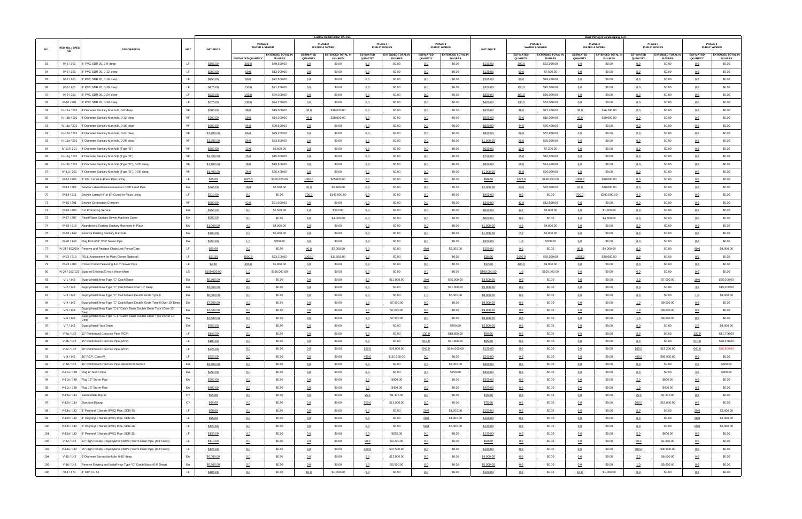|     |                 |                                                                                 |             | <b>Ludlow Construction Co., Inc.</b> |                                     |                          |                  |                                     |                  |                                |                  |                                |                   |                  |                                     |                  | <b>B&amp;W Paving &amp; Landscaping, LLC</b> |                  |                                |                  |                                |
|-----|-----------------|---------------------------------------------------------------------------------|-------------|--------------------------------------|-------------------------------------|--------------------------|------------------|-------------------------------------|------------------|--------------------------------|------------------|--------------------------------|-------------------|------------------|-------------------------------------|------------------|----------------------------------------------|------------------|--------------------------------|------------------|--------------------------------|
|     | ITEM NO. / SPEC |                                                                                 |             |                                      | PHASE 1<br><b>WATER &amp; SEWER</b> |                          |                  | PHASE 2<br><b>WATER &amp; SEWER</b> |                  | PHASE 1<br><b>PUBLIC WORKS</b> |                  | PHASE 2<br><b>PUBLIC WORKS</b> |                   |                  | PHASE 1<br><b>WATER &amp; SEWER</b> |                  | PHASE 2<br><b>WATER &amp; SEWER</b>          |                  | PHASE 1<br><b>PUBLIC WORKS</b> |                  | PHASE 2<br><b>PUBLIC WORKS</b> |
| NO. | <b>REF</b>      | <b>DESCRIPTION</b>                                                              | <b>UNIT</b> | <b>UNIT PRICE</b>                    |                                     | <b>EXTENDED TOTAL IN</b> | <b>ESTIMATED</b> | <b>EXTENDED TOTAL IN</b>            | <b>ESTIMATED</b> | <b>EXTENDED TOTAL IN</b>       | <b>ESTIMATED</b> | <b>EXTENDED TOTAL I</b>        | <b>UNIT PRICE</b> | <b>ESTIMATED</b> | <b>EXTENDED TOTAL IN</b>            | <b>ESTIMATED</b> | <b>EXTENDED TOTAL IN</b>                     | <b>ESTIMATED</b> | <b>EXTENDED TOTAL IN</b>       | <b>ESTIMATED</b> | <b>EXTENDED TOTAL II</b>       |
|     |                 |                                                                                 |             |                                      | <b>ESTIMATED QUANTITY</b>           | <b>FIGURES</b>           | QUANTITY         | <b>FIGURES</b>                      | QUANTITY         | <b>FIGURES</b>                 | QUANTITY         | <b>FIGURES</b>                 |                   | QUANTITY         | <b>FIGURES</b>                      | QUANTITY         | <b>FIGURES</b>                               | QUANTITY         | <b>FIGURES</b>                 | QUANTITY         | <b>FIGURES</b>                 |
| 53  | IV-5 / 201      | 8" PVC SDR 26, 0-8' deep                                                        | LF.         | \$165.00                             | 300.0                               | \$49,500.00              | 0.0              | \$0.00                              | 0.0              | \$0.00                         | 0.0              | \$0.00                         | \$110.00          | 300.0            | \$33,000.00                         | 0.0              | \$0.00                                       | 0.0              | \$0.00                         | 0.0              | \$0.00                         |
| 54  | IV-6 / 201      | 8" PVC SDR 26, 0-12' deep                                                       | LF.         | \$200.00                             | 60.0                                | \$12,000.00              | 0.0              | \$0.00                              | 0.0              | \$0.00                         | 0.0              | \$0.00                         | \$125.00          | 60.0             | \$7,500.00                          | 0.0              | \$0.00                                       | 0.0              | \$0.00                         | 0.0              | \$0.00                         |
| 55  | IV-7 / 201      | 8" PVC SDR 26, 0-16' deep                                                       | LF.         | \$250.00                             | 90.0                                | \$22,500.00              | 0.0              | \$0.00                              | 0.0              | \$0.00                         | 0.0              | \$0.00                         | \$205.00          | 90.0             | \$18,450.00                         | 0.0              | \$0.00                                       | 0.0              | \$0.00                         | 0.0              | \$0.00                         |
| 56  | IV-8 / 201      | 8" PVC SDR 26, 0-20' deep                                                       | LF.         | \$475.00                             | 150.0                               | \$71,250.00              | 0.0              | \$0.00                              | 0.0              | \$0.00                         | 0.0              | \$0.00                         | \$300.00          | 150.0            | \$45,000.00                         | 0.0              | \$0.00                                       | 0.0              | \$0.00                         | 0.0              | \$0.00                         |
| 57  | IV-9 / 201      | 8" PVC SDR 26, 0-24' deep                                                       |             | \$525.00                             | 160.0                               | \$84,000.00              | 0.0              | \$0.00                              | 0.0              | \$0.00                         | 0.0              | \$0.00                         | \$350.00          | 160.0            | \$56,000.00                         | 0.0              | \$0.00                                       | 0.0              | \$0.00                         | 0.0              | \$0.00                         |
| 58  | IV-10 / 201     | 8" PVC SDR 26, 0-30' deep                                                       | LF.         | \$575.00                             | 130.0                               | \$74,750.00              | 0.0              | \$0.00                              | 0.0              | \$0.00                         | 0.0              | \$0.00                         | \$400.00          | 130.0            | \$52,000.00                         | 0.0              | \$0.00                                       | 0.0              | \$0.00                         | 0.0              | \$0.00                         |
| 59  | IV-11a / 201    | 4' Diameter Sanitary Manhole, 0-8' deep                                         | VF          | \$500.00                             | 38.0                                | \$19,000.00              | 36.0             | \$18,000.00                         | 0.0              | \$0.00                         | 0.0              | \$0.00                         | \$450.00          | 38.0             | \$17,100.00                         | 36.0             | \$16,200.00                                  | 0.0              | \$0.00                         | 0.0              | \$0.00                         |
| 60  | IV-11b/201      | 4' Diameter Sanitary Manhole, 0-12' deep                                        | VF          | \$700.00                             | 20.0                                | \$14,000.00              | 40.0             | \$28,000.00                         | 0.0              | \$0.00                         | 0.0              | \$0.00                         | \$500.00          | 20.0             | \$10,000.00                         | 40.0             | \$20,000.00                                  | 0.0              | \$0.00                         | 0.0              | \$0.00                         |
| 61  | IV-11c / 201    | 4' Diameter Sanitary Manhole, 0-16' deep                                        | VF          | \$900.00                             | 44.0                                | \$39,600.00              | 0.0              | \$0.00                              | 0.0              | \$0.00                         | 0.0              | \$0.00                         | \$600.00          | 44.0             | \$26,400.00                         | 0.0              | \$0.00                                       | 0.0              | \$0.00                         | 0.0              | \$0.00                         |
| 62  | IV-11d / 201    | 4' Diameter Sanitary Manhole, 0-24' deep                                        | VF          | \$1,200.00                           | 66.0                                | \$79,200.00              | 0.0              | \$0.00                              | 0.0              | \$0.00                         | 0.0              | \$0.00                         | \$800.00          | 66.0             | \$52,800.00                         | 0.0              | \$0.00                                       | 0.0              | \$0.00                         | $0.0$            | \$0.00                         |
| 63  | IV-11e / 201    | 4' Diameter Sanitary Manhole, 0-28' deep                                        | VF          | \$1,300.00                           | 26.0                                | \$33,800.00              | 0.0              | \$0.00                              | 0.0              | \$0.00                         | 0.0              | \$0.00                         | \$1,000.00        | 26.0             | \$26,000.00                         | 0.0              | \$0.00                                       | 0.0              | \$0.00                         | $0.0$            | \$0.00                         |
| 64  | IV-11f / 201    | 4' Diameter Sanitary Manhole (Type "D")                                         | VF          | \$800.00                             | 12.0                                | \$9,600.00               | 0.0              | \$0.00                              | 0.0              | \$0.00                         | 0.0              | \$0.00                         | \$600.00          | 12.0             | \$7,200.00                          | 0.0              | \$0.00                                       | 0.0              | \$0.00                         | $0.0$            | \$0.00                         |
| 65  | IV-11g / 201    | 4' Diameter Sanitary Manhole (Type "D")                                         | VF          | \$1,000.00                           | 15.0                                | \$15,000.00              | 0.0              | \$0.00                              | 0.0              | \$0.00                         | 0.0              | \$0.00                         | \$700.00          | 15.0             | \$10,500.00                         | 0.0              | \$0.00                                       | 0.0              | \$0.00                         | 0.0              | \$0.00                         |
| 66  | IV-11h / 201    | 4' Diameter Sanitary Manhole (Type "D"), 0-20' deep                             | VF          | \$1,100.00                           | 18.0                                | \$19,800.00              | 0.0              | \$0.00                              | 0.0              | \$0.00                         | 0.0              | \$0.00                         | \$800.00          | 18.0             | \$14,400.00                         | 0.0              | \$0.00                                       | 0.0              | \$0.00                         | $0.0$            | \$0.00                         |
| 67  | IV-11i / 201    | 4' Diameter Sanitary Manhole (Type "D"), 0-28' deep                             | VF          | \$1,400.00                           | 26.0                                | \$36,400.00              | 0.0              | \$0.00                              | 0.0              | \$0.00                         | 0.0              | \$0.00                         | \$1,000.00        | 26.0             | \$26,000.00                         | 0.0              | \$0.00                                       | 0.0              | \$0.00                         | 0.0              | \$0.00                         |
| 68  | IV-12 / 208     | 8" Dia. Cured-In-Place Pipe Lining                                              | <b>IF</b>   | \$65.00                              | 1625.0                              | \$105,625.00             | 1000.0           | \$65,000.00                         | 0.0              | \$0.00                         | 0.0              | \$0.00                         | \$90.00           | 1625.0           | \$146,250.00                        | 1000.0           | \$90,000.00                                  | 0.0              | \$0.00                         | 0.0              | \$0.00                         |
| 69  | IV-13 / 208     | Service Lateral Reinstatement on CIPP Lined Pipe                                | EA          | \$265.00                             | 10.0                                | \$2,650.00               | 20.0             | \$5,300.00                          | 0.0              | \$0.00                         | 0.0              | \$0.00                         | \$2,000.00        | 10.0             | \$20,000.00                         | 20.0             | \$40,000.00                                  | 0.0              | \$0.00                         | 0.0              | \$0.00                         |
| 70  | IV-14/211       | Service Lateral (4" or 6") Cured-In-Place Lining                                | LF.         | \$210.00                             | 0.0                                 | \$0.00                   | 700.0            | \$147,000.00                        | 0.0              | \$0.00                         | 0.0              | \$0.00                         | \$400.00          | 0.0              | \$0.00                              | 700.0            | \$280,000.00                                 | 0.0              | \$0.00                         | 0.0              | \$0.00                         |
| 71  | IV-15 / 201     | Service Connection Chimney                                                      | VF          | \$500.00                             | 42.0                                | \$21,000.00              | 0.0              | \$0.00                              | 0.0              | \$0.00                         | 0.0              | \$0.00                         | \$300.00          | 42.0             | \$12,600.00                         | 0.0              | \$0.00                                       | 0.0              | \$0.00                         | 0.0              | \$0.00                         |
| 72  | IV-16 / 203     | <b>Cut Protruding Service</b>                                                   | EA          | \$250.00                             | 6.0                                 | \$1,500.00               | 2.0              | \$500.00                            | 0.0              | \$0.00                         | 0.0              | \$0.00                         | \$600.00          | 6.0              | \$3,600.00                          | 2.0              | \$1,200.00                                   | 0.0              | \$0.00                         | 0.0              | \$0.00                         |
| 73  | IV-17 / 207     | Reset/Raise Sanitary Sewer Manhole Cover                                        | EA          | \$500.00                             | 0.0                                 | \$0.00                   | 8.0              | \$4,000.00                          | 0.0              | \$0.00                         | 0.0              | \$0.00                         | \$600.00          | 0.0              | \$0.00                              | 8.0              | \$4,800.00                                   | 0.0              | \$0.00                         | 0.0              | \$0.00                         |
| 74  |                 |                                                                                 |             |                                      |                                     |                          |                  |                                     |                  |                                |                  |                                |                   |                  |                                     |                  |                                              |                  |                                |                  |                                |
|     | IV-18 / 218     | Abandoning Existing Sanitary Manholes In Place                                  | EA          | \$1,000.00                           | 4.0                                 | \$4,000.00               | 0.0              | \$0.00                              | 0.0              | \$0.00                         | 0.0              | \$0.00                         | \$1,000.00        | 4.0              | \$4,000.00                          | 0.0              | \$0.00                                       | 0.0              | \$0.00                         | 0.0              | \$0.00                         |
| 75  | IV-19 / 149     | Remove Existing Sanitary Manhole                                                | EA          | \$700.00                             | 2.0                                 | \$1,400.00               | 0.0              | \$0.00                              | 0.0              | \$0.00                         | 0.0              | \$0.00                         | \$1,000.00        | 2.0              | \$2,000.00                          | 0.0              | \$0.00                                       | 0.0              | \$0.00                         | 0.0              | \$0.00                         |
| 76  | IV-20 / 148     | Plug End of 8" VCP Sewer Pipe                                                   | EA          | \$350.00                             | 1.0                                 | \$350.00                 | 0.0              | \$0.00                              | 0.0              | \$0.00                         | 0.0              | \$0.00                         | \$300.00          | 1.0              | \$300.00                            | 0.0              | \$0.00                                       | 0.0              | \$0.00                         | 0.0              | \$0.00                         |
| 77  |                 | IV-21 / 602/604 Remove and Replace Chain Link Fence/Gate                        | LF          | \$50.00                              | 0.0                                 | \$0.00                   | 40.0             | \$2,000.00                          | 0.0              | \$0.00                         | 40.0             | \$2,000.00                     | \$100.00          | 0.0              | \$0.00                              | 40.0             | \$4,000.00                                   | 0.0              | \$0.00                         | 40.0             | \$4,000.00                     |
| 78  |                 | IV-22 / 210 FELL Assessment for Pipe (Owner Optional)                           | LF.         | \$11.55                              | 2000.0                              | \$23,100.00              | 1000.0           | \$11,550.00                         | 0.0              | \$0.00                         | 0.0              | \$0.00                         | \$30.00           | 2000.0           | \$60,000.00                         | 1000.0           | \$30,000.00                                  | 0.0              | \$0.00                         | 0.0              | \$0.00                         |
| 79  |                 | IV-23 / 203 Closed Circuit Televising 8-inch Sewer Pipe                         | LF.         | \$4.50                               | 400.0                               | \$1,800.00               | 0.0              | \$0.00                              | 0.0              | \$0.00                         | 0.0              | \$0.00                         | \$12.00           | 400.0            | \$4,800.00                          | 0.0              | \$0.00                                       | 0.0              | \$0.00                         | 0.0              | \$0.00                         |
| 80  |                 | IV-24 / 102/122 Support Existing 20-Inch Water Main                             | LS          | \$150,000.00                         | 1.0                                 | \$150,000.00             | 0.0              | \$0.00                              | 0.0              | \$0.00                         | 0.0              | \$0.00                         | \$100,000.00      | 1.0              | \$100,000.00                        | 0.0              | \$0.00                                       | 0.0              | \$0.00                         | 0.0              | \$0.00                         |
| 81  | $V - 1 / 143$   | Supply/Install New Type "C" Catch Basin                                         | EA          | \$5,500.00                           | 0.0                                 | \$0.00                   | 0.0              | \$0.00                              | 2.0              | \$11,000.00                    | 10.0             | \$55,000.00                    | \$3,500.00        | 0.0              | \$0.00                              | 0.0              | \$0.00                                       | 2.0              | \$7,000.00                     | 10.0             | \$35,000.00                    |
| 82  | $V-2/143$       | Supply/Install New Type "C" Catch Basin Over 10' Deep                           | EA          | \$7,000.00                           | 0.0                                 | \$0.00                   | 0.0              | \$0.00                              | 0.0              | \$0.00                         | 3.0              | \$21,000.00                    | \$5,000.00        | 0.0              | \$0.00                              | 0.0              | \$0.00                                       | 0.0              | \$0.00                         | 3.0              | \$15,000.00                    |
| 83  | $V-3/143$       | Supply/Install New Type "C" Catch Basin Double Grate Type II                    | EA          | \$6,000.00                           | 0.0                                 | \$0.00                   | 0.0              | \$0.00                              | 0.0              | \$0.00                         | 1.0              | \$6,000.00                     | \$8,000.00        | 0.0              | \$0.00                              | 0.0              | \$0.00                                       | 0.0              | \$0.00                         | 1.0              | \$8,000.00                     |
| 84  | $V - 4 / 143$   | Supply/Install New Type "C" Catch Basin Double Grate Type II Over 10' Deep      | EA          | \$7,500.00                           | 0.0                                 | \$0.00                   | 0.0              | \$0.00                              | 1.0              | \$7,500.00                     | 0.0              | \$0.00                         | \$9,000.00        | 0.0              | \$0.00                              | 0.0              | \$0.00                                       | 1.0              | \$9,000.00                     | 0.0              | \$0.00                         |
| 85  | $V-5/143$       | Supply/Install New Type "C-L" Catch Basin Double Grate Type I Over 10'          | FA.         | \$7,000.00                           | 0.0                                 | \$0.00                   | 0.0              | \$0.00                              | 1.0              | \$7,000.00                     | 0.0              | \$0.00                         | \$9,000.00        | 0.0              | \$0.00                              | 0.0              | \$0.00                                       | 1.0              | \$9,000.00                     | 0.0              | \$0.00                         |
| 86  | $V - 6 / 143$   | Supply/Install New Type "C-L" Catch Basin Double Grate Type II Over 10'         | EA          | \$7,500.00                           | 0.0                                 | \$0.00                   | 0.0              | \$0.00                              | 1.0              | \$7,500.00                     | 0.0              | \$0.00                         | \$9,000.00        | 0.0              | \$0.00                              | 0.0              | \$0.00                                       | 1.0              | \$9,000.00                     | 0.0              | \$0.00                         |
| 87  | $V - 7/143$     | Supply/Install Yard Drain                                                       | EA          | \$350.00                             | 0.0                                 | \$0.00                   | 0.0              | \$0.00                              | 0.0              | \$0.00                         | 2.0              | \$700.00                       | \$2,000.00        | 0.0              | \$0.00                              | 0.0              | \$0.00                                       | 0.0              | \$0.00                         | 2.0              | \$4,000.00                     |
| 88  |                 | V-8a / 142 12" Reinforced Concrete Pipe (RCP)                                   | LF.         | \$145.00                             | 0.0                                 | \$0.00                   | 0.0              | \$0.00                              | 0.0              | \$0.00                         | 130.0            | \$18,850.00                    | \$90.00           | 0.0              | \$0.00                              | 0.0              | \$0.00                                       | 0.0              | \$0.00                         | 130.0            | \$11,700.00                    |
| 89  |                 | V-8b / 142 15" Reinforced Concrete Pipe (RCP)                                   | LF.         | \$180.00                             | 0.0                                 | \$0.00                   | 0.0              | \$0.00                              | 0.0              | \$0.00                         | 510.0            | \$91,800.00                    | \$95.00           | 0.0              | \$0.00                              | 0.0              | \$0.00                                       | 0.0              | \$0.00                         | 510.0            | \$48,450.00                    |
| 90  |                 | V-8c / 142   18" Reinforced Concrete Pipe (RCP)                                 | LF.         | \$225.00                             | 0.0                                 | \$0.00                   | 0.0              | \$0.00                              | 160.0            | \$36,000.00                    | 640.0            | \$144,000.00                   | \$120.00          | 0.0              | \$0.00                              | 0.0              | \$0.00                                       | 160.0            | \$19,200.00                    | 640.0            | \$76,800.00                    |
| 91  | V-9 / 142       | 36" RCP, Class IV                                                               | LF.         | \$225.00                             | 0.0                                 | \$0.00                   | 0.0              | \$0.00                              | 490.0            | \$110,250.00                   | 0.0              | \$0.00                         | \$200.00          | 0.0              | \$0.00                              | 0.0              | \$0.00                                       | 490.0            | \$98,000.00                    | 0.0              | \$0.00                         |
| 92  |                 | V-10 / 142 36" Reinforced Concrete Pipe Flared End Section                      | EA          | \$3,500.00                           | 0.0                                 | \$0.00                   | 0.0              | \$0.00                              | 0.0              | \$0.00                         | 2.0              | \$7,000.00                     | \$300.00          | 0.0              | \$0.00                              | 0.0              | \$0.00                                       | 0.0              | \$0.00                         | 2.0              | \$600.00                       |
| 93  |                 | V-11a / 148 Plug 6" Storm Pipe                                                  | EA          | \$250.00                             | 0.0                                 | \$0.00                   | 0.0              | \$0.00                              | 0.0              | \$0.00                         | 3.0              | \$750.00                       | \$300.00          | 0.0              | \$0.00                              | 0.0              | \$0.00                                       | 0.0              | \$0.00                         | 3.0              | \$900.00                       |
| 94  |                 | V-11b / 148 Plug 12" Storm Pipe                                                 | EA          | \$300.00                             | 0.0                                 | \$0.00                   | 0.0              | \$0.00                              | 2.0              | \$600.00                       | 0.0              | \$0.00                         | \$300.00          | 0.0              | \$0.00                              | 0.0              | \$0.00                                       | 2.0              | \$600.00                       | 0.0              | \$0.00                         |
| 95  | V-11c / 148     | Plug 18" Storm Pipe                                                             | EA          | \$400.00                             | 0.0                                 | \$0.00                   | 0.0              | \$0.00                              | 1.0              | \$400.00                       | 0.0              | \$0.00                         | \$400.00          | 0.0              | \$0.00                              | 0.0              | \$0.00                                       | 1.0              | \$400.00                       | 0.0              | \$0.00                         |
| 96  | V-12a / 114     | Intermediate Riprap                                                             | CY          | \$55.00                              | 0.0                                 | \$0.00                   | 0.0              | \$0.00                              | 25.0             | \$1,375.00                     | 0.0              | \$0.00                         | \$75.00           | 0.0              | \$0.00                              | 0.0              | \$0.00                                       | 25.0             | \$1,875.00                     | 0.0              | \$0.00                         |
| 97  | V-12b / 114     |                                                                                 | CY          |                                      |                                     | \$0.00                   | 0.0              | \$0.00                              | 200.0            |                                | 0.0              | \$0.00                         | \$75.00           | 0.0              | \$0.00                              | 0.0              | \$0.00                                       |                  | \$15,000.00                    | 0.0              | \$0.00                         |
| 98  |                 | Standard Riprap<br>V-13a / 142 3" Polyvinyl Chloride (PVC) Pipe, SDR-35         | LF.         | \$60.00<br>\$60.00                   | 0.0                                 | \$0.00                   |                  | \$0.00                              | 0.0              | \$12,000.00<br>\$0.00          |                  | \$1,200.00                     |                   | 0.0              | \$0.00                              | 0.0              | \$0.00                                       | 200.0<br>0.0     | \$0.00                         |                  | \$2,000.00                     |
|     |                 |                                                                                 |             |                                      | 0.0                                 |                          | 0.0              |                                     |                  |                                | 20.0             |                                | \$100.00          |                  |                                     |                  |                                              |                  |                                | 20.0             |                                |
| 99  |                 | V-13b / 142 4" Polyvinyl Chloride (PVC) Pipe, SDR-35                            | LF.         | \$95.00                              | 0.0                                 | \$0.00                   | 0.0              | \$0.00                              | 0.0              | \$0.00                         | 20.0             | \$1,900.00                     | \$100.00          | 0.0              | \$0.00                              | 0.0              | \$0.00                                       | 0.0              | \$0.00                         | 20.0             | \$2,000.00                     |
| 100 |                 | V-13c / 142 6" Polyvinyl Chloride (PVC) Pipe, SDR-26                            | LF.         | \$120.00                             | 0.0                                 | \$0.00                   | 0.0              | \$0.00                              | 0.0              | \$0.00                         | 50.0             | \$6,000.00                     | \$120.00          | 0.0              | \$0.00                              | 0.0              | \$0.00                                       | 0.0              | \$0.00                         | 50.0             | \$6,000.00                     |
| 101 |                 | V-13d / 142 8" Polyvinyl Chloride (PVC) Pipe, SDR-35                            | LF.         | \$135.00                             | 0.0                                 | \$0.00                   | 0.0              | \$0.00                              | 5.0              | \$675.00                       | 0.0              | \$0.00                         | \$120.00          | 0.0              | \$0.00                              | 0.0              | \$0.00                                       | 5.0              | \$600.00                       | 0.0              | \$0.00                         |
| 102 |                 | V-14 / 142   12" High Density Polyethylene (HDPE) Storm Drain Pipe, (0-8' Deep) | LF          | \$110.00                             | 0.0                                 | \$0.00                   | 0.0              | \$0.00                              | 20.0             | \$2,200.00                     | 0.0              | \$0.00                         | \$90.00           | 0.0              | \$0.00                              | 0.0              | \$0.00                                       | 20.0             | \$1,800.00                     | $0.0$            | \$0.00                         |
| 103 |                 | V-14a / 142 15" High Density Polyethylene (HDPE) Storm Drain Pipe, (0-8' Deep)  | LF          | \$125.00                             | 0.0                                 | \$0.00                   | 0.0              | \$0.00                              | 300.0            | \$37,500.00                    | 0.0              | \$0.00                         | \$100.00          | 0.0              | \$0.00                              | 0.0              | \$0.00                                       | 300.0            | \$30,000.00                    | 0.0              | \$0.00                         |
| 104 |                 | V-15 / 143   5' Diameter Storm Manhole, 0-10' deep                              | EA          | \$6,000.00                           | 0.0                                 | \$0.00                   | 0.0              | \$0.00                              | 2.0              | \$12,000.00                    | 0.0              | \$0.00                         | \$4,000.00        | 0.0              | \$0.00                              | 0.0              | \$0.00                                       | 2.0              | \$8,000.00                     | 0.0              | \$0.00                         |
| 105 | $V-16/143$      | Remove Existing and Install New Type "C" Catch Basin (0-8' Deep)                | EA          | \$5,500.00                           | 0.0                                 | \$0.00                   | 0.0              | \$0.00                              | 1.0              | \$5,500.00                     | 0.0              | \$0.00                         | \$5,000.00        | 0.0              | \$0.00                              | 0.0              | \$0.00                                       | 1.0              | \$5,000.00                     | 0.0              | \$0.00                         |
| 106 | VI-1 / 171      | 4" DIP, CL 52                                                                   | LF          | \$105.00                             | 0.0                                 | \$0.00                   | 10.0             | \$1,050.00                          | 0.0              | \$0.00                         | 0.0              | \$0.00                         | \$100.00          | 0.0              | \$0.00                              | 10.0             | \$1,000.00                                   | 0.0              | \$0.00                         | $0.0$            | \$0.00                         |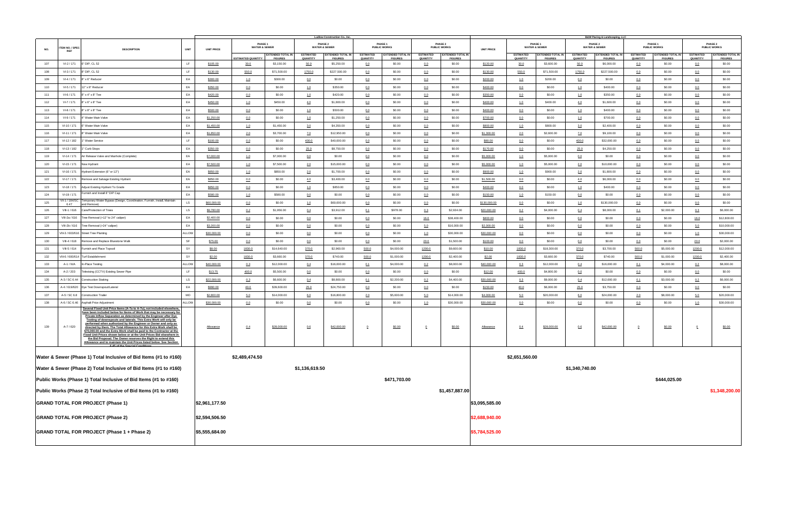|     |                               |                                                                                                                                                                                                                                                                                                                                                                                                                                                                                                                                                                                                                                                                           |             |                   |                                     |                                            |                              | Ludlow Construction Co., Inc.              |                              |                                            |                              |                                            |                   |                              |                                            |                                     | <b>B&amp;W Paving &amp; Landscaping, LLC</b> |                              |                                            |                              |                                            |
|-----|-------------------------------|---------------------------------------------------------------------------------------------------------------------------------------------------------------------------------------------------------------------------------------------------------------------------------------------------------------------------------------------------------------------------------------------------------------------------------------------------------------------------------------------------------------------------------------------------------------------------------------------------------------------------------------------------------------------------|-------------|-------------------|-------------------------------------|--------------------------------------------|------------------------------|--------------------------------------------|------------------------------|--------------------------------------------|------------------------------|--------------------------------------------|-------------------|------------------------------|--------------------------------------------|-------------------------------------|----------------------------------------------|------------------------------|--------------------------------------------|------------------------------|--------------------------------------------|
| NO. | ITEM NO. / SPEC<br><b>REF</b> | <b>DESCRIPTION</b>                                                                                                                                                                                                                                                                                                                                                                                                                                                                                                                                                                                                                                                        | <b>UNIT</b> | <b>UNIT PRICE</b> | PHASE 1<br><b>WATER &amp; SEWER</b> |                                            |                              | PHASE 2<br><b>WATER &amp; SEWER</b>        |                              | PHASE 1<br><b>PUBLIC WORKS</b>             |                              | PHASE 2<br><b>PUBLIC WORKS</b>             | <b>UNIT PRICE</b> | PHASE 1                      | <b>WATER &amp; SEWER</b>                   |                                     | PHASE 2<br><b>WATER &amp; SEWER</b>          |                              | PHASE 1<br><b>PUBLIC WORKS</b>             |                              | PHASE 2<br><b>PUBLIC WORKS</b>             |
|     |                               |                                                                                                                                                                                                                                                                                                                                                                                                                                                                                                                                                                                                                                                                           |             |                   | <b>ESTIMATED QUANTITY</b>           | <b>EXTENDED TOTAL IN</b><br><b>FIGURES</b> | <b>ESTIMATED</b><br>QUANTITY | <b>EXTENDED TOTAL IN</b><br><b>FIGURES</b> | <b>ESTIMATED</b><br>QUANTITY | <b>EXTENDED TOTAL IN</b><br><b>FIGURES</b> | <b>ESTIMATED</b><br>QUANTITY | <b>EXTENDED TOTAL IN</b><br><b>FIGURES</b> |                   | <b>ESTIMATED</b><br>QUANTITY | <b>EXTENDED TOTAL IN</b><br><b>FIGURES</b> | <b>ESTIMATED</b><br><b>QUANTITY</b> | <b>EXTENDED TOTAL IN</b><br><b>FIGURES</b>   | <b>ESTIMATED</b><br>QUANTITY | <b>EXTENDED TOTAL IN</b><br><b>FIGURES</b> | <b>ESTIMATED</b><br>QUANTITY | <b>EXTENDED TOTAL IN</b><br><b>FIGURES</b> |
| 107 | VI-2 / 171                    | 6" DIP, CL 52                                                                                                                                                                                                                                                                                                                                                                                                                                                                                                                                                                                                                                                             | LF.         | \$105.00          | 30.0                                | \$3,150.00                                 | 50.0                         | \$5,250.00                                 | 0.0                          | \$0.00                                     | 0.0                          | \$0.00                                     | \$120.00          | 30.0                         | \$3,600.00                                 | 50.0                                | \$6,000.00                                   | 0.0                          | \$0.00                                     | 0.0                          | \$0.00                                     |
| 108 | VI-3 / 171                    | 8" DIP, CL 52                                                                                                                                                                                                                                                                                                                                                                                                                                                                                                                                                                                                                                                             | LF.         | \$130.00          | 550.0                               | \$71,500.00                                | 1750.0                       | \$227,500.00                               | 0.0                          | \$0.00                                     | 0.0                          | \$0.00                                     | \$130.00          | 550.0                        | \$71,500.00                                | 1750.0                              | \$227,500.00                                 | 0.0                          | \$0.00                                     | 0.0                          | \$0.00                                     |
| 109 | VI-4 / 171                    | 8" x 6" Reducer                                                                                                                                                                                                                                                                                                                                                                                                                                                                                                                                                                                                                                                           | EA          | \$300.00          | 1.0                                 | \$300.00                                   | 0.0                          | \$0.00                                     | 0.0                          | \$0.00                                     | 0.0                          | \$0.00                                     | \$200.00          | 1.0                          | \$200.00                                   | 0.0                                 | \$0.00                                       | 0.0                          | \$0.00                                     | 0.0                          | \$0.00                                     |
| 110 | VI-5 / 171                    | 12" x 8" Reducer                                                                                                                                                                                                                                                                                                                                                                                                                                                                                                                                                                                                                                                          | EA          | \$350.00          | 0.0                                 | \$0.00                                     | 1.0                          | \$350.00                                   | 0.0                          | \$0.00                                     | 0.0                          | \$0.00                                     | \$400.00          | 0.0                          | \$0.00                                     | 1.0                                 | \$400.00                                     | 0.0                          | \$0.00                                     | 0.0                          | \$0.00                                     |
| 111 | VI-6 / 171                    | 8" x 4" x 8" Tee                                                                                                                                                                                                                                                                                                                                                                                                                                                                                                                                                                                                                                                          | EA          | \$420.00          | 0.0                                 | \$0.00                                     | 1.0                          | \$420.00                                   | 0.0                          | \$0.00                                     | 0.0                          | \$0.00                                     | \$350.00          | 0.0                          | \$0.00                                     | 1.0                                 | \$350.00                                     | 0.0                          | \$0.00                                     | 0.0                          | \$0.00                                     |
| 112 | VI-7 / 171                    | 8" x 6" x 8" Tee                                                                                                                                                                                                                                                                                                                                                                                                                                                                                                                                                                                                                                                          | EA          | \$450.00          | 1.0                                 | \$450.00                                   | 4.0                          | \$1,800.00                                 | 0.0                          | \$0.00                                     | 0.0                          | \$0.00                                     | \$400.00          | 1.0                          | \$400.00                                   | 4.0                                 | \$1,600.00                                   | 0.0                          | \$0.00                                     | 0.0                          | \$0.00                                     |
| 113 | VI-8 / 171                    | 8" x 8" x 8" Tee                                                                                                                                                                                                                                                                                                                                                                                                                                                                                                                                                                                                                                                          | EA          | \$500.00          | 0.0                                 | \$0.00                                     | 1.0                          | \$500.00                                   | 0.0                          | \$0.00                                     | 0.0                          | \$0.00                                     | \$400.00          | 0.0                          | \$0.00                                     | 1.0                                 | \$400.00                                     | 0.0                          | \$0.00                                     | 0.0                          | \$0.00                                     |
| 114 | VI-9 / 171                    | 4" Water Main Valve                                                                                                                                                                                                                                                                                                                                                                                                                                                                                                                                                                                                                                                       | EA          | \$1,250.00        | 0.0                                 | \$0.00                                     | 1.0                          | \$1,250.00                                 | 0.0                          | \$0.00                                     | 0.0                          | \$0.00                                     | \$700.00          | 0.0                          | \$0.00                                     | 1.0                                 | \$700.00                                     | 0.0                          | \$0.00                                     | 0.0                          | \$0.00                                     |
| 115 | VI-10 / 171                   | 6" Water Main Valve                                                                                                                                                                                                                                                                                                                                                                                                                                                                                                                                                                                                                                                       | EA          | \$1,450.00        | 1.0                                 | \$1,450.00                                 | 3.0                          | \$4,350.00                                 | 0.0                          | \$0.00                                     | 0.0                          | \$0.00                                     | \$800.00          | 1.0                          | \$800.00                                   | 3.0                                 | \$2,400.00                                   | 0.0                          | \$0.00                                     | 0.0                          | \$0.00                                     |
| 116 | VI-11 / 171                   | 8" Water Main Valve                                                                                                                                                                                                                                                                                                                                                                                                                                                                                                                                                                                                                                                       | EA          | \$1,850.00        | 2.0                                 | \$3,700.00                                 | <u>7.0</u>                   | \$12,950.00                                | 0.0                          | \$0.00                                     | 0.0                          | \$0.00                                     | \$1,300.00        | 2.0                          | \$2,600.00                                 | <u>7.0</u>                          | \$9,100.00                                   | 0.0                          | \$0.00                                     | 0.0                          | \$0.00                                     |
| 117 | VI-12 / 182                   | " Water Service                                                                                                                                                                                                                                                                                                                                                                                                                                                                                                                                                                                                                                                           | LF.         | \$100.00          | 0.0                                 | \$0.00                                     | 400.0                        | \$40,000.00                                | 0.0                          | \$0.00                                     | 0.0                          | \$0.00                                     | \$80.00           | 0.0                          | \$0.00                                     | 400.0                               | \$32,000.00                                  | 0.0                          | \$0.00                                     | 0.0                          | \$0.00                                     |
| 118 | VI-13 / 182                   | Curb Stops                                                                                                                                                                                                                                                                                                                                                                                                                                                                                                                                                                                                                                                                | EA          | \$350.00          | 0.0                                 | \$0.00                                     | 25.0                         | \$8,750.00                                 | 0.0                          | \$0.00                                     | 0.0                          | \$0.00                                     | \$170.00          | 0.0                          | \$0.00                                     | 25.0                                | \$4,250.00                                   | 0.0                          | \$0.00                                     | 0.0                          | \$0.00                                     |
| 119 | VI-14 / 171                   | Air Release Valve and Manhole (Complete)                                                                                                                                                                                                                                                                                                                                                                                                                                                                                                                                                                                                                                  | EA          | \$7,000.00        | 1.0                                 | \$7,000.00                                 | 0.0                          | \$0.00                                     | 0.0                          | \$0.00                                     | 0.0                          | \$0.00                                     | \$5,000.00        | 1.0                          | \$5,000.00                                 | 0.0                                 | \$0.00                                       | 0.0                          | \$0.00                                     | 0.0                          | \$0.00                                     |
| 120 | VI-15 / 171                   | New Hydrant                                                                                                                                                                                                                                                                                                                                                                                                                                                                                                                                                                                                                                                               | EA          | \$7,500.00        | 1.0                                 | \$7,500.00                                 | 2.0                          | \$15,000.00                                | 0.0                          | \$0.00                                     | 0.0                          | \$0.00                                     | \$5,000.00        | 1.0                          | \$5,000.00                                 | 2.0                                 | \$10,000.00                                  | 0.0                          | \$0.00                                     | 0.0                          | \$0.00                                     |
| 121 | VI-16 / 171                   | Hydrant Extension (6" or 12")                                                                                                                                                                                                                                                                                                                                                                                                                                                                                                                                                                                                                                             | EA          | \$850.00          | 1.0                                 | \$850.00                                   | 2.0                          | \$1,700.00                                 | 0.0                          | \$0.00                                     | 0.0                          | \$0.00                                     | \$900.00          | 1.0                          | \$900.00                                   | 2.0                                 | \$1,800.00                                   | 0.0                          | \$0.00                                     | 0.0                          | \$0.00                                     |
| 122 | VI-17 / 171                   | Remove and Salvage Existing Hydrant                                                                                                                                                                                                                                                                                                                                                                                                                                                                                                                                                                                                                                       | EA          | \$850.00          | 0.0                                 | \$0.00                                     | 4.0                          | \$3,400.00                                 | 0.0                          | \$0.00                                     | 0.0                          | \$0.00                                     | \$1,500.00        | 0.0                          | \$0.00                                     | 4.0                                 | \$6,000.00                                   | 0.0                          | \$0.00                                     | 0.0                          | \$0.00                                     |
| 123 | VI-18 / 171                   | Adjust Existing Hydrant To Grade                                                                                                                                                                                                                                                                                                                                                                                                                                                                                                                                                                                                                                          | EA          | \$850.00          | 0.0                                 | \$0.00                                     | 1.0                          | \$850.00                                   | 0.0                          | \$0.00                                     | 0.0                          | \$0.00                                     | \$400.00          | 0.0                          | \$0.00                                     | 1.0                                 | \$400.00                                     | 0.0                          | \$0.00                                     | 0.0                          | \$0.00                                     |
| 124 | VI-19 / 171                   | Furnish and Install 8" DIP Cap                                                                                                                                                                                                                                                                                                                                                                                                                                                                                                                                                                                                                                            | EA          | \$580.00          | 1.0                                 | \$580.00                                   | 0.0                          | \$0.00                                     | 0.0                          | \$0.00                                     | 0.0                          | \$0.00                                     | \$150.00          | 1.0                          | \$150.00                                   | 0.0                                 | \$0.00                                       | 0.0                          | \$0.00                                     | 0.0                          | \$0.00                                     |
| 125 | VII-1 / 184/SC<br>6.47        | Temporary Water Bypass (Design, Coordination, Furnish, Install, Maintain<br>and Remove)                                                                                                                                                                                                                                                                                                                                                                                                                                                                                                                                                                                   | LS          | \$60,000.00       | 0.0                                 | \$0.00                                     | 1.0                          | \$60,000.00                                | 0.0                          | \$0.00                                     | 0.0                          | \$0.00                                     | \$130,000.00      | 0.0                          | \$0.00                                     | 1.0                                 | \$130,000.00                                 | 0.0                          | \$0.00                                     | 0.0                          | \$0.00                                     |
| 126 | VIII-1 / 616                  | Care/Protection of Trees                                                                                                                                                                                                                                                                                                                                                                                                                                                                                                                                                                                                                                                  | LS          | \$9,780.00        | 0.2                                 | \$1,956.00                                 | 0.4                          | \$3,912.00                                 | 0.1                          | \$978.00                                   | 0.3                          | \$2,934.00                                 | \$20,000.00       | 0.2                          | \$4,000.00                                 | 0.4                                 | \$8,000.00                                   | 0.1                          | \$2,000.00                                 | 0.3                          | \$6,000.00                                 |
| 127 | VIII-2a / 616                 | Tree Removal (>12" to 24" caliper)                                                                                                                                                                                                                                                                                                                                                                                                                                                                                                                                                                                                                                        | EA          | \$2,400.00        | 0.0                                 | \$0.00                                     | 0.0                          | \$0.00                                     | 0.0                          | \$0.00                                     | 16.0                         | \$38,400.00                                | \$800.00          | 0.0                          | \$0.00                                     | 0.0                                 | \$0.00                                       | 0.0                          | \$0.00                                     | 16.0                         | \$12,800.00                                |
| 128 | VIII-2b / 616                 | Tree Removal (>24" caliper)                                                                                                                                                                                                                                                                                                                                                                                                                                                                                                                                                                                                                                               | EA          | \$3,200.00        | 0.0                                 | \$0.00                                     | 0.0                          | \$0.00                                     | 0.0                          | \$0.00                                     | 5.0                          | \$16,000.00                                | \$2,000.00        | 0.0                          | \$0.00                                     | 0.0                                 | \$0.00                                       | 0.0                          | \$0.00                                     | 5.0                          | \$10,000.00                                |
| 129 |                               | VIII-3 / 603/616 Street Tree Planting                                                                                                                                                                                                                                                                                                                                                                                                                                                                                                                                                                                                                                     | ALLOW       | \$30,000.00       | 0.0                                 | \$0.00                                     | 0.0                          | \$0.00                                     | 0.0                          | \$0.00                                     | 1.0                          | \$30,000.00                                | \$30,000.00       | 0.0                          | \$0.00                                     | 0.0                                 | \$0.00                                       | 0.0                          | \$0.00                                     | 1.0                          | \$30,000.00                                |
| 130 | VIII-4 / 618                  | Remove and Replace Bluestone Walk                                                                                                                                                                                                                                                                                                                                                                                                                                                                                                                                                                                                                                         | SF          | \$75.00           | 0.0                                 | \$0.00                                     | 0.0                          | \$0.00                                     | 0.0                          | \$0.00                                     | 20.0                         | \$1,500.00                                 | \$100.00          | 0.0                          | \$0.00                                     | 0.0                                 | \$0.00                                       | 0.0                          | \$0.00                                     | 20.0                         | \$2,000.00                                 |
| 131 | VIII-5 / 614                  | Furnish and Place Topsoil                                                                                                                                                                                                                                                                                                                                                                                                                                                                                                                                                                                                                                                 | SY          | \$8.00            | 1830.0                              | \$14,640.00                                | 370.0                        | \$2,960.00                                 | 500.0                        | \$4,000.00                                 | 1200.0                       | \$9,600.00                                 | \$10.00           | 1830.0                       | \$18,300.00                                | 370.0                               | \$3,700.00                                   | 500.0                        | \$5,000.00                                 | 1200.0                       | \$12,000.00                                |
| 132 | VIII-6 / 600/614              | <b>Turf Establishment</b>                                                                                                                                                                                                                                                                                                                                                                                                                                                                                                                                                                                                                                                 | SY          | \$2.00            | 1830.0                              | \$3,660.00                                 | 370.0                        | \$740.00                                   | 500.0                        | \$1,000.00                                 | 1200.0                       | \$2,400.00                                 | \$2.00            | 1830.0                       | \$3,660.00                                 | 370.0                               | \$740.00                                     | 500.0                        | \$1,000.00                                 | 1200.0                       | \$2,400.00                                 |
| 133 | A-1 / N/A                     | In-Place Testing                                                                                                                                                                                                                                                                                                                                                                                                                                                                                                                                                                                                                                                          | ALLOW       | \$40,000.00       | 0.3                                 | \$12,000.00                                | 0.4                          | \$16,000.00                                | 0.1                          | \$4,000.00                                 | 0.2                          | \$8,000.00                                 | \$40,000.00       | 0.3                          | \$12,000.00                                | 0.4                                 | \$16,000.00                                  | 0.1                          | \$4,000.00                                 | 0.2                          | \$8,000.00                                 |
| 134 | A-2 / 203                     | Televising (CCTV) Existing Sewer Pipe                                                                                                                                                                                                                                                                                                                                                                                                                                                                                                                                                                                                                                     | LF.         | \$13.75           | 400.0                               | \$5,500.00                                 | 0.0                          | \$0.00                                     | 0.0                          | \$0.00                                     | 0.0                          | \$0.00                                     | \$12.00           | 400.0                        | \$4,800.00                                 | 0.0                                 | \$0.00                                       | 0.0                          | \$0.00                                     | 0.0                          | \$0.00                                     |
| 135 |                               | A-3 / SC 6.44 Construction Staking                                                                                                                                                                                                                                                                                                                                                                                                                                                                                                                                                                                                                                        | LS          | \$22,000.00       | 0.3                                 | \$6,600.00                                 | 0.4                          | \$8,800.00                                 | 0.1                          | \$2,200.00                                 | 0.2                          | \$4,400.00                                 | \$30,000.00       | 0.3                          | \$9,000.00                                 | 0.4                                 | \$12,000.00                                  | 0.1                          | \$3,000.00                                 | 0.2                          | \$6,000.00                                 |
| 136 |                               | A-4 / 619/620 Dye Test Downspout/Lateral                                                                                                                                                                                                                                                                                                                                                                                                                                                                                                                                                                                                                                  | EA          | \$990.00          | 40.0                                | \$39,600.00                                | 25.0                         | \$24,750.00                                | 0.0                          | \$0.00                                     | 0.0                          | \$0.00                                     | \$150.00          | 40.0                         | \$6,000.00                                 | 25.0                                | \$3,750.00                                   | 0.0                          | \$0.00                                     | 0.0                          | \$0.00                                     |
| 137 | A-5 / SC 6.8                  | <b>Construction Trailer</b>                                                                                                                                                                                                                                                                                                                                                                                                                                                                                                                                                                                                                                               | MO          | \$2,800.00        | 5.0                                 | \$14,000.00                                | 6.0                          | \$16,800.00                                | 2.0                          | \$5,600.00                                 | 5.0                          | \$14,000.00                                | \$4,000.00        | 5.0                          | \$20,000.00                                | 6.0                                 | \$24,000.00                                  | 2.0                          | \$8,000.00                                 | 5.0                          | \$20,000.00                                |
| 138 |                               | A-6 / SC 6.46 Asphalt Price Adjustment<br>Several Fixed Unit Price Items (A-7a to A-7u), not included elsewhere,                                                                                                                                                                                                                                                                                                                                                                                                                                                                                                                                                          | ALLOW       | \$30,000.00       | 0.0                                 | \$0.00                                     | 0.0                          | \$0.00                                     | 0.0                          | \$0.00                                     | 1.0                          | \$30,000.00                                | \$30,000.00       | 0.0                          | \$0.00                                     | 0.0                                 | \$0.00                                       | 0.0                          | \$0.00                                     | 1.0                          | \$30,000.00                                |
| 139 | A-7 / 620                     | have been included below for Items of Work that may be necessary for<br>Private Inflow Separation as determined by the Engineer after Dye<br>Testing of downspouts and laterals. This Extra Work will only be<br>performed when authorized by the Engineer or Owner and only as<br>directed by them. The Total Allowance for this Extra Work shall be<br>\$70,000.00 and the Extra Work shall be paid to the Contractor at the<br>Fixed Unit Prices shown below or at the Unit Prices Bid elsewhere in<br>the Bid Proposal. The Owner reserves the Right to extend this<br>Allowance and to maintain the Unit Prices listed below. See Section<br>6.45 of the Special Cor |             | Allowance         | 0.4                                 | \$28,000.00                                | 0.6                          | \$42,000.00                                | $\overline{0}$               | \$0.00                                     | $\overline{0}$               | \$0.00                                     | Allowance         | 0.4                          | \$28,000.00                                | 0.6                                 | \$42,000.00                                  | $\overline{0}$               | \$0.00                                     | $\overline{0}$               | \$0.00                                     |
|     |                               | Water & Sewer (Phase 1) Total Inclusive of Bid Items (#1 to #160)                                                                                                                                                                                                                                                                                                                                                                                                                                                                                                                                                                                                         |             |                   | \$2,489,474.50                      |                                            |                              |                                            |                              |                                            |                              |                                            |                   | \$2,651,560.00               |                                            |                                     |                                              |                              |                                            |                              |                                            |
|     |                               | Water & Sewer (Phase 2) Total Inclusive of Bid Items (#1 to #160)                                                                                                                                                                                                                                                                                                                                                                                                                                                                                                                                                                                                         |             |                   |                                     |                                            | \$1,136,619.50               |                                            |                              |                                            |                              |                                            |                   |                              |                                            | \$1,340,740.00                      |                                              |                              |                                            |                              |                                            |
|     |                               |                                                                                                                                                                                                                                                                                                                                                                                                                                                                                                                                                                                                                                                                           |             |                   |                                     |                                            |                              |                                            |                              |                                            |                              |                                            |                   |                              |                                            |                                     |                                              |                              |                                            |                              |                                            |
|     |                               | Public Works (Phase 1) Total Inclusive of Bid Items (#1 to #160)                                                                                                                                                                                                                                                                                                                                                                                                                                                                                                                                                                                                          |             |                   |                                     |                                            |                              |                                            |                              | \$471,703.00                               |                              |                                            |                   |                              |                                            |                                     |                                              |                              | \$444,025.00                               |                              |                                            |
|     |                               | Public Works (Phase 2) Total Inclusive of Bid Items (#1 to #160)                                                                                                                                                                                                                                                                                                                                                                                                                                                                                                                                                                                                          |             |                   |                                     |                                            |                              |                                            |                              |                                            |                              | \$1,457,887.00                             |                   |                              |                                            |                                     |                                              |                              |                                            |                              | \$1,348,200.00                             |
|     |                               | <b>GRAND TOTAL FOR PROJECT (Phase 1)</b>                                                                                                                                                                                                                                                                                                                                                                                                                                                                                                                                                                                                                                  |             | \$2,961,177.50    |                                     |                                            |                              |                                            |                              |                                            |                              |                                            | \$3,095,585.00    |                              |                                            |                                     |                                              |                              |                                            |                              |                                            |
|     |                               | <b>GRAND TOTAL FOR PROJECT (Phase 2)</b>                                                                                                                                                                                                                                                                                                                                                                                                                                                                                                                                                                                                                                  |             | \$2,594,506.50    |                                     |                                            |                              |                                            |                              |                                            |                              |                                            | \$2,688,940.00    |                              |                                            |                                     |                                              |                              |                                            |                              |                                            |
|     |                               | GRAND TOTAL FOR PROJECT (Phase 1 + Phase 2)                                                                                                                                                                                                                                                                                                                                                                                                                                                                                                                                                                                                                               |             | \$5,555,684.00    |                                     |                                            |                              |                                            |                              |                                            |                              |                                            | \$5,784,525.00    |                              |                                            |                                     |                                              |                              |                                            |                              |                                            |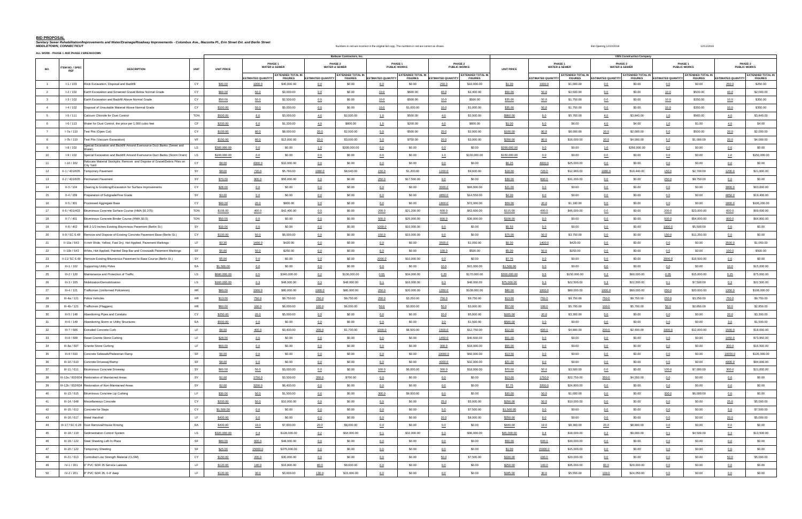# **BID PROPOSAL**

Sanitary Sewer Rehabilitation/Improvements and Water/Drainage/Roadway Improvements - Columbus Ave., Mazzotta Pl., Erin Street Ext. and Berlin Street Ext. and Berlin Street Ext. and Berlin Street Ext. and Berlin Street Ext.

**ALL WORK - PHASE 1 AND PHASE 2 BREAKDOWN**

|                         | ALL WORK - PHASE 1 AND PHASE 2 BREAKDOWN |                                                                                                            |                   |                          |                                     |                           | <b>Baltazar Contractors, Inc.</b>   |                           |                                           |                           |                                |                   |                           |                                     |                           | <b>VMS Construction Company</b>     |                           |                                |                           |                                           |
|-------------------------|------------------------------------------|------------------------------------------------------------------------------------------------------------|-------------------|--------------------------|-------------------------------------|---------------------------|-------------------------------------|---------------------------|-------------------------------------------|---------------------------|--------------------------------|-------------------|---------------------------|-------------------------------------|---------------------------|-------------------------------------|---------------------------|--------------------------------|---------------------------|-------------------------------------------|
|                         |                                          |                                                                                                            |                   |                          | PHASE 1<br><b>WATER &amp; SEWER</b> |                           | PHASE 2<br><b>WATER &amp; SEWER</b> |                           | PHASE <sub>1</sub><br><b>PUBLIC WORKS</b> |                           | PHASE 2<br><b>PUBLIC WORKS</b> |                   |                           | PHASE 1<br><b>WATER &amp; SEWER</b> |                           | PHASE 2<br><b>WATER &amp; SEWER</b> |                           | PHASE 1<br><b>PUBLIC WORKS</b> |                           | PHASE <sub>2</sub><br><b>PUBLIC WORKS</b> |
| NO.                     | ITEM NO. / SPEC<br><b>REF</b>            | <b>DESCRIPTION</b><br><b>UNIT</b>                                                                          | <b>UNIT PRICE</b> |                          | <b>EXTENDED TOTAL IN</b>            |                           | <b>EXTENDED TOTAL IN</b>            |                           | <b>EXTENDED TOTAL IN</b>                  |                           | <b>EXTENDED TOTAL IN</b>       | <b>UNIT PRICE</b> |                           | <b>EXTENDED TOTAL IN</b>            |                           | <b>EXTENDED TOTAL IN</b>            |                           | <b>EXTENDED TOTAL IN</b>       |                           | <b>EXTENDED TOTAL IN</b>                  |
|                         |                                          |                                                                                                            |                   | <b>STIMATED QUANTITY</b> | <b>FIGURES</b>                      | <b>ESTIMATED QUANTITY</b> | <b>FIGURES</b>                      | <b>ESTIMATED QUANTITY</b> | <b>FIGURES</b>                            | <b>ESTIMATED QUANTITY</b> | <b>FIGURES</b>                 |                   | <b>ESTIMATED QUANTITY</b> | <b>FIGURES</b>                      | <b>ESTIMATED QUANTITY</b> | <b>FIGURES</b>                      | <b>ESTIMATED QUANTITY</b> | <b>FIGURES</b>                 | <b>ESTIMATED QUANTITY</b> | <b>FIGURES</b>                            |
|                         | $I - 1 / 103$                            | Rock Excavation, Disposal and Backfill<br>CY                                                               | \$40.00           | 1000.0                   | \$40,000.00                         | 0.0                       | \$0.00                              | 0.0                       | \$0.00                                    | 250.0                     | \$10,000.00                    | \$1.00            | 1000.0                    | \$1,000.00                          | 0.0                       | \$0.00                              | 0.0                       | \$0.00                         | 250.0                     | \$250.00                                  |
| 2                       | $I-2/102$                                | Earth Excavation and Screened Gravel Below Normal Grade<br>CY                                              | \$60.00           | 50.0                     | \$3,000.00                          | 0.0                       | \$0.00                              | 10.0                      | \$600.00                                  | 40.0                      | \$2,400.00                     | \$50.00           | 50.0                      | \$2,500.00                          | 0.0                       | \$0.00                              | 10.0                      | \$500.00                       | 40.0                      | \$2,000.00                                |
| $\overline{\mathbf{3}}$ | $1-3/102$                                | Earth Excavation and Backfill Above Normal Grade<br>CY                                                     | \$50.00           | 50.0                     | \$2,500.00                          | 0.0                       | \$0.00                              | 10.0                      | \$500.00                                  | 10.0                      | \$500.00                       | \$35.00           | 50.0                      | \$1,750.00                          | 0.0                       | \$0.00                              | 10.0                      | \$350.00                       | 10.0                      | \$350.00                                  |
| $\overline{4}$          | $I-4/102$                                | CY<br>Disposal of Unsuitable Material Above Normal Grade                                                   | \$100.00          | 50.0                     | \$5,000.00                          | 0.0                       | \$0.00                              | 10.0                      | \$1,000.00                                | 10.0                      | \$1,000.00                     | \$35.00           | 50.0                      | \$1,750.00                          | 0.0                       | \$0.00                              | 10.0                      | \$350.00                       | 10.0                      | \$350.00                                  |
| 5                       | $1-5/111$                                | <b>TON</b><br>Calcium Chloride for Dust Control                                                            | \$500.00          | 6.0                      | \$3,000.00                          | 4.0                       | \$2,000.00                          | 1.0                       | \$500.00                                  | 4.0                       | \$2,000.00                     | \$960.00          | 6.0                       | \$5,760.00                          | 4.0                       | \$3,840.00                          | 1.0                       | \$960.00                       | 4.0                       | \$3,840.00                                |
| 6                       | $1-6/113$                                | CF<br>Water for Dust Control, the price per 1,000 cubic feet                                               | \$200.00          | 6.0                      | \$1,200.00                          | 4.0                       | \$800.00                            | 1.0                       | \$200.00                                  | 4.0                       | \$800.00                       | \$1.00            | 6.0                       | \$6.00                              | 4.0                       | \$4.00                              | 1.0                       | \$1.00                         | 4.0                       | \$4.00                                    |
| $\overline{7}$          | $I-7a/110$                               | CY<br>Test Pits (Open Cut)                                                                                 | \$100.00          | 80.0                     | \$8,000.00                          | 20.0                      | \$2,000.00                          | 5.0                       | \$500.00                                  | 20.0                      | \$2,000.00                     | \$100.00          | 80.0                      | \$8,000.00                          | 20.0                      | \$2,000.00                          | 5.0                       | \$500.00                       | 20.0                      | \$2,000.00                                |
| 8                       | $I-7b/110$                               | VF<br>Test Pits (Vacuum Excavation)                                                                        | \$150.00          | 80.0                     | \$12,000.00                         | 20.0                      | \$3,000.00                          | 5.0                       | \$750.00                                  | 20.0                      | \$3,000.00                     | \$200.00          | 80.0                      | \$16,000.00                         | 20.0                      | \$4,000.00                          | 5.0                       | \$1,000.00                     | 20.0                      | \$4,000.00                                |
|                         | $I-8/102$                                | Special Excavation and Backfill Around Eversource Duct Banks (Sewer and<br><b>LS</b><br>Water <sup>1</sup> | \$300,000.00      | 0.0                      | \$0.00                              | 1.0                       | \$300,000.00                        | 0.0                       | \$0.00                                    | 0.0                       | \$0.00                         | \$266,000.00      | 0.0                       | \$0.00                              | 1.0                       | \$266,000.00                        | 0.0                       | \$0.00                         | 0.0                       | \$0.00                                    |
| 10                      | $1-9/102$                                | Special Excavation and Backfill Around Eversource Duct Banks (Storm Drain)<br>LS                           | \$100,000.00      | 0.0                      | \$0.00                              | 0.0                       | \$0.00                              | 0.0                       | \$0.00                                    | 1.0                       | \$100,000.00                   | \$150,000.00      | 0.0                       | \$0.00                              | 0.0                       | \$0.00                              | 0.0                       | \$0.00                         | 1.0                       | \$150,000.00                              |
| 11                      | $I-10/102$                               | Relocate Material Stockpile, Remove and Dispose of Gravel/Debris Piles on<br>CY.<br>City Yard              | \$8.00            | 4000.0                   | \$32,000.00                         | 0.0                       | \$0.00                              | 0.0                       | \$0.00                                    | 0.0                       | \$0.00                         | \$6.25            | 4000.0                    | \$25,000.00                         | 0.0                       | \$0.00                              | 0.0                       | \$0.00                         | 0.0                       | \$0.00                                    |
| 12                      | II-1 / 401/605                           | <b>Temporary Pavement</b><br>SY                                                                            | \$8.00            | 720.0                    | \$5,760.00                          | 1080.0                    | \$8,640.00                          | 150.0                     | \$1,200.00                                | 1200.0                    | \$9,600.00                     | \$18.00           | 720.0                     | \$12,960.00                         | 1080.0                    | \$19,440.00                         | 150.0                     | \$2,700.00                     | 1200.0                    | \$21,600.00                               |
| 13                      | II-2 / 401/605                           | Permanent Pavement<br>SY                                                                                   | \$70.00           | 800.0                    | \$56,000.00                         | 0.0                       | \$0.00                              | 250.0                     | \$17,500.00                               | 0.0                       | \$0.00                         | \$39.00           | 800.0                     | \$31,200.00                         | 0.0                       | \$0.00                              | 250.0                     | \$9,750.00                     | 0.0                       | \$0.00                                    |
| 14                      | $II-3/104$                               | Clearing & Grubbing/Excavation for Surface Improvements<br>CY                                              | \$28.00           | 0.0                      | \$0.00                              | 0.0                       | \$0.00                              | 0.0                       | \$0.00                                    | 3000.0                    | \$84,000.00                    | \$21.00           | 0.0                       | \$0.00                              | 0.0                       | \$0.00                              | 0.0                       | \$0.00                         | 3000.0                    | \$63,000.00                               |
| 15                      | $II-4/109$                               | Preparation of Subgrade/Fine Grade<br>SY                                                                   | \$3.00            | 0.0                      | \$0.00                              | 0.0                       | \$0.00                              | 0.0                       | \$0.00                                    | 4850.0                    | \$14,550.00                    | \$4.00            | 0.0                       | \$0.00                              | 0.0                       | \$0.00                              | 0.0                       | \$0.00                         | 4850.0                    | \$19,400.00                               |
| 16                      | $II-5/301$                               | Processed Aggregate Base<br>CY                                                                             | \$40.00           | 20.0                     | \$800.00                            | 0.0                       | \$0.00                              | 0.0                       | \$0.00                                    | 1800.0                    | \$72,000.00                    | \$59.00           | 20.0                      | \$1,180.00                          | 0.0                       | \$0.00                              | 0.0                       | \$0.00                         | 1800.0                    | \$106,200.00                              |
| 17                      |                                          | <b>TON</b><br>II-6 / 401/403 Bituminous Concrete Surface Course (HMA S0.375)                               | \$106.00          | 400.0                    | \$42,400.00                         | 0.0                       | \$0.00                              | 200.0                     | \$21,200.00                               | 600.0                     | \$63,600.00                    | \$115.00          | 400.0                     | \$46,000.00                         | 0.0                       | \$0.00                              | 200.0                     | \$23,000.00                    | 600.0                     | \$69,000.00                               |
| 18                      | $II - 7 / 401$                           | <b>TON</b><br>Bituminous Concrete Binder Course (HMA S0.5)                                                 | \$50.00           | 0.0                      | \$0.00                              | 0.0                       | \$0.00                              | 500.0                     | \$25,000.00                               | 600.0                     | \$30,000.00                    | \$108.00          | 0.0                       | \$0.00                              | 0.0                       | \$0.00                              | 500.0                     | \$54,000.00                    | 600.0                     | \$64,800.00                               |
| 19                      | II-8 / 402                               | Mill 2-1/2-inches Existing Bituminous Pavement (Berlin St.)<br>SY                                          | \$10.00           | 0.0                      | \$0.00                              | 0.0                       | \$0.00                              | 1000.0                    | \$10,000.00                               | 0.0                       | \$0.00                         | \$5.50            | 0.0                       | \$0.00                              | 0.0                       | \$0.00                              | 1000.0                    | \$5,500.00                     | 0.0                       | \$0.00                                    |
| 20                      |                                          | II-9 / SC 6.49 Remove and Dispose of Existing Concrete Pavement Base (Berlin St.)<br>CY                    | \$100.00          | 50.0                     | \$5,000.00                          | 0.0                       | \$0.00                              | 150.0                     | \$15,000.00                               | 0.0                       | \$0.00                         | \$75.00           | 50.0                      | \$3,750.00                          | 0.0                       | \$0.00                              | 150.0                     | \$11,250.00                    | 0.0                       | \$0.00                                    |
| 21                      | II-10a / 643                             | LF.<br>4-inch Wide, Yellow, Fast Dry, Hot-Applied, Pavement Markings                                       | \$0.30            | 1400.0                   | \$420.00                            | 0.0                       | \$0.00                              | 0.0                       | \$0.00                                    | 3500.0                    | \$1,050.00                     | \$0.30            | 1400.0                    | \$420.00                            | 0.0                       | \$0.00                              | 0.0                       | \$0.00                         | 3500.0                    | \$1,050.00                                |
| 22                      | II-10b / 643                             | SF<br>White, Hot-Applied, Painted Stop Bar and Crosswalk Pavement Markings                                 | \$5.00            | 50.0                     | \$250.00                            | 0.0                       | \$0.00                              | 0.0                       | \$0.00                                    | 100.0                     | \$500.00                       | \$5.00            | 50.0                      | \$250.00                            | 0.0                       | \$0.00                              | 0.0                       | \$0.00                         | 100.0                     | \$500.00                                  |
| 23                      |                                          | SY<br>II-11/ SC 6.49 Remove Existing Bituminous Pavement to Base Course (Berlin St.)                       | \$5.00            | 0.0                      | \$0.00                              | 0.0                       | \$0.00                              | 2000.0                    | \$10,000.00                               | 0.0                       | \$0.00                         | \$7.75            | 0.0                       | \$0.00                              | 0.0                       | \$0.00                              | 2000.0                    | \$15,500.00                    | 0.0                       | \$0.00                                    |
| 24                      | III-1 / 102                              | <b>Supporting Utility Poles</b><br>EA                                                                      | \$1,500.00        | 0.0                      | \$0.00                              | 0.0                       | \$0.00                              | 0.0                       | \$0.00                                    | 10.0                      | \$15,000.00                    | \$1,500.00        | 0.0                       | \$0.00                              | 0.0                       | \$0.00                              | 0.0                       | \$0.00                         | 10.0                      | \$15,000.00                               |
| 25                      | III-2 / 120                              | Maintenance and Protection of Traffic<br>LS                                                                | \$680,000.00      | 0.5                      | \$340,000.00                        | 0.2                       | \$136,000.00                        | 0.05                      | \$34,000.00                               | 0.25                      | \$170,000.00                   | \$300,000.00      | 0.5                       | \$150,000.00                        | 0.2                       | \$60,000.00                         | 0.05                      | \$15,000.00                    | 0.25                      | \$75,000.00                               |
| 26                      | III-3 / 105                              | Mobilization/Demobilization<br>LS                                                                          | \$160,000.00      | 0.3                      | \$48,000.00                         | 0.3                       | \$48,000.00                         | 0.1                       | \$16,000.00                               | 0.3                       | \$48,000.00                    | \$75,000.00       | 0.3                       | \$22,500.00                         | 0.3                       | \$22,500.00                         | 0.1                       | \$7,500.00                     | 0.3                       | \$22,500.00                               |
| 27                      | $III-4/121$                              | <b>HR</b><br>Trafficmen (Uniformed Policemen)                                                              | \$80.00           | 1000.0                   | \$80,000.00                         | 1000.0                    | \$80,000.00                         | 250.0                     | \$20,000.00                               | 1350.0                    | \$108,000.00                   | \$80.00           | 1000.0                    | \$80,000.00                         | 1000.0                    | \$80,000.00                         | 250.0                     | \$20,000.00                    | 1350.0                    | \$108,000.00                              |
| 28                      | III-4a / 121                             | <b>HR</b><br>Police Vehicles                                                                               | \$13.00           | 750.0                    | \$9,750.00                          | 750.0                     | \$9,750.00                          | 250.0                     | \$3,250.00                                | 750.0                     | \$9,750.00                     | \$13.00           | 750.0                     | \$9,750.00                          | 750.0                     | \$9,750.00                          | 250.0                     | \$3,250.00                     | 750.0                     | \$9,750.00                                |
| 29                      | III-4b / 121                             | <b>HR</b><br>Trafficmen (Flaggers)                                                                         | \$60.00           | 100.0                    | \$6,000.00                          | 100.0                     | \$6,000.00                          | 50.0                      | \$3,000.00                                | 50.0                      | \$3,000.00                     | \$57.00           | 100.0                     | \$5,700.00                          | 100.0                     | \$5,700.00                          | 50.0                      | \$2,850.00                     | 50.0                      | \$2,850.00                                |
| 30                      | III-5 / 148                              | CY<br>Abandoning Pipes and Conduits                                                                        | \$250.00          | 20.0                     | \$5,000.00                          | 0.0                       | \$0.00                              | 0.0                       | \$0.00                                    | 20.0                      | \$5,000.00                     | \$165.00          | 20.0                      | \$3,300.00                          | 0.0                       | \$0.00                              | 0.0                       | \$0.00                         | 20.0                      | \$3,300.00                                |
| 31                      | III-6 / 149                              | EA<br>Abandoning Storm or Utility Structures                                                               | \$500.00          | 0.0                      | \$0.00                              | 0.0                       | \$0.00                              | 0.0                       | \$0.00                                    | 3.0                       | \$1,500.00                     | \$500.00          | 0.0                       | \$0.00                              | 0.0                       | \$0.00                              | 0.0                       | \$0.00                         | 3.0                       | \$1,500.00                                |
| 32                      | III-7 / 606                              | LF.<br><b>Extruded Concrete Curb</b>                                                                       | \$8.50            | 400.0                    | \$3,400.00                          | 200.0                     | \$1,700.00                          | 1000.0                    | \$8,500.00                                | 1500.0                    | \$12,750.00                    | \$12.00           | 400.0                     | \$4,800.00                          | 200.0                     | \$2,400.00                          | 1000.0                    | \$12,000.00                    | 1500.0                    | \$18,000.00                               |
| 33                      | III-8 / 608                              | LF.<br><b>Reset Granite Stone Curbing</b>                                                                  | \$28.00           | 0.0                      | \$0.00                              | 0.0                       | \$0.00                              | 0.0                       | \$0.00                                    | 1450.0                    | \$40,600.00                    | \$51.00           | 0.0                       | \$0.00                              | 0.0                       | \$0.00                              | 0.0                       | \$0.00                         | 1450.0                    | \$73,950.00                               |
| 34                      |                                          | III-8a / 607 Granite Stone Curbing<br>$\Box$                                                               | \$60.00           | 0.0                      | \$0.00                              | 0.0                       | \$0.00                              | 0.0                       | \$0.00                                    | 300.0                     | \$18,000.00                    | \$55.00           | 0.0                       | \$0.00                              | 0.0                       | \$0.00                              | 0.0                       | \$0.00                         | 300.0                     | \$16,500.00                               |
| 35                      |                                          | III-9 / 610 Concrete Sidewalk/Pedestrian Ramp<br>SF                                                        | \$6.00            | 0.0                      | \$0.00                              | 0.0                       | \$0.00                              | 0.0                       | \$0.00                                    | 10000.0                   | \$60,000.00                    | \$13.50           | 0.0                       | \$0.00                              | 0.0                       | \$0.00                              | 0.0                       | \$0.00                         | 10000.0                   | \$135,000.00                              |
| 36                      |                                          | SF<br>III-10 / 610 Concrete Driveway/Ramp                                                                  | \$8.00            | 0.0                      | \$0.00                              | 0.0                       | \$0.00                              | 0.0                       | \$0.00                                    | 4000.0                    | \$32,000.00                    | \$21.00           | 0.0                       | \$0.00                              | 0.0                       | \$0.00                              | 0.0                       | \$0.00                         | 4000.0                    | \$84,000.00                               |
| 37                      |                                          | III-11 / 611 Bituminous Concrete Driveway<br>SY                                                            | \$60.00           | 50.0                     | \$3,000.00                          | 0.0                       | \$0.00                              | 100.0                     | \$6,000.00                                | 300.0                     | \$18,000.00                    | \$70.00           | 50.0                      | \$3,500.00                          | 0.0                       | \$0.00                              | 100.0                     | \$7,000.00                     | 300.0                     | \$21,000.00                               |
| 38                      |                                          | III-12a / 602/604 Restoration of Maintained Areas<br>SY                                                    | \$2.00            | 1750.0                   | \$3,500.00                          | 350.0                     | \$700.00                            | 0.0                       | \$0.00                                    | 0.0                       | \$0.00                         | \$13.00           | 1750.0                    | \$22,750.00                         | 350.0                     | \$4,550.00                          | 0.0                       | \$0.00                         | 0.0                       | \$0.00                                    |
| 39                      |                                          | III-12b / 602/604 Restoration of Non-Maintained Areas<br>SY                                                | \$2.00            | 3200.0                   | \$6,400.00                          | 0.0                       | \$0.00                              | 0.0                       | \$0.00                                    | 0.0                       | \$0.00                         | \$7.75            | 3200.0                    | \$24,800.00                         | 0.0                       | \$0.00                              | 0.0                       | \$0.00                         | 0.0                       | \$0.00                                    |
| 40                      |                                          | III-13 / 615 Bituminous Concrete Lip Curbing<br>LF                                                         | \$30.00           | 50.0                     | \$1,500.00                          | 0.0                       | \$0.00                              | 300.0                     | \$9,000.00                                | 0.0                       | \$0.00                         | \$20.00           | 50.0                      | \$1,000.00                          | 0.0                       | \$0.00                              | 300.0                     | \$6,000.00                     | 0.0                       | \$0.00                                    |
| 41                      |                                          | III-14 / 648 Miscellaneous Concrete<br>CY                                                                  | \$200.00          | 50.0                     | \$10,000.00                         | 0.0                       | \$0.00                              | 0.0                       | \$0.00                                    |                           | \$5,000.00                     |                   | 50.0                      | \$10,000.00                         | 0.0                       | \$0.00                              | 0.0                       | \$0.00                         |                           | \$5,000.00                                |
|                         |                                          | III-15 / 612 Concrete for Steps<br>CY                                                                      |                   |                          | \$0.00                              |                           | \$0.00                              |                           | \$0.00                                    | 25.0                      | \$7,500.00                     | \$200.00          |                           | \$0.00                              |                           | \$0.00                              |                           | \$0.00                         | 25.0                      | \$7,500.00                                |
| 42                      |                                          |                                                                                                            | \$1,500.00        | 0.0                      |                                     | 0.0                       |                                     | 0.0                       |                                           | 5.0                       |                                | \$1,500.00        | 0.0                       |                                     | 0.0                       |                                     | 0.0                       |                                | 5.0                       |                                           |
| 43                      |                                          | III-16 / 617 Metal Handrail<br>LF.                                                                         | \$400.00          | 0.0                      | \$0.00                              | 0.0                       | \$0.00                              | 0.0                       | \$0.00                                    | 20.0                      | \$8,000.00                     | \$250.00          | 0.0                       | \$0.00                              | 0.0                       | \$0.00                              | 0.0                       | \$0.00                         | 20.0                      | \$5,000.00                                |
| 44                      |                                          | III-17 / SC 6.28 Dust Removal/House Rinsing<br>EA                                                          | \$400.00          | <u>19.0</u>              | \$7,600.00                          | 20.0                      | \$8,000.00                          | 0.0                       | \$0.00                                    | 0.0                       | \$0.00                         | \$440.00          | 19.0                      | \$8,360.00                          | <u>20.0</u>               | \$8,800.00                          | 0.0                       | \$0.00                         | 0.0                       | \$0.00                                    |
| 45                      |                                          | LS.<br>III-18 / 119   Sedimentation Control System                                                         | \$320,000.00      | 0.4                      | \$128,000.00                        | 0.2                       | \$64,000.00                         | 0.1                       | \$32,000.00                               | 0.3                       | \$96,000.00                    | \$45,000.00       | 0.4                       | \$18,000.00                         | 0.2                       | \$9,000.00                          | 0.1                       | \$4,500.00                     | 0.3                       | \$13,500.00                               |
| 46                      |                                          | III-19 / 122 Steel Sheeting Left-In-Place<br>SF                                                            | \$80.00           | 600.0                    | \$48,000.00                         | 0.0                       | \$0.00                              | 0.0                       | \$0.00                                    | 0.0                       | \$0.00                         | \$50.00           | 600.0                     | \$30,000.00                         | 0.0                       | \$0.00                              | 0.0                       | \$0.00                         | 0.0                       | \$0.00                                    |
| 47                      |                                          | III-20 / 122 Temporary Sheeting<br>SF                                                                      | \$25.00           | 15000.0                  | \$375,000.00                        | 0.0                       | \$0.00                              | 0.0                       | \$0.00                                    | 0.0                       | \$0.00                         | \$1.00            | 15000.0                   | \$15,000.00                         | 0.0                       | \$0.00                              | 0.0                       | \$0.00                         | 0.0                       | \$0.00                                    |
| 48                      |                                          | III-21 / 613 Controlled Low Strength Material (CLSM)<br>CY                                                 | \$150.00          | 200.0                    | \$30,000.00                         | 0.0                       | \$0.00                              | 0.0                       | \$0.00                                    | 50.0                      | \$7,500.00                     | \$100.00          | 200.0                     | \$20,000.00                         | 0.0                       | \$0.00                              | 0.0                       | \$0.00                         | 50.0                      | \$5,000.00                                |
| 49                      |                                          | IV-1 / 201 6" PVC SDR 35 Service Laterals<br>LF.                                                           | \$120.00          | 140.0                    | \$16,800.00                         | 80.0                      | \$9,600.00                          | 0.0                       | \$0.00                                    | 0.0                       | \$0.00                         | \$250.00          | 140.0                     | \$35,000.00                         | 80.0                      | \$20,000.00                         | 0.0                       | \$0.00                         | 0.0                       | \$0.00                                    |
| 50                      |                                          | IV-2 / 201 8" PVC SDR 35, 0-8' deep<br>LF                                                                  | \$120.00          | 30.0                     | \$3,600.00                          | 130.0                     | \$15,600.00                         | 0.0                       | \$0.00                                    | 0.0                       | \$0.00                         | \$185.00          | 30.0                      | \$5,550.00                          | 130.0                     | \$24,050.00                         | 0.0                       | \$0.00                         | 0.0                       | \$0.00                                    |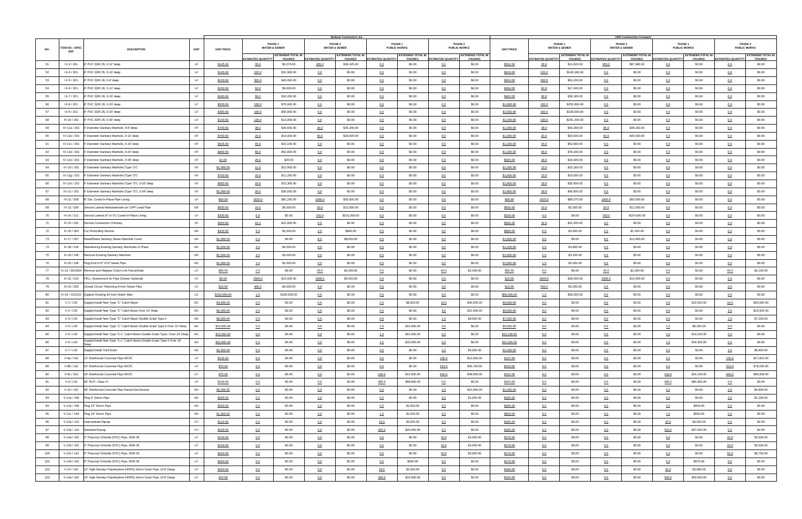|     |                                                                                             |             |                   |                          |                                            |                           | Baltazar Contractors, Inc.                 |                           |                                            |                           |                                            |                   |                           |                                            |                           | <b>VMS Construction Company</b>            |                           |                                            |                           |                                            |
|-----|---------------------------------------------------------------------------------------------|-------------|-------------------|--------------------------|--------------------------------------------|---------------------------|--------------------------------------------|---------------------------|--------------------------------------------|---------------------------|--------------------------------------------|-------------------|---------------------------|--------------------------------------------|---------------------------|--------------------------------------------|---------------------------|--------------------------------------------|---------------------------|--------------------------------------------|
|     |                                                                                             |             |                   |                          | PHASE 1                                    |                           | PHASE 2                                    |                           | PHASE 1                                    |                           | <b>PHASE 2</b>                             |                   |                           | PHASE 1                                    |                           | PHASE 2                                    |                           | PHASE 1                                    |                           | PHASE 2                                    |
| NO. | ITEM NO. / SPEC<br><b>DESCRIPTION</b><br><b>REF</b>                                         | <b>UNIT</b> | <b>UNIT PRICE</b> |                          | <b>WATER &amp; SEWER</b>                   |                           | <b>WATER &amp; SEWER</b>                   |                           | <b>PUBLIC WORKS</b>                        |                           | <b>PUBLIC WORKS</b>                        | <b>UNIT PRICE</b> |                           | <b>WATER &amp; SEWER</b>                   |                           | <b>WATER &amp; SEWER</b>                   |                           | <b>PUBLIC WORKS</b>                        |                           | <b>PUBLIC WORKS</b>                        |
|     |                                                                                             |             |                   | <b>STIMATED QUANTITY</b> | <b>EXTENDED TOTAL IN</b><br><b>FIGURES</b> | <b>ESTIMATED QUANTITY</b> | <b>EXTENDED TOTAL IN</b><br><b>FIGURES</b> | <b>ESTIMATED QUANTITY</b> | <b>EXTENDED TOTAL IN</b><br><b>FIGURES</b> | <b>ESTIMATED QUANTITY</b> | <b>EXTENDED TOTAL IN</b><br><b>FIGURES</b> |                   | <b>ESTIMATED QUANTITY</b> | <b>EXTENDED TOTAL IN</b><br><b>FIGURES</b> | <b>ESTIMATED QUANTITY</b> | <b>EXTENDED TOTAL IN</b><br><b>FIGURES</b> | <b>ESTIMATED QUANTITY</b> | <b>EXTENDED TOTAL IN</b><br><b>FIGURES</b> | <b>ESTIMATED QUANTITY</b> | <b>EXTENDED TOTAL IN</b><br><b>FIGURES</b> |
| 51  | IV-3 / 201<br>8" PVC SDR 35, 0-12' deep                                                     | LF.         | \$145.00          | 35.0                     | \$5,075.00                                 | 265.0                     | \$38,425.00                                | 0.0                       | \$0.00                                     | 0.0                       | \$0.00                                     | \$332.00          | 35.0                      | \$11,620.00                                | 265.0                     | \$87,980.00                                | 0.0                       | \$0.00                                     | 0.0                       | \$0.00                                     |
| 52  | IV-4 / 201<br>8" PVC SDR 35, 0-16' deep                                                     | LF.         | \$145.00          | 220.0                    | \$31,900.00                                | 0.0                       | \$0.00                                     | 0.0                       | \$0.00                                     | 0.0                       | \$0.00                                     | \$619.00          | 220.0                     | \$136,180.00                               | 0.0                       | \$0.00                                     | 0.0                       | \$0.00                                     | 0.0                       | \$0.00                                     |
| 53  | IV-5 / 201<br>8" PVC SDR 26, 0-8' deep                                                      | LF.         | \$150.00          | 300.0                    | \$45,000.00                                | 0.0                       | \$0.00                                     | 0.0                       | \$0.00                                     | 0.0                       | \$0.00                                     | \$204.00          | 300.0                     | \$61,200.00                                | 0.0                       | \$0.00                                     | 0.0                       | \$0.00                                     | 0.0                       | \$0.00                                     |
| 54  | IV-6 / 201<br>8" PVC SDR 26, 0-12' deep                                                     | LF.         |                   |                          | \$9,000.00                                 |                           | \$0.00                                     |                           | \$0.00                                     |                           | \$0.00                                     |                   |                           | \$17,040.00                                |                           | \$0.00                                     |                           | \$0.00                                     |                           | \$0.00                                     |
|     |                                                                                             |             | \$150.00          | 60.0                     |                                            | 0.0                       |                                            | 0.0                       |                                            | 0.0                       |                                            | \$284.00          | 60.0                      |                                            | 0.0                       |                                            | 0.0                       |                                            | 0.0                       |                                            |
| 55  | IV-7 / 201<br>8" PVC SDR 26, 0-16' deep                                                     | LF.         | \$180.00          | 90.0                     | \$16,200.00                                | 0.0                       | \$0.00                                     | 0.0                       | \$0.00                                     | 0.0                       | \$0.00                                     | \$402.00          | 90.0                      | \$36,180.00                                | 0.0                       | \$0.00                                     | 0.0                       | \$0.00                                     | 0.0                       | \$0.00                                     |
| 56  | IV-8 / 201<br>8" PVC SDR 26, 0-20' deep                                                     | LF.         | \$500.00          | 150.0                    | \$75,000.00                                | 0.0                       | \$0.00                                     | 0.0                       | \$0.00                                     | 0.0                       | \$0.00                                     | \$1,680.00        | 150.0                     | \$252,000.00                               | 0.0                       | \$0.00                                     | 0.0                       | \$0.00                                     | 0.0                       | \$0.00                                     |
| 57  | IV-9 / 201<br>8" PVC SDR 26, 0-24' deep                                                     | LF.         | \$380.00          | 160.0                    | \$60,800.00                                | 0.0                       | \$0.00                                     | 0.0                       | \$0.00                                     | 0.0                       | \$0.00                                     | \$2,050.00        | 160.0                     | \$328,000.00                               | 0.0                       | \$0.00                                     | 0.0                       | \$0.00                                     | 0.0                       | \$0.00                                     |
| 58  | IV-10 / 201<br>8" PVC SDR 26, 0-30' deep                                                    | LF.         | \$100.00          | 130.0                    | \$13,000.00                                | 0.0                       | \$0.00                                     | 0.0                       | \$0.00                                     | 0.0                       | \$0.00                                     | \$2,240.00        | 130.0                     | \$291,200.00                               | 0.0                       | \$0.00                                     | 0.0                       | \$0.00                                     | 0.0                       | \$0.00                                     |
| 59  | IV-11a / 201<br>4' Diameter Sanitary Manhole, 0-8' deep                                     | VF          | \$700.00          | 38.0                     | \$26,600.00                                | 36.0                      | \$25,200.00                                | 0.0                       | \$0.00                                     | 0.0                       | \$0.00                                     | \$1,060.00        | 38.0                      | \$40,280.00                                | 36.0                      | \$38,160.00                                | 0.0                       | \$0.00                                     | 0.0                       | \$0.00                                     |
| 60  | IV-11b / 201 4' Diameter Sanitary Manhole, 0-12' deep                                       | VF          | \$700.00          | 20.0                     | \$14,000.00                                | 40.0                      | \$28,000.00                                | 0.0                       | \$0.00                                     | 0.0                       | \$0.00                                     | \$1,000.00        | 20.0                      | \$20,000.00                                | 40.0                      | \$40,000.00                                | 0.0                       | \$0.00                                     | 0.0                       | \$0.00                                     |
| 61  | IV-11c / 201  4' Diameter Sanitary Manhole, 0-16' deep                                      | VF          | \$525.00          | 44.0                     | \$23,100.00                                | 0.0                       | \$0.00                                     | 0.0                       | \$0.00                                     | 0.0                       | \$0.00                                     | \$1,200.00        | 44.0                      | \$52,800.00                                | 0.0                       | \$0.00                                     | 0.0                       | \$0.00                                     | 0.0                       | \$0.00                                     |
| 62  | IV-11d / 201 4' Diameter Sanitary Manhole, 0-24' deep                                       | VF          | \$800.00          | 66.0                     | \$52,800.00                                | 0.0                       | \$0.00                                     | 0.0                       | \$0.00                                     | 0.0                       | \$0.00                                     | \$1,200.00        | 66.0                      | \$79,200.00                                | 0.0                       | \$0.00                                     | 0.0                       | \$0.00                                     | 0.0                       | \$0.00                                     |
| 63  | IV-11e / 201 4' Diameter Sanitary Manhole, 0-28' deep                                       | VF          | \$1.00            | 26.0                     | \$26.00                                    | 0.0                       | \$0.00                                     | 0.0                       | \$0.00                                     | 0.0                       | \$0.00                                     | \$600.00          | 26.0                      | \$15,600.00                                | 0.0                       | \$0.00                                     | 0.0                       | \$0.00                                     | 0.0                       | \$0.00                                     |
| 64  | IV-11f / 201 4' Diameter Sanitary Manhole (Type "D")                                        | VF          | \$1,000.00        | 12.0                     | \$12,000.00                                | 0.0                       | \$0.00                                     | 0.0                       | \$0.00                                     | 0.0                       | \$0.00                                     | \$1,265.00        | 12.0                      | \$15,180.00                                | 0.0                       | \$0.00                                     | 0.0                       | \$0.00                                     | 0.0                       | \$0.00                                     |
| 65  |                                                                                             | VF          |                   |                          |                                            |                           | \$0.00                                     |                           | \$0.00                                     |                           |                                            |                   |                           |                                            |                           |                                            |                           |                                            |                           |                                            |
|     | IV-11g / 201 4' Diameter Sanitary Manhole (Type "D")                                        |             | \$750.00          | 15.0                     | \$11,250.00                                | 0.0                       |                                            | 0.0                       |                                            | 0.0                       | \$0.00                                     | \$1,000.00        | 15.0                      | \$15,000.00                                | 0.0                       | \$0.00                                     | 0.0                       | \$0.00                                     | 0.0                       | \$0.00                                     |
| 66  | IV-11h / 201 4' Diameter Sanitary Manhole (Type "D"), 0-20' deep                            | VF          | \$850.00          | 18.0                     | \$15,300.00                                | 0.0                       | \$0.00                                     | 0.0                       | \$0.00                                     | 0.0                       | \$0.00                                     | \$1,800.00        | 18.0                      | \$32,400.00                                | 0.0                       | \$0.00                                     | 0.0                       | \$0.00                                     | 0.0                       | \$0.00                                     |
| 67  | IV-11i / 201 4' Diameter Sanitary Manhole (Type "D"), 0-28' deep                            | VF          | \$1,000.00        | 26.0                     | \$26,000.00                                | 0.0                       | \$0.00                                     | 0.0                       | \$0.00                                     | 0.0                       | \$0.00                                     | \$1,800.00        | 26.0                      | \$46,800.00                                | 0.0                       | \$0.00                                     | 0.0                       | \$0.00                                     | 0.0                       | \$0.00                                     |
| 68  | IV-12 / 208 8" Dia. Cured-In-Place Pipe Lining                                              | LF.         | \$50.00           | 1625.0                   | \$81,250.00                                | 1000.0                    | \$50,000.00                                | 0.0                       | \$0.00                                     | 0.0                       | \$0.00                                     | \$55.00           | 1625.0                    | \$89,375.00                                | 1000.0                    | \$55,000.00                                | 0.0                       | \$0.00                                     | 0.0                       | \$0.00                                     |
| 69  | IV-13 / 208 Service Lateral Reinstatement on CIPP Lined Pipe                                | EA          | \$600.00          | 10.0                     | \$6,000.00                                 | 20.0                      | \$12,000.00                                | 0.0                       | \$0.00                                     | 0.0                       | \$0.00                                     | \$550.00          | 10.0                      | \$5,500.00                                 | 20.0                      | \$11,000.00                                | 0.0                       | \$0.00                                     | 0.0                       | \$0.00                                     |
| 70  | IV-14 / 211<br>Service Lateral (4" or 6") Cured-In-Place Lining                             | LF.         | \$330.00          | 0.0                      | \$0.00                                     | 700.0                     | \$231,000.00                               | 0.0                       | \$0.00                                     | 0.0                       | \$0.00                                     | \$220.00          | 0.0                       | \$0.00                                     | 700.0                     | \$154,000.00                               | 0.0                       | \$0.00                                     | 0.0                       | \$0.00                                     |
| 71  | IV-15 / 201<br>Service Connection Chimney                                                   | VF          | \$500.00          | 42.0                     | \$21,000.00                                | 0.0                       | \$0.00                                     | 0.0                       | \$0.00                                     | 0.0                       | \$0.00                                     | \$500.00          | 42.0                      | \$21,000.00                                | 0.0                       | \$0.00                                     | 0.0                       | \$0.00                                     | 0.0                       | \$0.00                                     |
| 72  | IV-16 / 203 Cut Protruding Service                                                          | EA          | \$420.00          | 6.0                      | \$2,520.00                                 | 2.0                       | \$840.00                                   | 0.0                       | \$0.00                                     | 0.0                       | \$0.00                                     | \$600.00          | 6.0                       | \$3,600.00                                 | 2.0                       | \$1,200.00                                 | 0.0                       | \$0.00                                     | 0.0                       | \$0.00                                     |
| 73  | IV-17 / 207 Reset/Raise Sanitary Sewer Manhole Cover                                        | EA          | \$1,000.00        | 0.0                      | \$0.00                                     | 8.0                       | \$8,000.00                                 | 0.0                       | \$0.00                                     | 0.0                       | \$0.00                                     | \$1,600.00        | 0.0                       | \$0.00                                     | 8.0                       | \$12,800.00                                | 0.0                       | \$0.00                                     | 0.0                       | \$0.00                                     |
| 74  | IV-18 / 218 Abandoning Existing Sanitary Manholes In Place                                  | EA          | \$1,000.00        | 4.0                      | \$4,000.00                                 | 0.0                       | \$0.00                                     | 0.0                       | \$0.00                                     | 0.0                       | \$0.00                                     | \$1,200.00        | 4.0                       | \$4,800.00                                 | 0.0                       | \$0.00                                     | 0.0                       | \$0.00                                     | 0.0                       | \$0.00                                     |
| 75  | IV-19 / 149 Remove Existing Sanitary Manhole                                                | EA          | \$1,500.00        | 2.0                      | \$3,000.00                                 | 0.0                       | \$0.00                                     | 0.0                       | \$0.00                                     | 0.0                       | \$0.00                                     | \$1,600.00        | 2.0                       | \$3,200.00                                 | 0.0                       | \$0.00                                     | 0.0                       | \$0.00                                     | 0.0                       | \$0.00                                     |
| 76  | IV-20 / 148<br>Plug End of 8" VCP Sewer Pipe                                                | EA          | \$1,000.00        | 1.0                      | \$1,000.00                                 | 0.0                       | \$0.00                                     | 0.0                       | \$0.00                                     | 0.0                       | \$0.00                                     | \$2,000.00        | 1.0                       | \$2,000.00                                 | 0.0                       | \$0.00                                     | 0.0                       | \$0.00                                     | 0.0                       | \$0.00                                     |
|     |                                                                                             |             |                   |                          |                                            |                           |                                            |                           |                                            |                           |                                            |                   |                           |                                            |                           |                                            |                           |                                            |                           |                                            |
| 77  | IV-21 / 602/604 Remove and Replace Chain Link Fence/Gate                                    | LF.         | \$60.00           | 0.0                      | \$0.00                                     | 40.0                      | \$2,400.00                                 | 0.0                       | \$0.00                                     | 40.0                      | \$2,400.00                                 | \$55.00           | 0.0                       | \$0.00                                     | 40.0                      | \$2,200.00                                 | 0.0                       | \$0.00                                     | 40.0                      | \$2,200.00                                 |
| 78  | IV-22 / 210 FELL Assessment for Pipe (Owner Optional)                                       | LF.         | \$6.50            | 2000.0                   | \$13,000.00                                | 1000.0                    | \$6,500.00                                 | 0.0                       | \$0.00                                     | 0.0                       | \$0.00                                     | \$15.00           | 2000.0                    | \$30,000.00                                | 1000.0                    | \$15,000.00                                | 0.0                       | \$0.00                                     | 0.0                       | \$0.00                                     |
| 79  | IV-23 / 203 Closed Circuit Televising 8-inch Sewer Pipe                                     | LF.         | \$10.00           | 400.0                    | \$4,000.00                                 | 0.0                       | \$0.00                                     | 0.0                       | \$0.00                                     | 0.0                       | \$0.00                                     | \$13.00           | 400.0                     | \$5,200.00                                 | 0.0                       | \$0.00                                     | 0.0                       | \$0.00                                     | 0.0                       | \$0.00                                     |
| 80  | IV-24 / 102/122 Support Existing 20-Inch Water Main                                         | <b>LS</b>   | \$100,000.00      | 1.0                      | \$100,000.00                               | 0.0                       | \$0.00                                     | 0.0                       | \$0.00                                     | 0.0                       | \$0.00                                     | \$56,000.00       | 1.0                       | \$56,000.00                                | 0.0                       | \$0.00                                     | 0.0                       | \$0.00                                     | 0.0                       | \$0.00                                     |
| 81  | V-1 / 143<br>Supply/Install New Type "C" Catch Basin                                        | EA          | \$4,000.00        | 0.0                      | \$0.00                                     | 0.0                       | \$0.00                                     | 2.0                       | \$8,000.00                                 | 10.0                      | \$40,000.00                                | \$6,000.00        | 0.0                       | \$0.00                                     | 0.0                       | \$0.00                                     | 2.0                       | \$12,000.00                                | 10.0                      | \$60,000.00                                |
| 82  | V-2 / 143<br>Supply/Install New Type "C" Catch Basin Over 10' Deep                          | EA          | \$5,000.00        | 0.0                      | \$0.00                                     | 0.0                       | \$0.00                                     | 0.0                       | \$0.00                                     | 3.0                       | \$15,000.00                                | \$6,500.00        | 0.0                       | \$0.00                                     | 0.0                       | \$0.00                                     | 0.0                       | \$0.00                                     | 3.0                       | \$19,500.00                                |
| 83  | V-3 / 143<br>Supply/Install New Type "C" Catch Basin Double Grate Type II                   | EA          | \$8,000.00        | 0.0                      | \$0.00                                     | 0.0                       | \$0.00                                     | 0.0                       | \$0.00                                     | 1.0                       | \$8,000.00                                 | \$7,200.00        | 0.0                       | \$0.00                                     | 0.0                       | \$0.00                                     | 0.0                       | \$0.00                                     | 1.0                       | \$7,200.00                                 |
| 84  | $V - 4 / 143$<br>Supply/Install New Type "C" Catch Basin Double Grate Type II Over 10' Deep | EA          | \$10,000.00       | 0.0                      | \$0.00                                     | 0.0                       | \$0.00                                     | 1.0                       | \$10,000.00                                | 0.0                       | \$0.00                                     | \$9,200.00        | 0.0                       | \$0.00                                     | 0.0                       | \$0.00                                     | 1.0                       | \$9,200.00                                 | 0.0                       | \$0.00                                     |
| 85  | $V-5/143$<br>Supply/Install New Type "C-L" Catch Basin Double Grate Type I Over 10' Deep    | EA          | \$15,000.00       | 0.0                      | \$0.00                                     | 0.0                       | \$0.00                                     | 1.0                       | \$15,000.00                                | 0.0                       | \$0.00                                     | \$13,100.00       | 0.0                       | \$0.00                                     | 0.0                       | \$0.00                                     | 1.0                       | \$13,100.00                                | 0.0                       | \$0.00                                     |
| 86  | Supply/Install New Type "C-L" Catch Basin Double Grate Type II Over 10'<br>$V-6/143$        | EA          | \$20,000.00       | 0.0                      | \$0.00                                     | 0.0                       | \$0.00                                     | 1.0                       | \$20,000.00                                | 0.0                       | \$0.00                                     | \$14,300.00       | 0.0                       | \$0.00                                     | 0.0                       | \$0.00                                     | 1.0                       | \$14,300.00                                | 0.0                       | \$0.00                                     |
| 87  | V-7 / 143<br>Supply/Install Yard Drain                                                      | EA          | \$2,500.00        | 0.0                      | \$0.00                                     | 0.0                       | \$0.00                                     | 0.0                       | \$0.00                                     | 2.0                       | \$5,000.00                                 | \$3,400.00        | 0.0                       | \$0.00                                     | 0.0                       | \$0.00                                     | 0.0                       | \$0.00                                     | 2.0                       | \$6,800.00                                 |
| 88  | V-8a / 142<br>12" Reinforced Concrete Pipe (RCP)                                            | LF.         | \$100.00          | 0.0                      | \$0.00                                     | 0.0                       | \$0.00                                     | 0.0                       | \$0.00                                     | 130.0                     | \$13,000.00                                | \$137.00          | 0.0                       | \$0.00                                     | 0.0                       | \$0.00                                     | 0.0                       | \$0.00                                     | 130.0                     | \$17,810.00                                |
| 89  | V-8b / 142<br>15" Reinforced Concrete Pipe (RCP)                                            | LF.         |                   |                          | \$0.00                                     |                           | \$0.00                                     |                           | \$0.00                                     |                           | \$35,700.00                                |                   |                           | \$0.00                                     |                           | \$0.00                                     |                           | \$0.00                                     |                           | \$78,030.00                                |
|     |                                                                                             |             | \$70.00           | 0.0                      |                                            | 0.0                       |                                            | 0.0                       |                                            | 510.0                     |                                            | \$153.00          | 0.0                       |                                            | 0.0                       |                                            | 0.0                       |                                            | 510.0                     |                                            |
| 90  | V-8c / 142 18" Reinforced Concrete Pipe (RCP)                                               | LF.         | \$75.00           | 0.0                      | \$0.00                                     | 0.0                       | \$0.00                                     | 160.0                     | \$12,000.00                                | 640.0                     | \$48,000.00                                | \$151.00          | 0.0                       | \$0.00                                     | 0.0                       | \$0.00                                     | 160.0                     | \$24,160.00                                | 640.0                     | \$96,640.00                                |
| 91  | 36" RCP, Class IV<br>V-9 / 142                                                              | LF.         | \$140.00          | 0.0                      | \$0.00                                     | 0.0                       | \$0.00                                     | 490.0                     | \$68,600.00                                | 0.0                       | \$0.00                                     | \$164.00          | 0.0                       | \$0.00                                     | 0.0                       | \$0.00                                     | 490.0                     | \$80,360.00                                | 0.0                       | \$0.00                                     |
| 92  | V-10 / 142 36" Reinforced Concrete Pipe Flared End Section                                  | EA          | \$5,000.00        | 0.0                      | \$0.00                                     | 0.0                       | \$0.00                                     | 0.0                       | \$0.00                                     | 2.0                       | \$10,000.00                                | \$2,400.00        | 0.0                       | \$0.00                                     | 0.0                       | \$0.00                                     | 0.0                       | \$0.00                                     | 2.0                       | \$4,800.00                                 |
| 93  | V-11a / 148 Plug 6" Storm Pipe                                                              | EA          | \$500.00          | 0.0                      | \$0.00                                     | 0.0                       | \$0.00                                     | 0.0                       | \$0.00                                     | 3.0                       | \$1,500.00                                 | \$400.00          | 0.0                       | \$0.00                                     | 0.0                       | \$0.00                                     | 0.0                       | \$0.00                                     | 3.0                       | \$1,200.00                                 |
| 94  | V-11b / 148 Plug 12" Storm Pipe                                                             | EA          | \$500.00          | 0.0                      | \$0.00                                     | 0.0                       | \$0.00                                     | 2.0                       | \$1,000.00                                 | 0.0                       | \$0.00                                     | \$400.00          | 0.0                       | \$0.00                                     | 0.0                       | \$0.00                                     | 2.0                       | \$800.00                                   | 0.0                       | \$0.00                                     |
| 95  | V-11c / 148 Plug 18" Storm Pipe                                                             | EA          | \$1,000.00        | 0.0                      | \$0.00                                     | 0.0                       | \$0.00                                     | 1.0                       | \$1,000.00                                 | 0.0                       | \$0.00                                     | \$650.00          | 0.0                       | \$0.00                                     | 0.0                       | \$0.00                                     | 1.0                       | \$650.00                                   | 0.0                       | \$0.00                                     |
| 96  | V-12a / 114 Intermediate Riprap                                                             | CY          | \$120.00          | 0.0                      | \$0.00                                     | 0.0                       | \$0.00                                     | 25.0                      | \$3,000.00                                 | 0.0                       | \$0.00                                     | \$185.00          | 0.0                       | \$0.00                                     | 0.0                       | \$0.00                                     | 25.0                      | \$4,625.00                                 | 0.0                       | \$0.00                                     |
| 97  | V-12b / 114 Standard Riprap                                                                 | CY          | \$100.00          | 0.0                      | \$0.00                                     | 0.0                       | \$0.00                                     | 200.0                     | \$20,000.00                                | 0.0                       | \$0.00                                     | \$185.00          | 0.0                       | \$0.00                                     | 0.0                       | \$0.00                                     | 200.0                     | \$37,000.00                                | 0.0                       | \$0.00                                     |
| 98  | V-13a / 142 3" Polyvinyl Chloride (PVC) Pipe, SDR-35                                        | LF          | \$100.00          | 0.0                      | \$0.00                                     | 0.0                       | \$0.00                                     | 0.0                       | \$0.00                                     | 20.0                      | \$2,000.00                                 | \$175.00          | 0.0                       | \$0.00                                     | 0.0                       | \$0.00                                     | 0.0                       | \$0.00                                     | 20.0                      | \$3,500.00                                 |
| 99  | V-13b / 142 4" Polyvinyl Chloride (PVC) Pipe, SDR-35                                        | LF          | \$100.00          | 0.0                      | \$0.00                                     | 0.0                       | \$0.00                                     | 0.0                       | \$0.00                                     | 20.0                      | \$2,000.00                                 | \$175.00          | 0.0                       | \$0.00                                     | 0.0                       | \$0.00                                     | 0.0                       | \$0.00                                     | 20.0                      | \$3,500.00                                 |
| 100 | V-13c / 142 6" Polyvinyl Chloride (PVC) Pipe, SDR-26                                        | LF          | \$100.00          | 0.0                      | \$0.00                                     | 0.0                       | \$0.00                                     | 0.0                       | \$0.00                                     | 50.0                      | \$5,000.00                                 | \$175.00          | 0.0                       | \$0.00                                     | 0.0                       | \$0.00                                     | 0.0                       | \$0.00                                     | 50.0                      | \$8,750.00                                 |
| 101 |                                                                                             | LF          |                   |                          |                                            |                           |                                            |                           |                                            |                           |                                            |                   |                           |                                            |                           |                                            |                           |                                            |                           |                                            |
|     | V-13d / 142 8" Polyvinyl Chloride (PVC) Pipe, SDR-35                                        |             | \$100.00          | 0.0                      | \$0.00                                     | 0.0                       | \$0.00                                     | 5.0                       | \$500.00                                   | 0.0                       | \$0.00                                     | \$175.00          | 0.0                       | \$0.00                                     | 0.0                       | \$0.00                                     | 5.0                       | \$875.00                                   | 0.0                       | \$0.00                                     |
| 102 | V-14 / 142   12" High Density Polyethylene (HDPE) Storm Drain Pipe, (0-8' Deep)             | LF.         | \$100.00          | 0.0                      | \$0.00                                     | 0.0                       | \$0.00                                     | 20.0                      | \$2,000.00                                 | 0.0                       | \$0.00                                     | \$190.00          | 0.0                       | \$0.00                                     | 0.0                       | \$0.00                                     | 20.0                      | \$3,800.00                                 | 0.0                       | \$0.00                                     |
| 103 | V-14a / 142 15" High Density Polyethylene (HDPE) Storm Drain Pipe, (0-8' Deep)              | LF          | \$75.00           | 0.0                      | \$0.00                                     | 0.0                       | \$0.00                                     | 300.0                     | \$22,500.00                                | 0.0                       | \$0.00                                     | \$145.00          | 0.0                       | \$0.00                                     | 0.0                       | \$0.00                                     | 300.0                     | \$43,500.00                                | 0.0                       | \$0.00                                     |